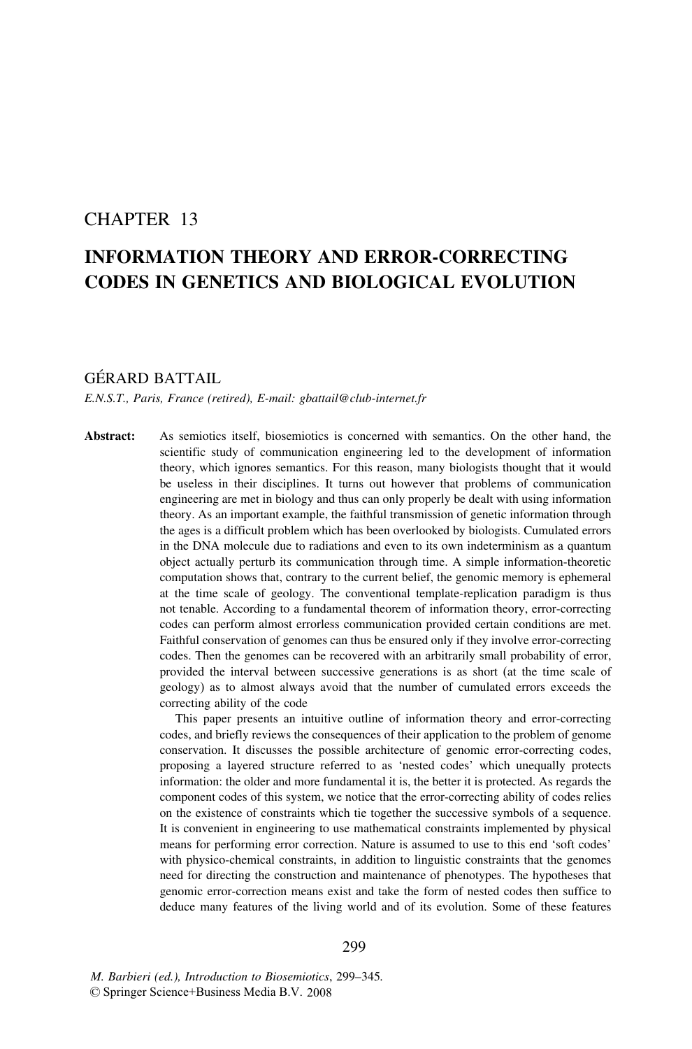## CHAPTER 13

# **INFORMATION THEORY AND ERROR-CORRECTING CODES IN GENETICS AND BIOLOGICAL EVOLUTION**

## GÉRARD BATTAIL

*E.N.S.T., Paris, France (retired), E-mail: gbattail@club-internet.fr*

**Abstract:** As semiotics itself, biosemiotics is concerned with semantics. On the other hand, the scientific study of communication engineering led to the development of information theory, which ignores semantics. For this reason, many biologists thought that it would be useless in their disciplines. It turns out however that problems of communication engineering are met in biology and thus can only properly be dealt with using information theory. As an important example, the faithful transmission of genetic information through the ages is a difficult problem which has been overlooked by biologists. Cumulated errors in the DNA molecule due to radiations and even to its own indeterminism as a quantum object actually perturb its communication through time. A simple information-theoretic computation shows that, contrary to the current belief, the genomic memory is ephemeral at the time scale of geology. The conventional template-replication paradigm is thus not tenable. According to a fundamental theorem of information theory, error-correcting codes can perform almost errorless communication provided certain conditions are met. Faithful conservation of genomes can thus be ensured only if they involve error-correcting codes. Then the genomes can be recovered with an arbitrarily small probability of error, provided the interval between successive generations is as short (at the time scale of geology) as to almost always avoid that the number of cumulated errors exceeds the correcting ability of the code

> This paper presents an intuitive outline of information theory and error-correcting codes, and briefly reviews the consequences of their application to the problem of genome conservation. It discusses the possible architecture of genomic error-correcting codes, proposing a layered structure referred to as 'nested codes' which unequally protects information: the older and more fundamental it is, the better it is protected. As regards the component codes of this system, we notice that the error-correcting ability of codes relies on the existence of constraints which tie together the successive symbols of a sequence. It is convenient in engineering to use mathematical constraints implemented by physical means for performing error correction. Nature is assumed to use to this end 'soft codes' with physico-chemical constraints, in addition to linguistic constraints that the genomes need for directing the construction and maintenance of phenotypes. The hypotheses that genomic error-correction means exist and take the form of nested codes then suffice to deduce many features of the living world and of its evolution. Some of these features

> > 299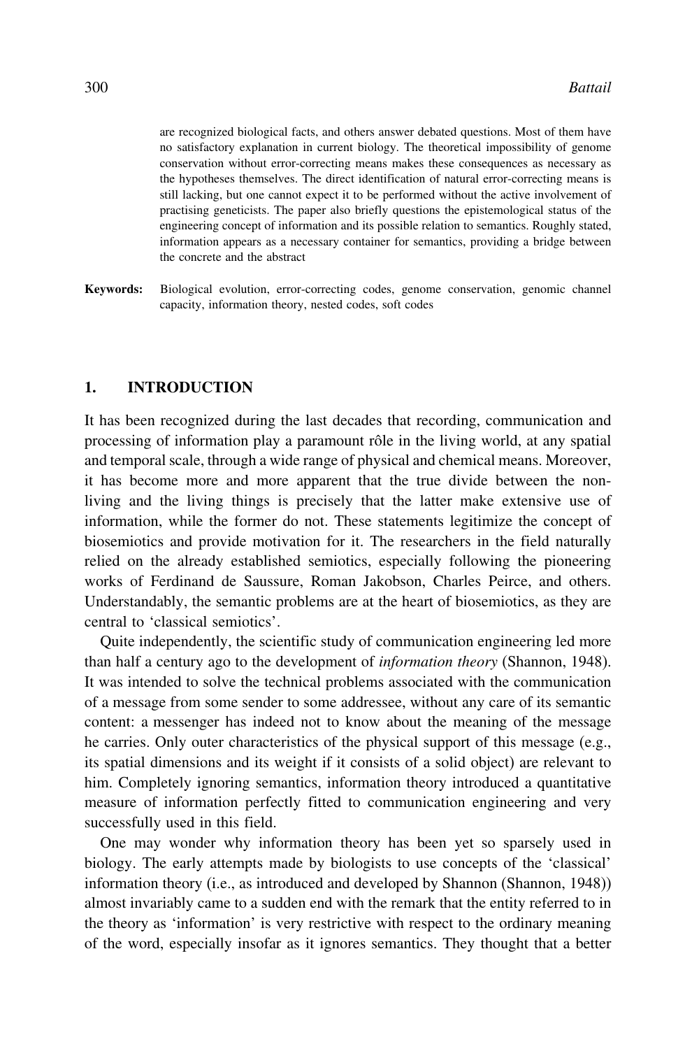are recognized biological facts, and others answer debated questions. Most of them have no satisfactory explanation in current biology. The theoretical impossibility of genome conservation without error-correcting means makes these consequences as necessary as the hypotheses themselves. The direct identification of natural error-correcting means is still lacking, but one cannot expect it to be performed without the active involvement of practising geneticists. The paper also briefly questions the epistemological status of the engineering concept of information and its possible relation to semantics. Roughly stated, information appears as a necessary container for semantics, providing a bridge between the concrete and the abstract

**Keywords:** Biological evolution, error-correcting codes, genome conservation, genomic channel capacity, information theory, nested codes, soft codes

### **1. INTRODUCTION**

It has been recognized during the last decades that recording, communication and processing of information play a paramount rôle in the living world, at any spatial and temporal scale, through a wide range of physical and chemical means. Moreover, it has become more and more apparent that the true divide between the nonliving and the living things is precisely that the latter make extensive use of information, while the former do not. These statements legitimize the concept of biosemiotics and provide motivation for it. The researchers in the field naturally relied on the already established semiotics, especially following the pioneering works of Ferdinand de Saussure, Roman Jakobson, Charles Peirce, and others. Understandably, the semantic problems are at the heart of biosemiotics, as they are central to 'classical semiotics'.

Quite independently, the scientific study of communication engineering led more than half a century ago to the development of *information theory* (Shannon, 1948). It was intended to solve the technical problems associated with the communication of a message from some sender to some addressee, without any care of its semantic content: a messenger has indeed not to know about the meaning of the message he carries. Only outer characteristics of the physical support of this message (e.g., its spatial dimensions and its weight if it consists of a solid object) are relevant to him. Completely ignoring semantics, information theory introduced a quantitative measure of information perfectly fitted to communication engineering and very successfully used in this field.

One may wonder why information theory has been yet so sparsely used in biology. The early attempts made by biologists to use concepts of the 'classical' information theory (i.e., as introduced and developed by Shannon (Shannon, 1948)) almost invariably came to a sudden end with the remark that the entity referred to in the theory as 'information' is very restrictive with respect to the ordinary meaning of the word, especially insofar as it ignores semantics. They thought that a better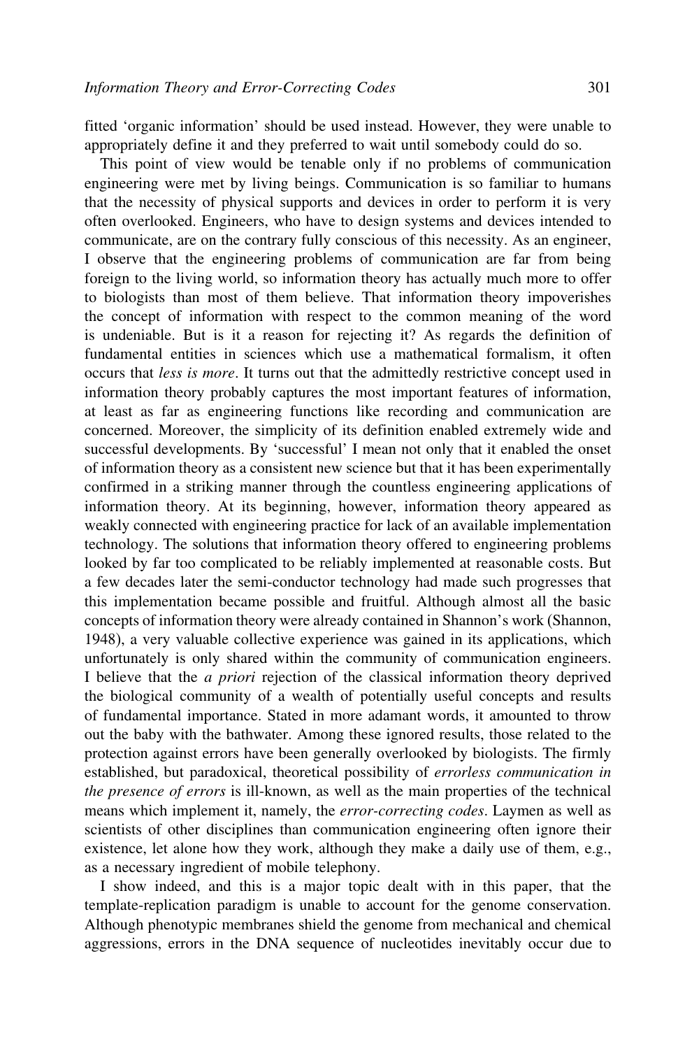fitted 'organic information' should be used instead. However, they were unable to appropriately define it and they preferred to wait until somebody could do so.

This point of view would be tenable only if no problems of communication engineering were met by living beings. Communication is so familiar to humans that the necessity of physical supports and devices in order to perform it is very often overlooked. Engineers, who have to design systems and devices intended to communicate, are on the contrary fully conscious of this necessity. As an engineer, I observe that the engineering problems of communication are far from being foreign to the living world, so information theory has actually much more to offer to biologists than most of them believe. That information theory impoverishes the concept of information with respect to the common meaning of the word is undeniable. But is it a reason for rejecting it? As regards the definition of fundamental entities in sciences which use a mathematical formalism, it often occurs that *less is more*. It turns out that the admittedly restrictive concept used in information theory probably captures the most important features of information, at least as far as engineering functions like recording and communication are concerned. Moreover, the simplicity of its definition enabled extremely wide and successful developments. By 'successful' I mean not only that it enabled the onset of information theory as a consistent new science but that it has been experimentally confirmed in a striking manner through the countless engineering applications of information theory. At its beginning, however, information theory appeared as weakly connected with engineering practice for lack of an available implementation technology. The solutions that information theory offered to engineering problems looked by far too complicated to be reliably implemented at reasonable costs. But a few decades later the semi-conductor technology had made such progresses that this implementation became possible and fruitful. Although almost all the basic concepts of information theory were already contained in Shannon's work (Shannon, 1948), a very valuable collective experience was gained in its applications, which unfortunately is only shared within the community of communication engineers. I believe that the *a priori* rejection of the classical information theory deprived the biological community of a wealth of potentially useful concepts and results of fundamental importance. Stated in more adamant words, it amounted to throw out the baby with the bathwater. Among these ignored results, those related to the protection against errors have been generally overlooked by biologists. The firmly established, but paradoxical, theoretical possibility of *errorless communication in the presence of errors* is ill-known, as well as the main properties of the technical means which implement it, namely, the *error-correcting codes*. Laymen as well as scientists of other disciplines than communication engineering often ignore their existence, let alone how they work, although they make a daily use of them, e.g., as a necessary ingredient of mobile telephony.

I show indeed, and this is a major topic dealt with in this paper, that the template-replication paradigm is unable to account for the genome conservation. Although phenotypic membranes shield the genome from mechanical and chemical aggressions, errors in the DNA sequence of nucleotides inevitably occur due to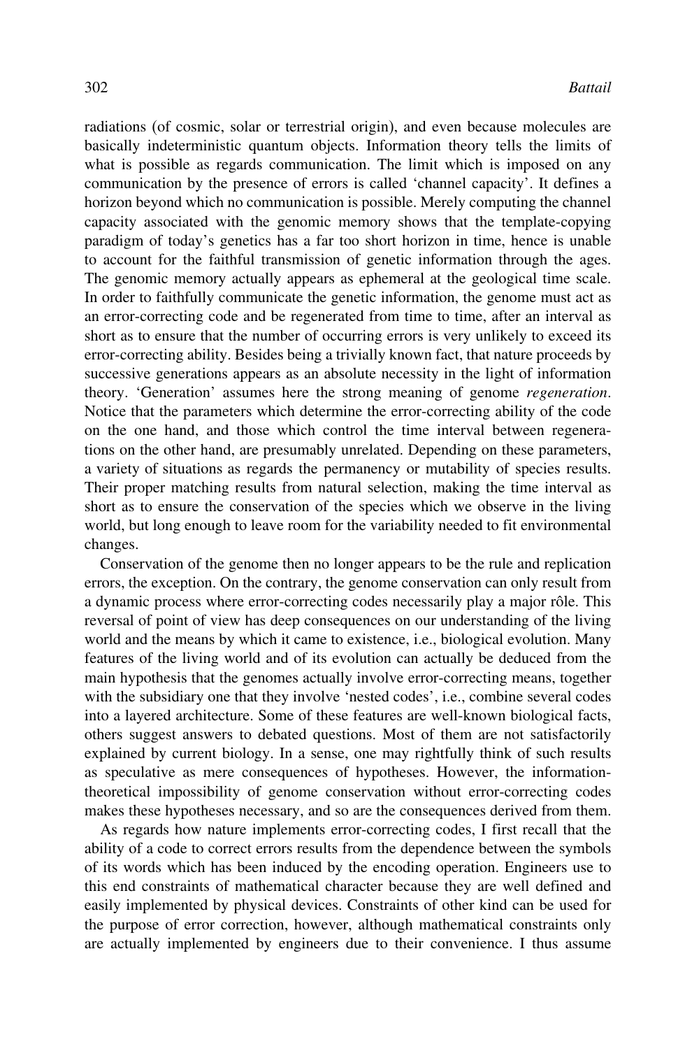radiations (of cosmic, solar or terrestrial origin), and even because molecules are basically indeterministic quantum objects. Information theory tells the limits of what is possible as regards communication. The limit which is imposed on any communication by the presence of errors is called 'channel capacity'. It defines a horizon beyond which no communication is possible. Merely computing the channel capacity associated with the genomic memory shows that the template-copying paradigm of today's genetics has a far too short horizon in time, hence is unable to account for the faithful transmission of genetic information through the ages. The genomic memory actually appears as ephemeral at the geological time scale. In order to faithfully communicate the genetic information, the genome must act as an error-correcting code and be regenerated from time to time, after an interval as short as to ensure that the number of occurring errors is very unlikely to exceed its error-correcting ability. Besides being a trivially known fact, that nature proceeds by successive generations appears as an absolute necessity in the light of information theory. 'Generation' assumes here the strong meaning of genome *regeneration*. Notice that the parameters which determine the error-correcting ability of the code on the one hand, and those which control the time interval between regenerations on the other hand, are presumably unrelated. Depending on these parameters, a variety of situations as regards the permanency or mutability of species results. Their proper matching results from natural selection, making the time interval as short as to ensure the conservation of the species which we observe in the living world, but long enough to leave room for the variability needed to fit environmental changes.

Conservation of the genome then no longer appears to be the rule and replication errors, the exception. On the contrary, the genome conservation can only result from a dynamic process where error-correcting codes necessarily play a major rôle. This reversal of point of view has deep consequences on our understanding of the living world and the means by which it came to existence, i.e., biological evolution. Many features of the living world and of its evolution can actually be deduced from the main hypothesis that the genomes actually involve error-correcting means, together with the subsidiary one that they involve 'nested codes', i.e., combine several codes into a layered architecture. Some of these features are well-known biological facts, others suggest answers to debated questions. Most of them are not satisfactorily explained by current biology. In a sense, one may rightfully think of such results as speculative as mere consequences of hypotheses. However, the informationtheoretical impossibility of genome conservation without error-correcting codes makes these hypotheses necessary, and so are the consequences derived from them.

As regards how nature implements error-correcting codes, I first recall that the ability of a code to correct errors results from the dependence between the symbols of its words which has been induced by the encoding operation. Engineers use to this end constraints of mathematical character because they are well defined and easily implemented by physical devices. Constraints of other kind can be used for the purpose of error correction, however, although mathematical constraints only are actually implemented by engineers due to their convenience. I thus assume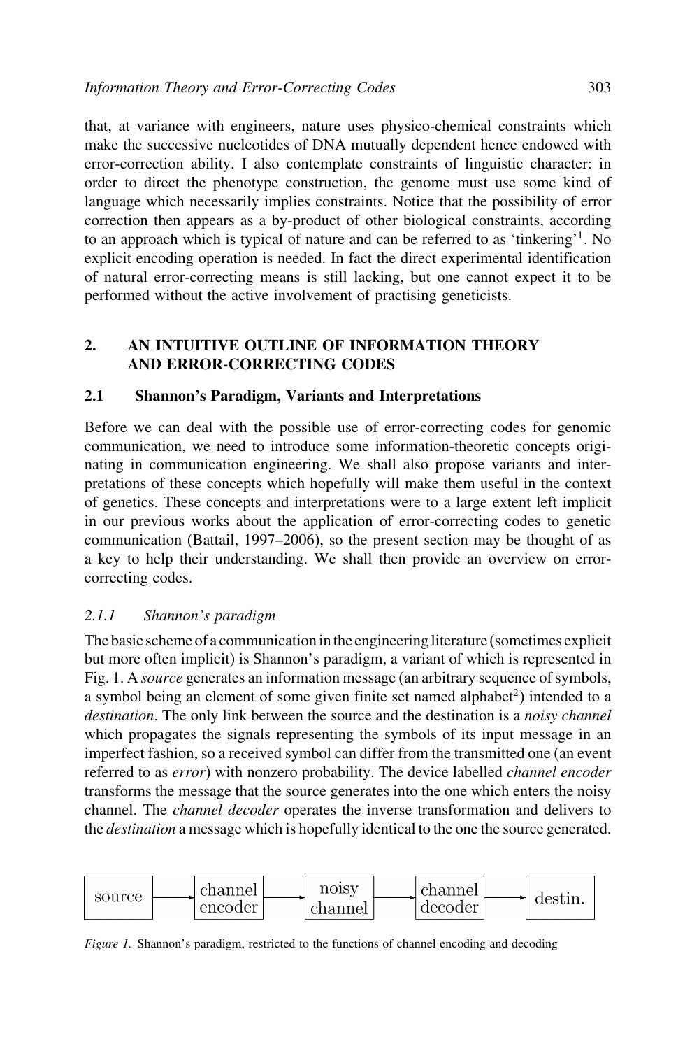that, at variance with engineers, nature uses physico-chemical constraints which make the successive nucleotides of DNA mutually dependent hence endowed with error-correction ability. I also contemplate constraints of linguistic character: in order to direct the phenotype construction, the genome must use some kind of language which necessarily implies constraints. Notice that the possibility of error correction then appears as a by-product of other biological constraints, according to an approach which is typical of nature and can be referred to as 'tinkering'1. No explicit encoding operation is needed. In fact the direct experimental identification of natural error-correcting means is still lacking, but one cannot expect it to be performed without the active involvement of practising geneticists.

## **2. AN INTUITIVE OUTLINE OF INFORMATION THEORY AND ERROR-CORRECTING CODES**

## **2.1 Shannon's Paradigm, Variants and Interpretations**

Before we can deal with the possible use of error-correcting codes for genomic communication, we need to introduce some information-theoretic concepts originating in communication engineering. We shall also propose variants and interpretations of these concepts which hopefully will make them useful in the context of genetics. These concepts and interpretations were to a large extent left implicit in our previous works about the application of error-correcting codes to genetic communication (Battail, 1997–2006), so the present section may be thought of as a key to help their understanding. We shall then provide an overview on errorcorrecting codes.

## *2.1.1 Shannon's paradigm*

The basic scheme of a communication in the engineering literature (sometimes explicit but more often implicit) is Shannon's paradigm, a variant of which is represented in Fig. 1. A *source* generates an information message (an arbitrary sequence of symbols, a symbol being an element of some given finite set named alphabet<sup>2</sup>) intended to a *destination*. The only link between the source and the destination is a *noisy channel* which propagates the signals representing the symbols of its input message in an imperfect fashion, so a received symbol can differ from the transmitted one (an event referred to as *error*) with nonzero probability. The device labelled *channel encoder* transforms the message that the source generates into the one which enters the noisy channel. The *channel decoder* operates the inverse transformation and delivers to the *destination* a message which is hopefully identical to the one the source generated.



*Figure 1.* Shannon's paradigm, restricted to the functions of channel encoding and decoding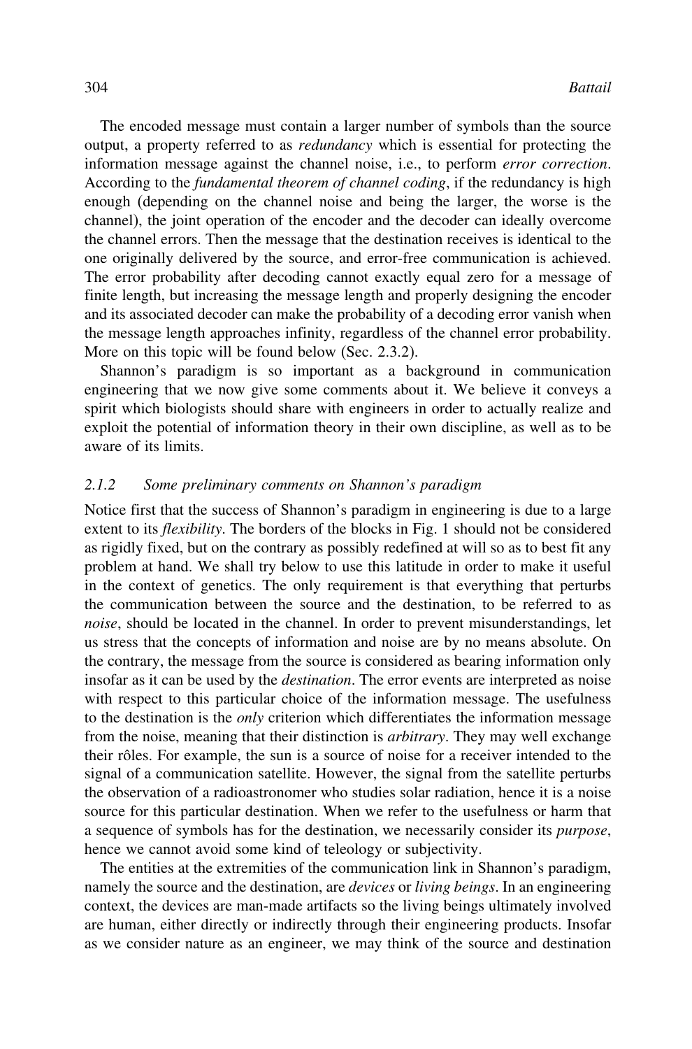The encoded message must contain a larger number of symbols than the source output, a property referred to as *redundancy* which is essential for protecting the information message against the channel noise, i.e., to perform *error correction*. According to the *fundamental theorem of channel coding*, if the redundancy is high enough (depending on the channel noise and being the larger, the worse is the channel), the joint operation of the encoder and the decoder can ideally overcome the channel errors. Then the message that the destination receives is identical to the one originally delivered by the source, and error-free communication is achieved. The error probability after decoding cannot exactly equal zero for a message of finite length, but increasing the message length and properly designing the encoder and its associated decoder can make the probability of a decoding error vanish when the message length approaches infinity, regardless of the channel error probability. More on this topic will be found below (Sec. 2.3.2).

Shannon's paradigm is so important as a background in communication engineering that we now give some comments about it. We believe it conveys a spirit which biologists should share with engineers in order to actually realize and exploit the potential of information theory in their own discipline, as well as to be aware of its limits.

### *2.1.2 Some preliminary comments on Shannon's paradigm*

Notice first that the success of Shannon's paradigm in engineering is due to a large extent to its *flexibility*. The borders of the blocks in Fig. 1 should not be considered as rigidly fixed, but on the contrary as possibly redefined at will so as to best fit any problem at hand. We shall try below to use this latitude in order to make it useful in the context of genetics. The only requirement is that everything that perturbs the communication between the source and the destination, to be referred to as *noise*, should be located in the channel. In order to prevent misunderstandings, let us stress that the concepts of information and noise are by no means absolute. On the contrary, the message from the source is considered as bearing information only insofar as it can be used by the *destination*. The error events are interpreted as noise with respect to this particular choice of the information message. The usefulness to the destination is the *only* criterion which differentiates the information message from the noise, meaning that their distinction is *arbitrary*. They may well exchange their rôles. For example, the sun is a source of noise for a receiver intended to the signal of a communication satellite. However, the signal from the satellite perturbs the observation of a radioastronomer who studies solar radiation, hence it is a noise source for this particular destination. When we refer to the usefulness or harm that a sequence of symbols has for the destination, we necessarily consider its *purpose*, hence we cannot avoid some kind of teleology or subjectivity.

The entities at the extremities of the communication link in Shannon's paradigm, namely the source and the destination, are *devices* or *living beings*. In an engineering context, the devices are man-made artifacts so the living beings ultimately involved are human, either directly or indirectly through their engineering products. Insofar as we consider nature as an engineer, we may think of the source and destination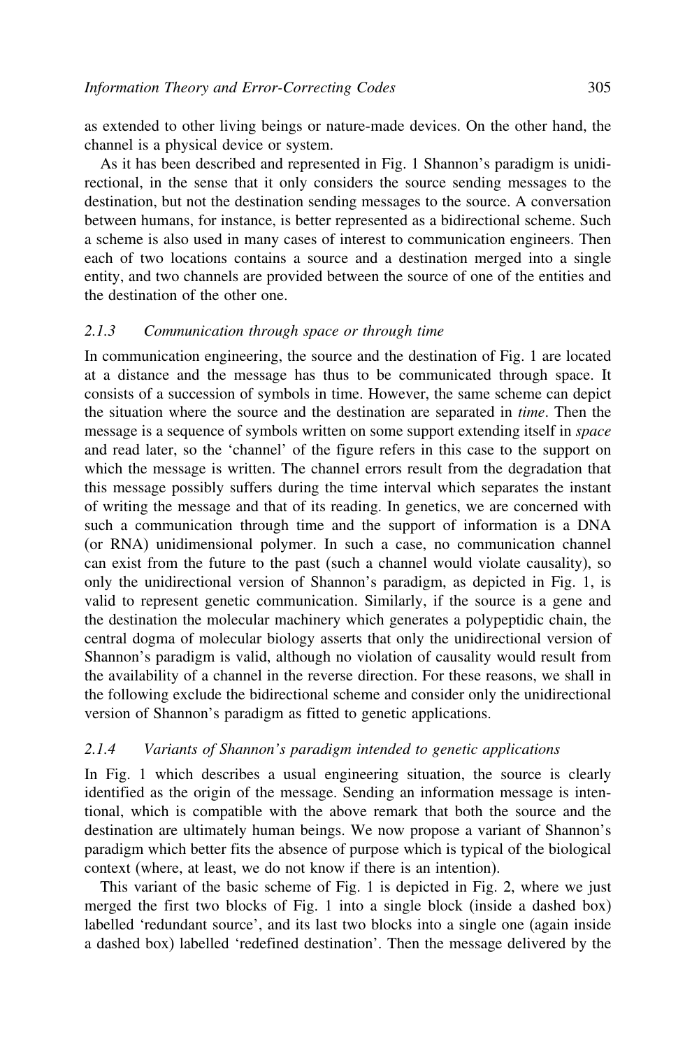as extended to other living beings or nature-made devices. On the other hand, the channel is a physical device or system.

As it has been described and represented in Fig. 1 Shannon's paradigm is unidirectional, in the sense that it only considers the source sending messages to the destination, but not the destination sending messages to the source. A conversation between humans, for instance, is better represented as a bidirectional scheme. Such a scheme is also used in many cases of interest to communication engineers. Then each of two locations contains a source and a destination merged into a single entity, and two channels are provided between the source of one of the entities and the destination of the other one.

## *2.1.3 Communication through space or through time*

In communication engineering, the source and the destination of Fig. 1 are located at a distance and the message has thus to be communicated through space. It consists of a succession of symbols in time. However, the same scheme can depict the situation where the source and the destination are separated in *time*. Then the message is a sequence of symbols written on some support extending itself in *space* and read later, so the 'channel' of the figure refers in this case to the support on which the message is written. The channel errors result from the degradation that this message possibly suffers during the time interval which separates the instant of writing the message and that of its reading. In genetics, we are concerned with such a communication through time and the support of information is a DNA (or RNA) unidimensional polymer. In such a case, no communication channel can exist from the future to the past (such a channel would violate causality), so only the unidirectional version of Shannon's paradigm, as depicted in Fig. 1, is valid to represent genetic communication. Similarly, if the source is a gene and the destination the molecular machinery which generates a polypeptidic chain, the central dogma of molecular biology asserts that only the unidirectional version of Shannon's paradigm is valid, although no violation of causality would result from the availability of a channel in the reverse direction. For these reasons, we shall in the following exclude the bidirectional scheme and consider only the unidirectional version of Shannon's paradigm as fitted to genetic applications.

## *2.1.4 Variants of Shannon's paradigm intended to genetic applications*

In Fig. 1 which describes a usual engineering situation, the source is clearly identified as the origin of the message. Sending an information message is intentional, which is compatible with the above remark that both the source and the destination are ultimately human beings. We now propose a variant of Shannon's paradigm which better fits the absence of purpose which is typical of the biological context (where, at least, we do not know if there is an intention).

This variant of the basic scheme of Fig. 1 is depicted in Fig. 2, where we just merged the first two blocks of Fig. 1 into a single block (inside a dashed box) labelled 'redundant source', and its last two blocks into a single one (again inside a dashed box) labelled 'redefined destination'. Then the message delivered by the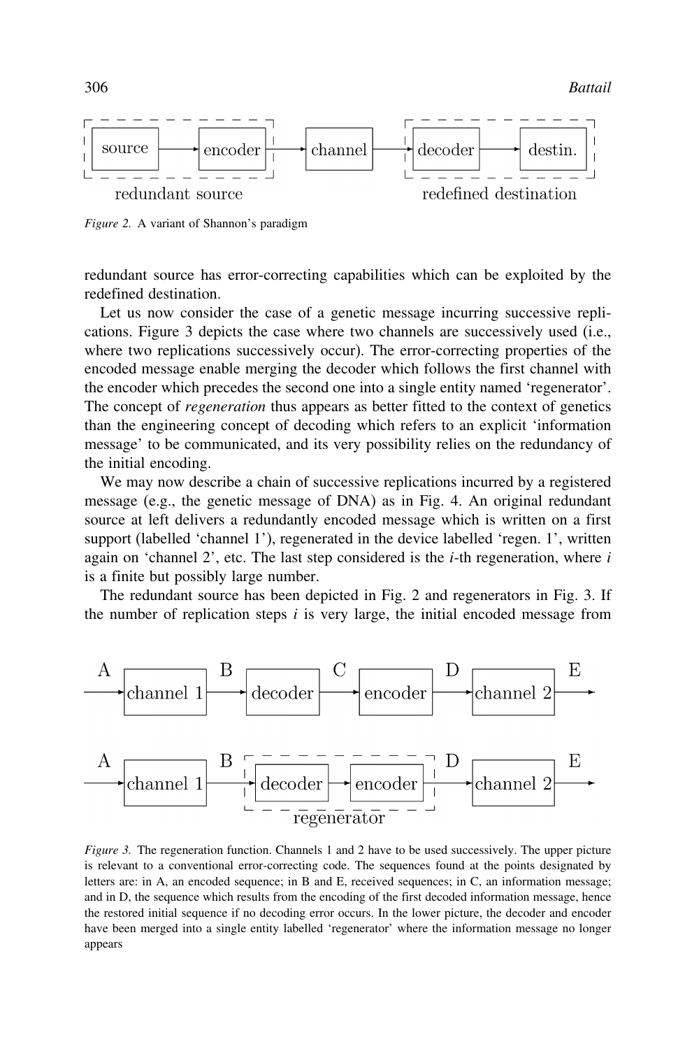306 *Battail*



*Figure 2.* A variant of Shannon's paradigm

redundant source has error-correcting capabilities which can be exploited by the redefined destination.

Let us now consider the case of a genetic message incurring successive replications. Figure 3 depicts the case where two channels are successively used (i.e., where two replications successively occur). The error-correcting properties of the encoded message enable merging the decoder which follows the first channel with the encoder which precedes the second one into a single entity named 'regenerator'. The concept of *regeneration* thus appears as better fitted to the context of genetics than the engineering concept of decoding which refers to an explicit 'information message' to be communicated, and its very possibility relies on the redundancy of the initial encoding.

We may now describe a chain of successive replications incurred by a registered message (e.g., the genetic message of DNA) as in Fig. 4. An original redundant source at left delivers a redundantly encoded message which is written on a first support (labelled 'channel 1'), regenerated in the device labelled 'regen. 1', written again on 'channel 2', etc. The last step considered is the  $i$ -th regeneration, where  $i$ is a finite but possibly large number.

The redundant source has been depicted in Fig. 2 and regenerators in Fig. 3. If the number of replication steps  $i$  is very large, the initial encoded message from



*Figure 3.* The regeneration function. Channels 1 and 2 have to be used successively. The upper picture is relevant to a conventional error-correcting code. The sequences found at the points designated by letters are: in A, an encoded sequence; in B and E, received sequences; in C, an information message; and in D, the sequence which results from the encoding of the first decoded information message, hence the restored initial sequence if no decoding error occurs. In the lower picture, the decoder and encoder have been merged into a single entity labelled 'regenerator' where the information message no longer appears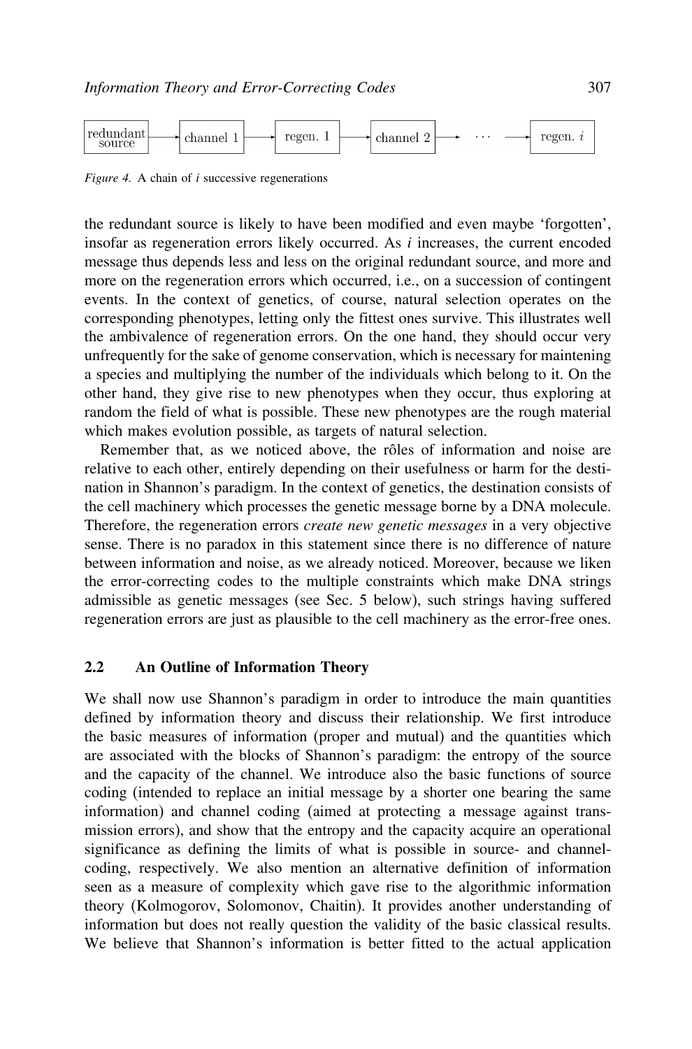

*Figure 4.* A chain of *i* successive regenerations

the redundant source is likely to have been modified and even maybe 'forgotten', insofar as regeneration errors likely occurred. As  $i$  increases, the current encoded message thus depends less and less on the original redundant source, and more and more on the regeneration errors which occurred, i.e., on a succession of contingent events. In the context of genetics, of course, natural selection operates on the corresponding phenotypes, letting only the fittest ones survive. This illustrates well the ambivalence of regeneration errors. On the one hand, they should occur very unfrequently for the sake of genome conservation, which is necessary for maintening a species and multiplying the number of the individuals which belong to it. On the other hand, they give rise to new phenotypes when they occur, thus exploring at random the field of what is possible. These new phenotypes are the rough material which makes evolution possible, as targets of natural selection.

Remember that, as we noticed above, the rôles of information and noise are relative to each other, entirely depending on their usefulness or harm for the destination in Shannon's paradigm. In the context of genetics, the destination consists of the cell machinery which processes the genetic message borne by a DNA molecule. Therefore, the regeneration errors *create new genetic messages* in a very objective sense. There is no paradox in this statement since there is no difference of nature between information and noise, as we already noticed. Moreover, because we liken the error-correcting codes to the multiple constraints which make DNA strings admissible as genetic messages (see Sec. 5 below), such strings having suffered regeneration errors are just as plausible to the cell machinery as the error-free ones.

### **2.2 An Outline of Information Theory**

We shall now use Shannon's paradigm in order to introduce the main quantities defined by information theory and discuss their relationship. We first introduce the basic measures of information (proper and mutual) and the quantities which are associated with the blocks of Shannon's paradigm: the entropy of the source and the capacity of the channel. We introduce also the basic functions of source coding (intended to replace an initial message by a shorter one bearing the same information) and channel coding (aimed at protecting a message against transmission errors), and show that the entropy and the capacity acquire an operational significance as defining the limits of what is possible in source- and channelcoding, respectively. We also mention an alternative definition of information seen as a measure of complexity which gave rise to the algorithmic information theory (Kolmogorov, Solomonov, Chaitin). It provides another understanding of information but does not really question the validity of the basic classical results. We believe that Shannon's information is better fitted to the actual application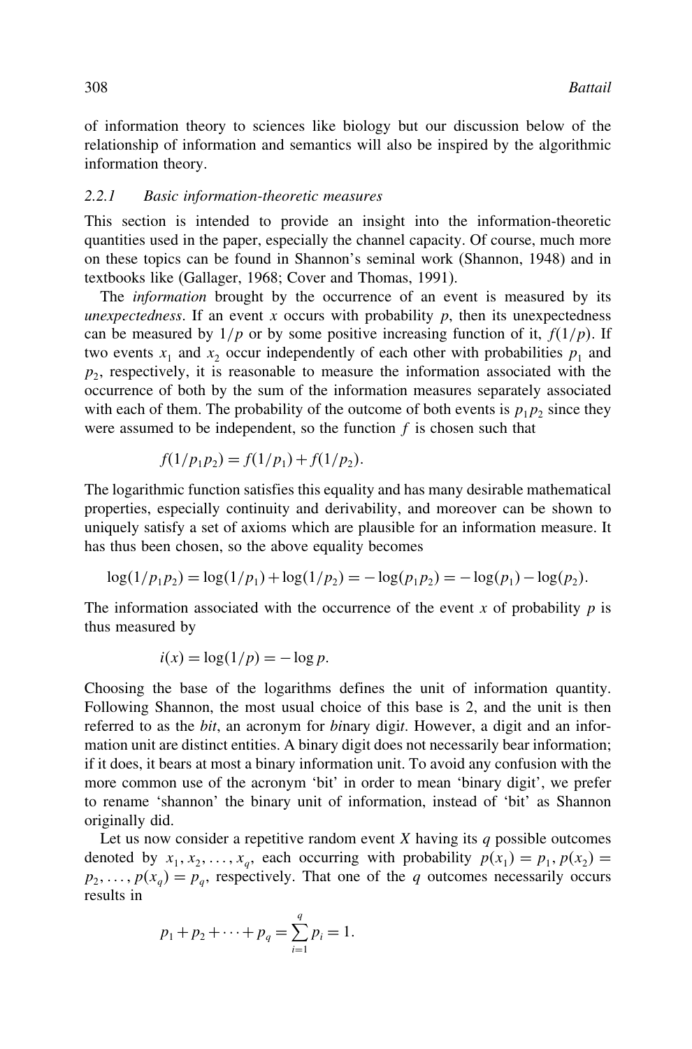of information theory to sciences like biology but our discussion below of the relationship of information and semantics will also be inspired by the algorithmic information theory.

### *2.2.1 Basic information-theoretic measures*

This section is intended to provide an insight into the information-theoretic quantities used in the paper, especially the channel capacity. Of course, much more on these topics can be found in Shannon's seminal work (Shannon, 1948) and in textbooks like (Gallager, 1968; Cover and Thomas, 1991).

The *information* brought by the occurrence of an event is measured by its *unexpectedness*. If an event x occurs with probability  $p$ , then its unexpectedness can be measured by  $1/p$  or by some positive increasing function of it,  $f(1/p)$ . If two events  $x_1$  and  $x_2$  occur independently of each other with probabilities  $p_1$  and  $p<sub>2</sub>$ , respectively, it is reasonable to measure the information associated with the occurrence of both by the sum of the information measures separately associated with each of them. The probability of the outcome of both events is  $p_1p_2$  since they were assumed to be independent, so the function  $f$  is chosen such that

$$
f(1/p_1p_2) = f(1/p_1) + f(1/p_2).
$$

The logarithmic function satisfies this equality and has many desirable mathematical properties, especially continuity and derivability, and moreover can be shown to uniquely satisfy a set of axioms which are plausible for an information measure. It has thus been chosen, so the above equality becomes

$$
\log(1/p_1p_2) = \log(1/p_1) + \log(1/p_2) = -\log(p_1p_2) = -\log(p_1) - \log(p_2).
$$

The information associated with the occurrence of the event x of probability  $p$  is thus measured by

$$
i(x) = \log(1/p) = -\log p.
$$

Choosing the base of the logarithms defines the unit of information quantity. Following Shannon, the most usual choice of this base is 2, and the unit is then referred to as the *bit*, an acronym for *bi*nary digi*t*. However, a digit and an information unit are distinct entities. A binary digit does not necessarily bear information; if it does, it bears at most a binary information unit. To avoid any confusion with the more common use of the acronym 'bit' in order to mean 'binary digit', we prefer to rename 'shannon' the binary unit of information, instead of 'bit' as Shannon originally did.

Let us now consider a repetitive random event X having its  $q$  possible outcomes denoted by  $x_1, x_2, ..., x_q$ , each occurring with probability  $p(x_1) = p_1, p(x_2) =$  $p_2, \ldots, p(x_q) = p_q$ , respectively. That one of the q outcomes necessarily occurs results in

$$
p_1 + p_2 + \cdots + p_q = \sum_{i=1}^q p_i = 1.
$$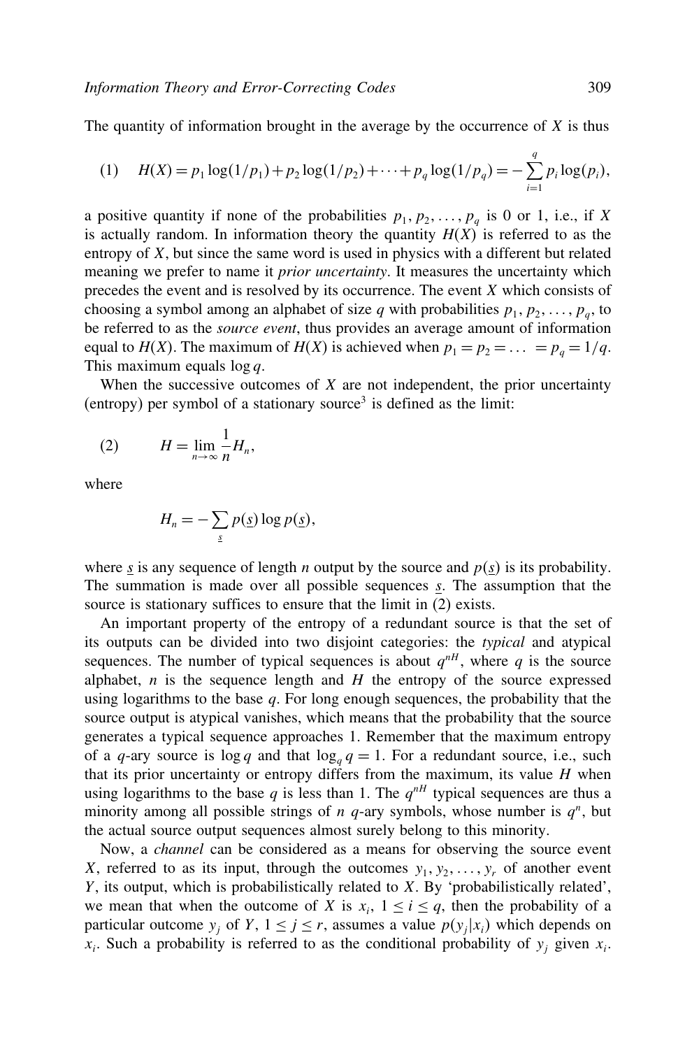The quantity of information brought in the average by the occurrence of  $X$  is thus

(1) 
$$
H(X) = p_1 \log(1/p_1) + p_2 \log(1/p_2) + \cdots + p_q \log(1/p_q) = -\sum_{i=1}^q p_i \log(p_i),
$$

a positive quantity if none of the probabilities  $p_1, p_2, \ldots, p_q$  is 0 or 1, i.e., if X is actually random. In information theory the quantity  $H(X)$  is referred to as the entropy of  $X$ , but since the same word is used in physics with a different but related meaning we prefer to name it *prior uncertainty*. It measures the uncertainty which precedes the event and is resolved by its occurrence. The event X which consists of choosing a symbol among an alphabet of size q with probabilities  $p_1, p_2, \ldots, p_a$ , to be referred to as the *source event*, thus provides an average amount of information equal to  $H(X)$ . The maximum of  $H(X)$  is achieved when  $p_1 = p_2 = \ldots = p_q = 1/q$ . This maximum equals  $\log q$ .

When the successive outcomes of  $X$  are not independent, the prior uncertainty (entropy) per symbol of a stationary source<sup>3</sup> is defined as the limit:

$$
(2) \tH = \lim_{n \to \infty} \frac{1}{n} H_n,
$$

where

$$
H_n = -\sum_{\underline{s}} p(\underline{s}) \log p(\underline{s}),
$$

where  $\underline{s}$  is any sequence of length *n* output by the source and  $p(\underline{s})$  is its probability. The summation is made over all possible sequences  $s$ . The assumption that the source is stationary suffices to ensure that the limit in (2) exists.

An important property of the entropy of a redundant source is that the set of its outputs can be divided into two disjoint categories: the *typical* and atypical sequences. The number of typical sequences is about  $q^{nH}$ , where q is the source alphabet,  $n$  is the sequence length and  $H$  the entropy of the source expressed using logarithms to the base  $q$ . For long enough sequences, the probability that the source output is atypical vanishes, which means that the probability that the source generates a typical sequence approaches 1. Remember that the maximum entropy of a q-ary source is  $\log q$  and that  $\log_q q = 1$ . For a redundant source, i.e., such that its prior uncertainty or entropy differs from the maximum, its value  $H$  when using logarithms to the base q is less than 1. The  $q^{nH}$  typical sequences are thus a minority among all possible strings of *n*  $q$ -ary symbols, whose number is  $q^n$ , but the actual source output sequences almost surely belong to this minority.

Now, a *channel* can be considered as a means for observing the source event X, referred to as its input, through the outcomes  $y_1, y_2, \ldots, y_r$  of another event  $Y$ , its output, which is probabilistically related to  $X$ . By 'probabilistically related', we mean that when the outcome of X is  $x_i$ ,  $1 \le i \le q$ , then the probability of a particular outcome  $y_j$  of Y,  $1 \le j \le r$ , assumes a value  $p(y_j|x_i)$  which depends on  $x_i$ . Such a probability is referred to as the conditional probability of  $y_i$  given  $x_i$ .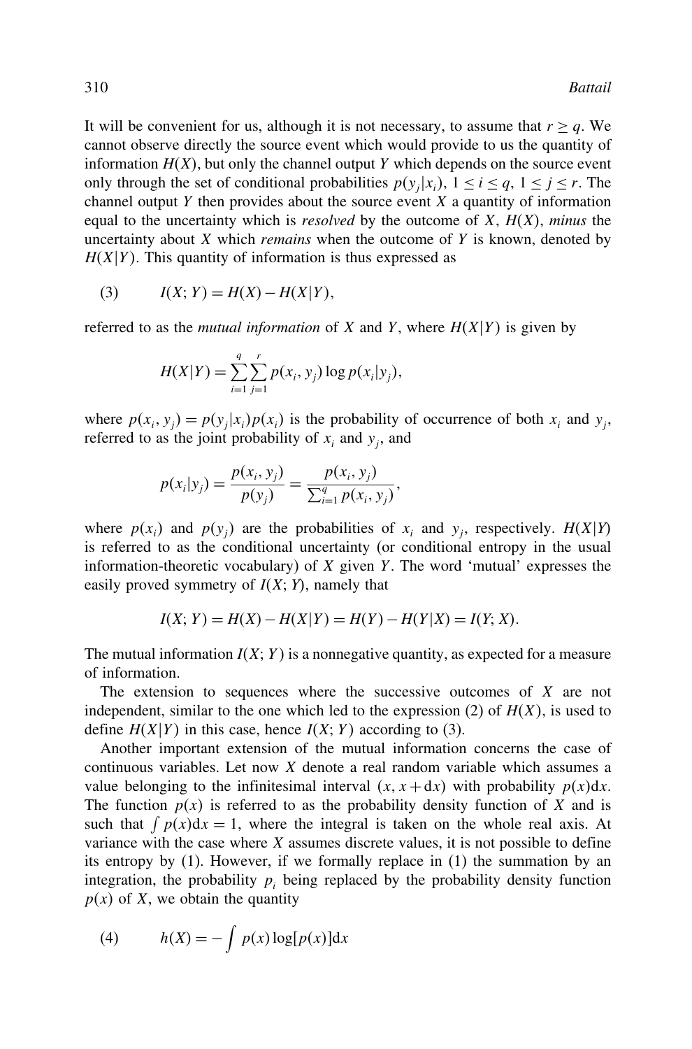It will be convenient for us, although it is not necessary, to assume that  $r \geq q$ . We cannot observe directly the source event which would provide to us the quantity of information  $H(X)$ , but only the channel output Y which depends on the source event only through the set of conditional probabilities  $p(y_j|x_i)$ ,  $1 \le i \le q$ ,  $1 \le j \le r$ . The channel output  $Y$  then provides about the source event  $X$  a quantity of information equal to the uncertainty which is *resolved* by the outcome of X,  $H(X)$ , *minus* the uncertainty about X which *remains* when the outcome of Y is known, denoted by  $H(X|Y)$ . This quantity of information is thus expressed as

(3) 
$$
I(X; Y) = H(X) - H(X|Y),
$$

referred to as the *mutual information* of  $X$  and  $Y$ , where  $H(X|Y)$  is given by

$$
H(X|Y) = \sum_{i=1}^{q} \sum_{j=1}^{r} p(x_i, y_j) \log p(x_i|y_j),
$$

where  $p(x_i, y_j) = p(y_j|x_i)p(x_i)$  is the probability of occurrence of both  $x_i$  and  $y_j$ , referred to as the joint probability of  $x_i$  and  $y_j$ , and

$$
p(x_i|y_j) = \frac{p(x_i, y_j)}{p(y_j)} = \frac{p(x_i, y_j)}{\sum_{i=1}^{q} p(x_i, y_j)},
$$

where  $p(x_i)$  and  $p(y_j)$  are the probabilities of  $x_i$  and  $y_j$ , respectively.  $H(X|Y)$ is referred to as the conditional uncertainty (or conditional entropy in the usual information-theoretic vocabulary) of  $X$  given  $Y$ . The word 'mutual' expresses the easily proved symmetry of  $I(X; Y)$ , namely that

$$
I(X; Y) = H(X) - H(X|Y) = H(Y) - H(Y|X) = I(Y; X).
$$

The mutual information  $I(X; Y)$  is a nonnegative quantity, as expected for a measure of information.

The extension to sequences where the successive outcomes of X are not independent, similar to the one which led to the expression  $(2)$  of  $H(X)$ , is used to define  $H(X|Y)$  in this case, hence  $I(X; Y)$  according to (3).

Another important extension of the mutual information concerns the case of continuous variables. Let now X denote a real random variable which assumes a value belonging to the infinitesimal interval  $(x, x + dx)$  with probability  $p(x)dx$ . The function  $p(x)$  is referred to as the probability density function of X and is such that  $\int p(x)dx = 1$ , where the integral is taken on the whole real axis. At variance with the case where  $X$  assumes discrete values, it is not possible to define its entropy by (1). However, if we formally replace in (1) the summation by an integration, the probability  $p_i$  being replaced by the probability density function  $p(x)$  of X, we obtain the quantity

(4) 
$$
h(X) = -\int p(x) \log[p(x)] \mathrm{d}x
$$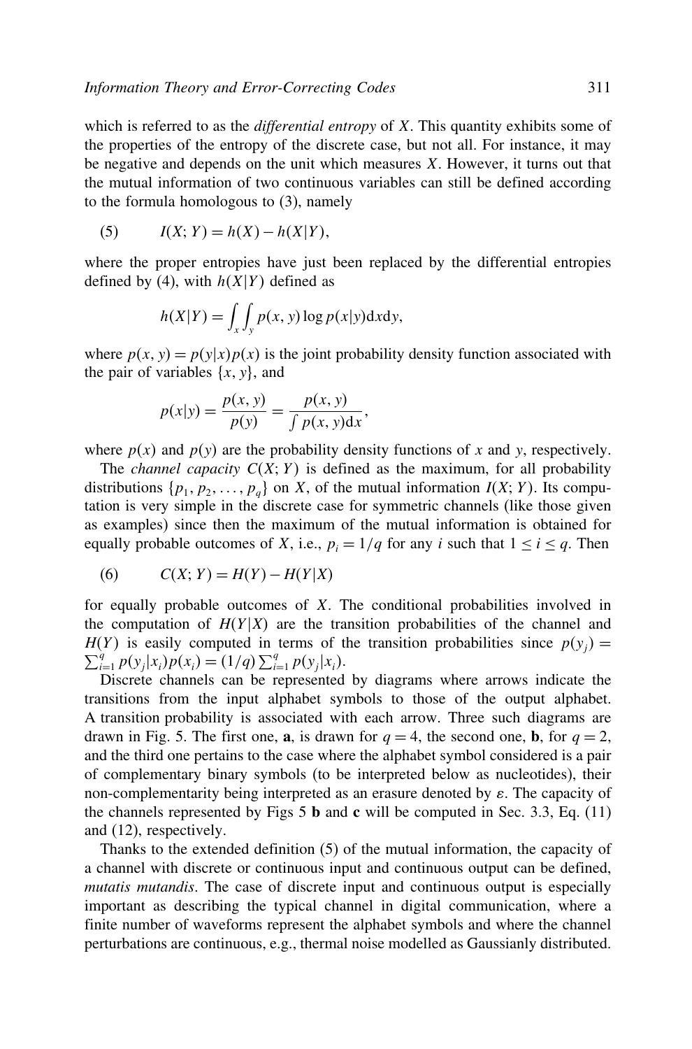which is referred to as the *differential entropy* of X. This quantity exhibits some of the properties of the entropy of the discrete case, but not all. For instance, it may be negative and depends on the unit which measures  $X$ . However, it turns out that the mutual information of two continuous variables can still be defined according to the formula homologous to (3), namely

(5) 
$$
I(X; Y) = h(X) - h(X|Y),
$$

where the proper entropies have just been replaced by the differential entropies defined by (4), with  $h(X|Y)$  defined as

$$
h(X|Y) = \int_{x} \int_{y} p(x, y) \log p(x|y) \, dx \, dy,
$$

where  $p(x, y) = p(y|x)p(x)$  is the joint probability density function associated with the pair of variables  $\{x, y\}$ , and

$$
p(x|y) = \frac{p(x, y)}{p(y)} = \frac{p(x, y)}{\int p(x, y) dx},
$$

where  $p(x)$  and  $p(y)$  are the probability density functions of x and y, respectively.

The *channel capacity*  $C(X; Y)$  is defined as the maximum, for all probability distributions  $\{p_1, p_2, \ldots, p_q\}$  on X, of the mutual information  $I(X; Y)$ . Its computation is very simple in the discrete case for symmetric channels (like those given as examples) since then the maximum of the mutual information is obtained for equally probable outcomes of X, i.e.,  $p_i = 1/q$  for any i such that  $1 \le i \le q$ . Then

$$
(6) \qquad C(X;Y) = H(Y) - H(Y|X)
$$

for equally probable outcomes of X. The conditional probabilities involved in the computation of  $H(Y|X)$  are the transition probabilities of the channel and  $H(Y)$  is easily computed in terms of the transition probabilities since  $p(y_j) = \sum_{i=1}^{q} p(y_i|x_i)p(x_i) = (1/q) \sum_{i=1}^{q} p(y_i|x_i)$ .  $\sum_{i=1}^{q} p(y_j|x_i)p(x_i) = (1/q) \sum_{i=1}^{q} p(y_j|x_i).$ 

Discrete channels can be represented by diagrams where arrows indicate the transitions from the input alphabet symbols to those of the output alphabet. A transition probability is associated with each arrow. Three such diagrams are drawn in Fig. 5. The first one, **a**, is drawn for  $q = 4$ , the second one, **b**, for  $q = 2$ , and the third one pertains to the case where the alphabet symbol considered is a pair of complementary binary symbols (to be interpreted below as nucleotides), their non-complementarity being interpreted as an erasure denoted by  $\varepsilon$ . The capacity of the channels represented by Figs 5 **b** and **c** will be computed in Sec. 3.3, Eq. (11) and (12), respectively.

Thanks to the extended definition (5) of the mutual information, the capacity of a channel with discrete or continuous input and continuous output can be defined, *mutatis mutandis*. The case of discrete input and continuous output is especially important as describing the typical channel in digital communication, where a finite number of waveforms represent the alphabet symbols and where the channel perturbations are continuous, e.g., thermal noise modelled as Gaussianly distributed.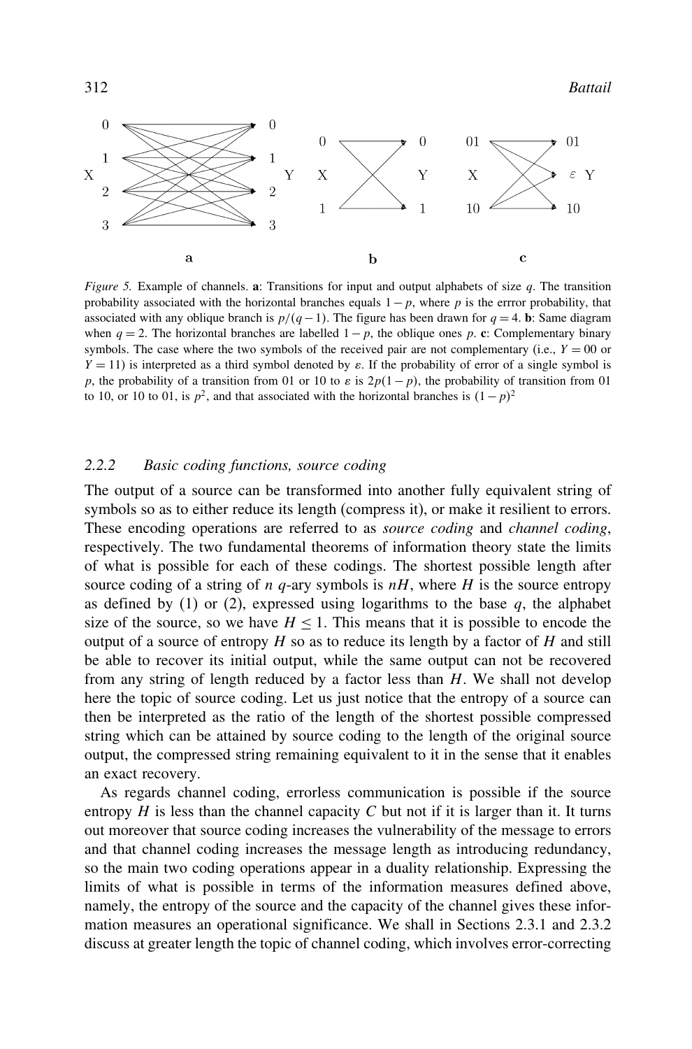312 *Battail*



*Figure 5.* Example of channels. **a**: Transitions for input and output alphabets of size q. The transition probability associated with the horizontal branches equals  $1-p$ , where p is the errror probability, that associated with any oblique branch is  $p/(q-1)$ . The figure has been drawn for  $q = 4$ . **b**: Same diagram when  $q = 2$ . The horizontal branches are labelled  $1 - p$ , the oblique ones p. **c**: Complementary binary symbols. The case where the two symbols of the received pair are not complementary (i.e.,  $Y = 00$  or  $Y = 11$ ) is interpreted as a third symbol denoted by  $\varepsilon$ . If the probability of error of a single symbol is p, the probability of a transition from 01 or 10 to  $\varepsilon$  is  $2p(1-p)$ , the probability of transition from 01 to 10, or 10 to 01, is  $p^2$ , and that associated with the horizontal branches is  $(1-p)^2$ 

## *2.2.2 Basic coding functions, source coding*

The output of a source can be transformed into another fully equivalent string of symbols so as to either reduce its length (compress it), or make it resilient to errors. These encoding operations are referred to as *source coding* and *channel coding*, respectively. The two fundamental theorems of information theory state the limits of what is possible for each of these codings. The shortest possible length after source coding of a string of n q-ary symbols is  $nH$ , where H is the source entropy as defined by (1) or (2), expressed using logarithms to the base  $q$ , the alphabet size of the source, so we have  $H \leq 1$ . This means that it is possible to encode the output of a source of entropy  $H$  so as to reduce its length by a factor of  $H$  and still be able to recover its initial output, while the same output can not be recovered from any string of length reduced by a factor less than  $H$ . We shall not develop here the topic of source coding. Let us just notice that the entropy of a source can then be interpreted as the ratio of the length of the shortest possible compressed string which can be attained by source coding to the length of the original source output, the compressed string remaining equivalent to it in the sense that it enables an exact recovery.

As regards channel coding, errorless communication is possible if the source entropy  $H$  is less than the channel capacity  $C$  but not if it is larger than it. It turns out moreover that source coding increases the vulnerability of the message to errors and that channel coding increases the message length as introducing redundancy, so the main two coding operations appear in a duality relationship. Expressing the limits of what is possible in terms of the information measures defined above, namely, the entropy of the source and the capacity of the channel gives these information measures an operational significance. We shall in Sections 2.3.1 and 2.3.2 discuss at greater length the topic of channel coding, which involves error-correcting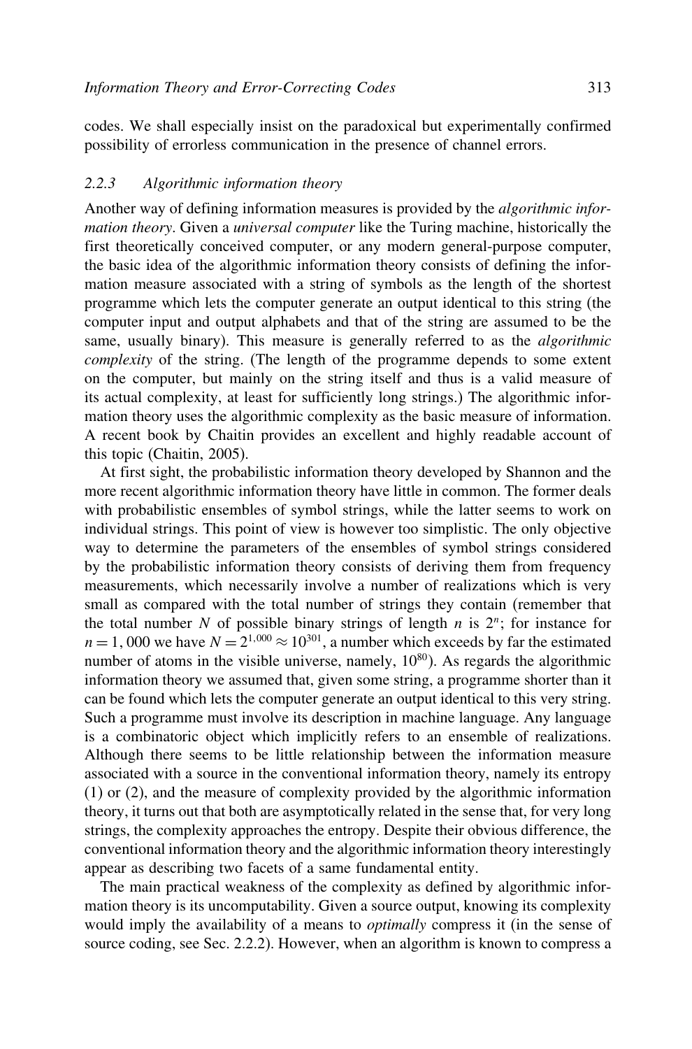codes. We shall especially insist on the paradoxical but experimentally confirmed possibility of errorless communication in the presence of channel errors.

### *2.2.3 Algorithmic information theory*

Another way of defining information measures is provided by the *algorithmic information theory*. Given a *universal computer* like the Turing machine, historically the first theoretically conceived computer, or any modern general-purpose computer, the basic idea of the algorithmic information theory consists of defining the information measure associated with a string of symbols as the length of the shortest programme which lets the computer generate an output identical to this string (the computer input and output alphabets and that of the string are assumed to be the same, usually binary). This measure is generally referred to as the *algorithmic complexity* of the string. (The length of the programme depends to some extent on the computer, but mainly on the string itself and thus is a valid measure of its actual complexity, at least for sufficiently long strings.) The algorithmic information theory uses the algorithmic complexity as the basic measure of information. A recent book by Chaitin provides an excellent and highly readable account of this topic (Chaitin, 2005).

At first sight, the probabilistic information theory developed by Shannon and the more recent algorithmic information theory have little in common. The former deals with probabilistic ensembles of symbol strings, while the latter seems to work on individual strings. This point of view is however too simplistic. The only objective way to determine the parameters of the ensembles of symbol strings considered by the probabilistic information theory consists of deriving them from frequency measurements, which necessarily involve a number of realizations which is very small as compared with the total number of strings they contain (remember that the total number N of possible binary strings of length  $n$  is  $2^n$ ; for instance for  $n = 1,000$  we have  $N = 2^{1,000} \approx 10^{301}$ , a number which exceeds by far the estimated number of atoms in the visible universe, namely,  $10^{80}$ ). As regards the algorithmic information theory we assumed that, given some string, a programme shorter than it can be found which lets the computer generate an output identical to this very string. Such a programme must involve its description in machine language. Any language is a combinatoric object which implicitly refers to an ensemble of realizations. Although there seems to be little relationship between the information measure associated with a source in the conventional information theory, namely its entropy (1) or (2), and the measure of complexity provided by the algorithmic information theory, it turns out that both are asymptotically related in the sense that, for very long strings, the complexity approaches the entropy. Despite their obvious difference, the conventional information theory and the algorithmic information theory interestingly appear as describing two facets of a same fundamental entity.

The main practical weakness of the complexity as defined by algorithmic information theory is its uncomputability. Given a source output, knowing its complexity would imply the availability of a means to *optimally* compress it (in the sense of source coding, see Sec. 2.2.2). However, when an algorithm is known to compress a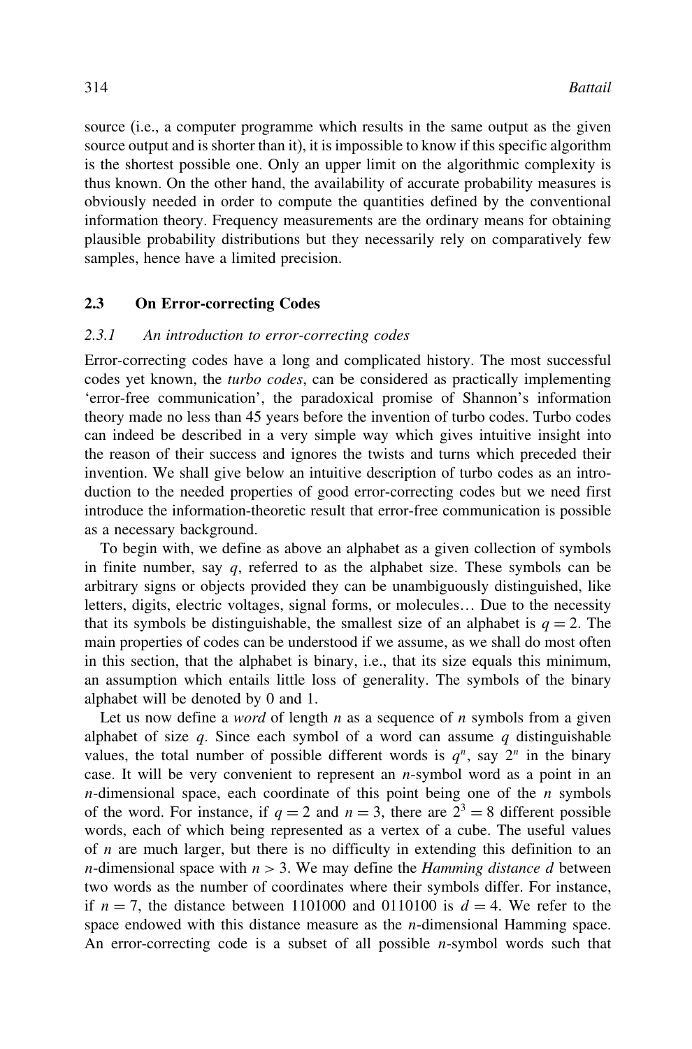source (i.e., a computer programme which results in the same output as the given source output and is shorter than it), it is impossible to know if this specific algorithm is the shortest possible one. Only an upper limit on the algorithmic complexity is thus known. On the other hand, the availability of accurate probability measures is obviously needed in order to compute the quantities defined by the conventional information theory. Frequency measurements are the ordinary means for obtaining plausible probability distributions but they necessarily rely on comparatively few samples, hence have a limited precision.

### **2.3 On Error-correcting Codes**

### *2.3.1 An introduction to error-correcting codes*

Error-correcting codes have a long and complicated history. The most successful codes yet known, the *turbo codes*, can be considered as practically implementing 'error-free communication', the paradoxical promise of Shannon's information theory made no less than 45 years before the invention of turbo codes. Turbo codes can indeed be described in a very simple way which gives intuitive insight into the reason of their success and ignores the twists and turns which preceded their invention. We shall give below an intuitive description of turbo codes as an introduction to the needed properties of good error-correcting codes but we need first introduce the information-theoretic result that error-free communication is possible as a necessary background.

To begin with, we define as above an alphabet as a given collection of symbols in finite number, say  $q$ , referred to as the alphabet size. These symbols can be arbitrary signs or objects provided they can be unambiguously distinguished, like letters, digits, electric voltages, signal forms, or molecules… Due to the necessity that its symbols be distinguishable, the smallest size of an alphabet is  $q = 2$ . The main properties of codes can be understood if we assume, as we shall do most often in this section, that the alphabet is binary, i.e., that its size equals this minimum, an assumption which entails little loss of generality. The symbols of the binary alphabet will be denoted by 0 and 1.

Let us now define a *word* of length  $n$  as a sequence of  $n$  symbols from a given alphabet of size  $q$ . Since each symbol of a word can assume  $q$  distinguishable values, the total number of possible different words is  $q^n$ , say  $2^n$  in the binary case. It will be very convenient to represent an  $n$ -symbol word as a point in an *n*-dimensional space, each coordinate of this point being one of the *n* symbols of the word. For instance, if  $q = 2$  and  $n = 3$ , there are  $2<sup>3</sup> = 8$  different possible words, each of which being represented as a vertex of a cube. The useful values of  $n$  are much larger, but there is no difficulty in extending this definition to an *n*-dimensional space with  $n > 3$ . We may define the *Hamming distance* d between two words as the number of coordinates where their symbols differ. For instance, if  $n = 7$ , the distance between 1101000 and 0110100 is  $d = 4$ . We refer to the space endowed with this distance measure as the n-dimensional Hamming space. An error-correcting code is a subset of all possible  $n$ -symbol words such that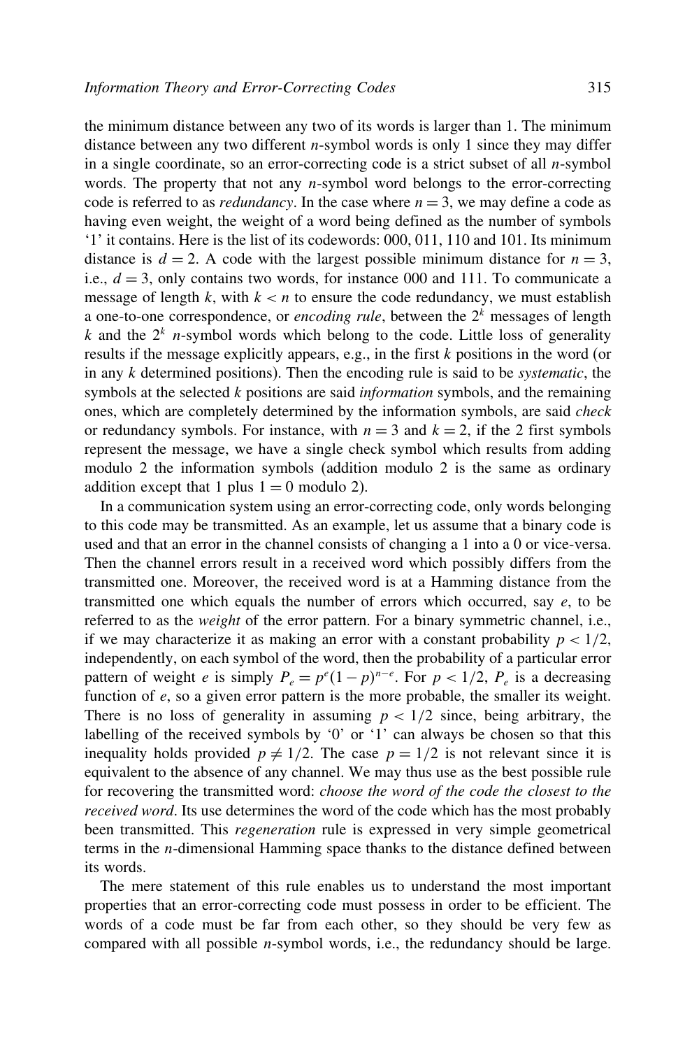the minimum distance between any two of its words is larger than 1. The minimum distance between any two different *n*-symbol words is only 1 since they may differ in a single coordinate, so an error-correcting code is a strict subset of all  $n$ -symbol words. The property that not any *n*-symbol word belongs to the error-correcting code is referred to as *redundancy*. In the case where  $n = 3$ , we may define a code as having even weight, the weight of a word being defined as the number of symbols '1' it contains. Here is the list of its codewords: 000, 011, 110 and 101. Its minimum distance is  $d = 2$ . A code with the largest possible minimum distance for  $n = 3$ , i.e.,  $d = 3$ , only contains two words, for instance 000 and 111. To communicate a message of length k, with  $k < n$  to ensure the code redundancy, we must establish a one-to-one correspondence, or *encoding rule*, between the  $2<sup>k</sup>$  messages of length k and the  $2^k$  n-symbol words which belong to the code. Little loss of generality results if the message explicitly appears, e.g., in the first k positions in the word (or in any k determined positions). Then the encoding rule is said to be *systematic*, the symbols at the selected k positions are said *information* symbols, and the remaining ones, which are completely determined by the information symbols, are said *check* or redundancy symbols. For instance, with  $n = 3$  and  $k = 2$ , if the 2 first symbols represent the message, we have a single check symbol which results from adding modulo 2 the information symbols (addition modulo 2 is the same as ordinary addition except that 1 plus  $1 = 0$  modulo 2).

In a communication system using an error-correcting code, only words belonging to this code may be transmitted. As an example, let us assume that a binary code is used and that an error in the channel consists of changing a 1 into a 0 or vice-versa. Then the channel errors result in a received word which possibly differs from the transmitted one. Moreover, the received word is at a Hamming distance from the transmitted one which equals the number of errors which occurred, say  $e$ , to be referred to as the *weight* of the error pattern. For a binary symmetric channel, i.e., if we may characterize it as making an error with a constant probability  $p < 1/2$ , independently, on each symbol of the word, then the probability of a particular error pattern of weight *e* is simply  $P_e = p^e (1-p)^{n-e}$ . For  $p < 1/2$ ,  $P_e$  is a decreasing function of e, so a given error pattern is the more probable, the smaller its weight. There is no loss of generality in assuming  $p < 1/2$  since, being arbitrary, the labelling of the received symbols by '0' or '1' can always be chosen so that this inequality holds provided  $p \neq 1/2$ . The case  $p = 1/2$  is not relevant since it is equivalent to the absence of any channel. We may thus use as the best possible rule for recovering the transmitted word: *choose the word of the code the closest to the received word*. Its use determines the word of the code which has the most probably been transmitted. This *regeneration* rule is expressed in very simple geometrical terms in the n-dimensional Hamming space thanks to the distance defined between its words.

The mere statement of this rule enables us to understand the most important properties that an error-correcting code must possess in order to be efficient. The words of a code must be far from each other, so they should be very few as compared with all possible n-symbol words, i.e., the redundancy should be large.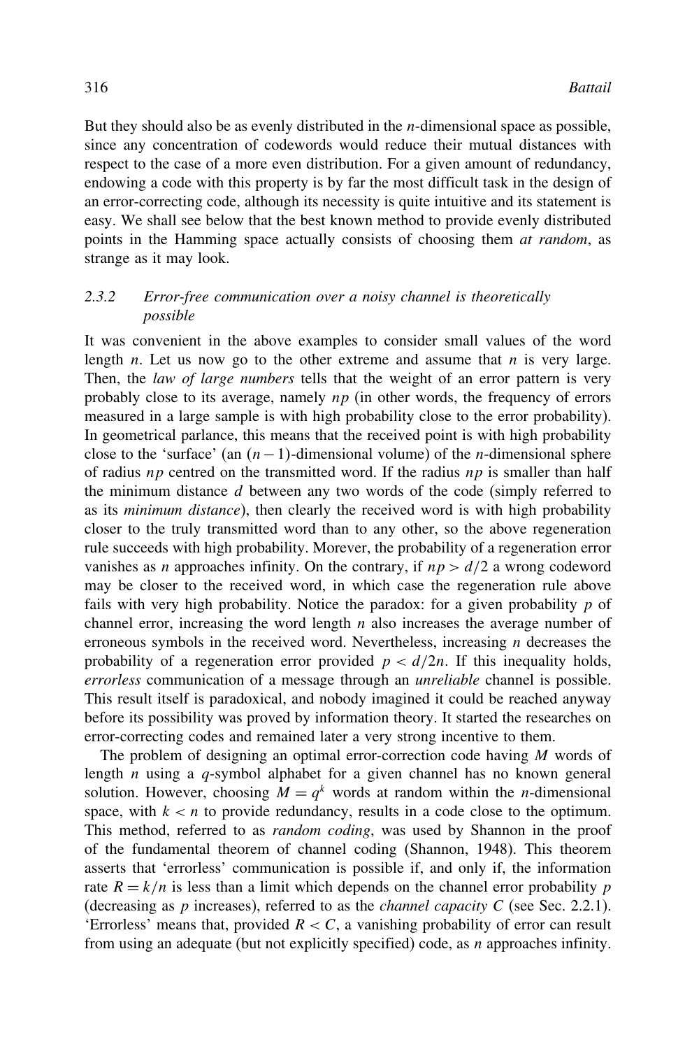But they should also be as evenly distributed in the n-dimensional space as possible, since any concentration of codewords would reduce their mutual distances with respect to the case of a more even distribution. For a given amount of redundancy, endowing a code with this property is by far the most difficult task in the design of an error-correcting code, although its necessity is quite intuitive and its statement is easy. We shall see below that the best known method to provide evenly distributed points in the Hamming space actually consists of choosing them *at random*, as strange as it may look.

## *2.3.2 Error-free communication over a noisy channel is theoretically possible*

It was convenient in the above examples to consider small values of the word length *n*. Let us now go to the other extreme and assume that *n* is very large. Then, the *law of large numbers* tells that the weight of an error pattern is very probably close to its average, namely  $np$  (in other words, the frequency of errors measured in a large sample is with high probability close to the error probability). In geometrical parlance, this means that the received point is with high probability close to the 'surface' (an  $(n-1)$ -dimensional volume) of the *n*-dimensional sphere of radius  $np$  centred on the transmitted word. If the radius  $np$  is smaller than half the minimum distance d between any two words of the code (simply referred to as its *minimum distance*), then clearly the received word is with high probability closer to the truly transmitted word than to any other, so the above regeneration rule succeeds with high probability. Morever, the probability of a regeneration error vanishes as *n* approaches infinity. On the contrary, if  $np > d/2$  a wrong codeword may be closer to the received word, in which case the regeneration rule above fails with very high probability. Notice the paradox: for a given probability  $p$  of channel error, increasing the word length  $n$  also increases the average number of erroneous symbols in the received word. Nevertheless, increasing  $n$  decreases the probability of a regeneration error provided  $p < d/2n$ . If this inequality holds, *errorless* communication of a message through an *unreliable* channel is possible. This result itself is paradoxical, and nobody imagined it could be reached anyway before its possibility was proved by information theory. It started the researches on error-correcting codes and remained later a very strong incentive to them.

The problem of designing an optimal error-correction code having M words of length *n* using a *q*-symbol alphabet for a given channel has no known general solution. However, choosing  $M = q^k$  words at random within the *n*-dimensional space, with  $k < n$  to provide redundancy, results in a code close to the optimum. This method, referred to as *random coding*, was used by Shannon in the proof of the fundamental theorem of channel coding (Shannon, 1948). This theorem asserts that 'errorless' communication is possible if, and only if, the information rate  $R = k/n$  is less than a limit which depends on the channel error probability p (decreasing as p increases), referred to as the *channel capacity* C (see Sec. 2.2.1). 'Errorless' means that, provided  $R < C$ , a vanishing probability of error can result from using an adequate (but not explicitly specified) code, as n approaches infinity.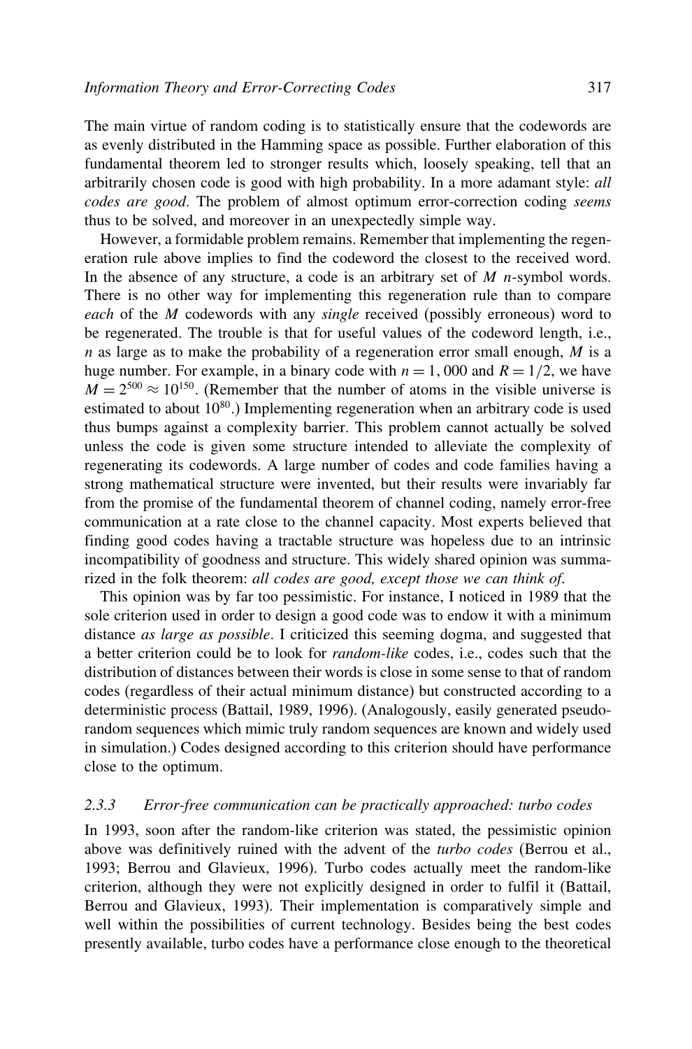The main virtue of random coding is to statistically ensure that the codewords are as evenly distributed in the Hamming space as possible. Further elaboration of this fundamental theorem led to stronger results which, loosely speaking, tell that an arbitrarily chosen code is good with high probability. In a more adamant style: *all codes are good*. The problem of almost optimum error-correction coding *seems* thus to be solved, and moreover in an unexpectedly simple way.

However, a formidable problem remains. Remember that implementing the regeneration rule above implies to find the codeword the closest to the received word. In the absence of any structure, a code is an arbitrary set of  $M$  n-symbol words. There is no other way for implementing this regeneration rule than to compare *each* of the M codewords with any *single* received (possibly erroneous) word to be regenerated. The trouble is that for useful values of the codeword length, i.e.,  $n$  as large as to make the probability of a regeneration error small enough,  $M$  is a huge number. For example, in a binary code with  $n = 1,000$  and  $R = 1/2$ , we have  $M = 2^{500} \approx 10^{150}$ . (Remember that the number of atoms in the visible universe is estimated to about  $10^{80}$ .) Implementing regeneration when an arbitrary code is used thus bumps against a complexity barrier. This problem cannot actually be solved unless the code is given some structure intended to alleviate the complexity of regenerating its codewords. A large number of codes and code families having a strong mathematical structure were invented, but their results were invariably far from the promise of the fundamental theorem of channel coding, namely error-free communication at a rate close to the channel capacity. Most experts believed that finding good codes having a tractable structure was hopeless due to an intrinsic incompatibility of goodness and structure. This widely shared opinion was summarized in the folk theorem: *all codes are good, except those we can think of*.

This opinion was by far too pessimistic. For instance, I noticed in 1989 that the sole criterion used in order to design a good code was to endow it with a minimum distance *as large as possible*. I criticized this seeming dogma, and suggested that a better criterion could be to look for *random-like* codes, i.e., codes such that the distribution of distances between their words is close in some sense to that of random codes (regardless of their actual minimum distance) but constructed according to a deterministic process (Battail, 1989, 1996). (Analogously, easily generated pseudorandom sequences which mimic truly random sequences are known and widely used in simulation.) Codes designed according to this criterion should have performance close to the optimum.

### *2.3.3 Error-free communication can be practically approached: turbo codes*

In 1993, soon after the random-like criterion was stated, the pessimistic opinion above was definitively ruined with the advent of the *turbo codes* (Berrou et al., 1993; Berrou and Glavieux, 1996). Turbo codes actually meet the random-like criterion, although they were not explicitly designed in order to fulfil it (Battail, Berrou and Glavieux, 1993). Their implementation is comparatively simple and well within the possibilities of current technology. Besides being the best codes presently available, turbo codes have a performance close enough to the theoretical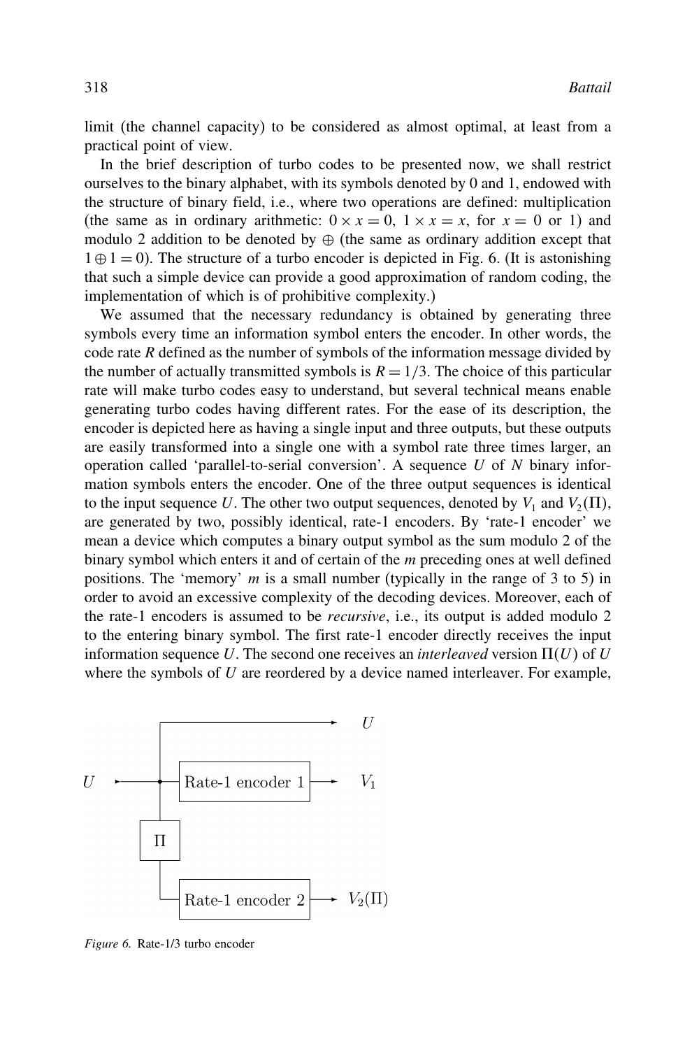limit (the channel capacity) to be considered as almost optimal, at least from a practical point of view.

In the brief description of turbo codes to be presented now, we shall restrict ourselves to the binary alphabet, with its symbols denoted by 0 and 1, endowed with the structure of binary field, i.e., where two operations are defined: multiplication (the same as in ordinary arithmetic:  $0 \times x = 0$ ,  $1 \times x = x$ , for  $x = 0$  or 1) and modulo 2 addition to be denoted by  $\oplus$  (the same as ordinary addition except that  $1 \oplus 1 = 0$ ). The structure of a turbo encoder is depicted in Fig. 6. (It is astonishing that such a simple device can provide a good approximation of random coding, the implementation of which is of prohibitive complexity.)

We assumed that the necessary redundancy is obtained by generating three symbols every time an information symbol enters the encoder. In other words, the code rate  $R$  defined as the number of symbols of the information message divided by the number of actually transmitted symbols is  $R = 1/3$ . The choice of this particular rate will make turbo codes easy to understand, but several technical means enable generating turbo codes having different rates. For the ease of its description, the encoder is depicted here as having a single input and three outputs, but these outputs are easily transformed into a single one with a symbol rate three times larger, an operation called 'parallel-to-serial conversion'. A sequence  $U$  of  $N$  binary information symbols enters the encoder. One of the three output sequences is identical to the input sequence U. The other two output sequences, denoted by  $V_1$  and  $V_2(\Pi)$ , are generated by two, possibly identical, rate-1 encoders. By 'rate-1 encoder' we mean a device which computes a binary output symbol as the sum modulo 2 of the binary symbol which enters it and of certain of the m preceding ones at well defined positions. The 'memory'  $m$  is a small number (typically in the range of 3 to 5) in order to avoid an excessive complexity of the decoding devices. Moreover, each of the rate-1 encoders is assumed to be *recursive*, i.e., its output is added modulo 2 to the entering binary symbol. The first rate-1 encoder directly receives the input information sequence U. The second one receives an *interleaved* version  $\Pi(U)$  of U where the symbols of  $U$  are reordered by a device named interleaver. For example,



*Figure 6.* Rate-1/3 turbo encoder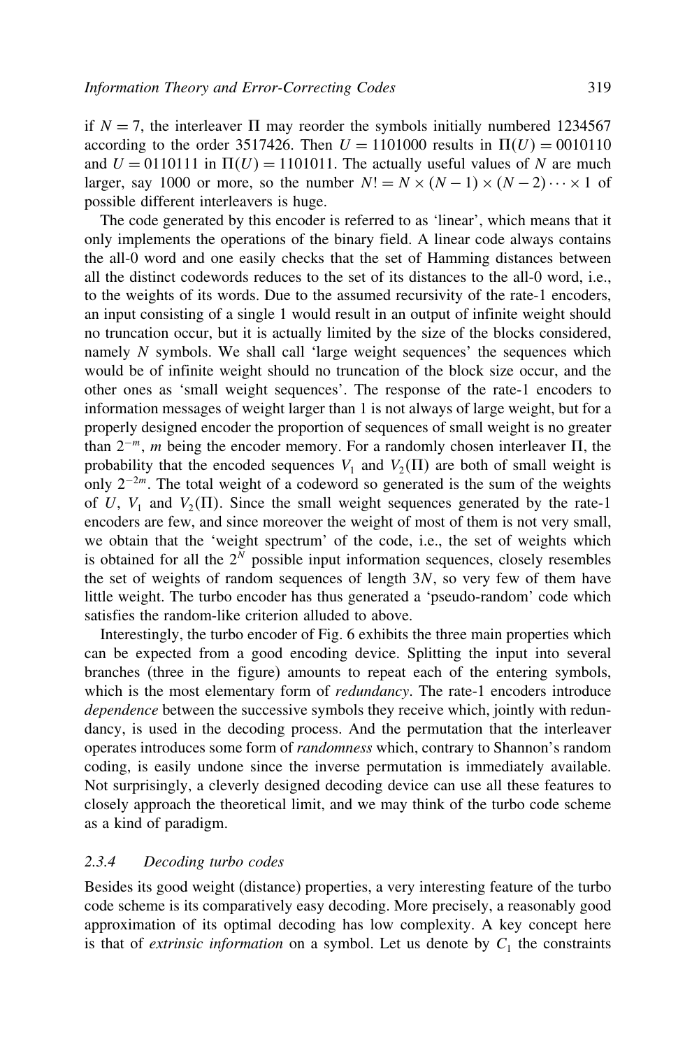if  $N = 7$ , the interleaver  $\Pi$  may reorder the symbols initially numbered 1234567 according to the order 3517426. Then  $U = 1101000$  results in  $\Pi(U) = 0010110$ and  $U = 0110111$  in  $\Pi(U) = 1101011$ . The actually useful values of N are much larger, say 1000 or more, so the number  $N! = N \times (N-1) \times (N-2) \cdots \times 1$  of possible different interleavers is huge.

The code generated by this encoder is referred to as 'linear', which means that it only implements the operations of the binary field. A linear code always contains the all-0 word and one easily checks that the set of Hamming distances between all the distinct codewords reduces to the set of its distances to the all-0 word, i.e., to the weights of its words. Due to the assumed recursivity of the rate-1 encoders, an input consisting of a single 1 would result in an output of infinite weight should no truncation occur, but it is actually limited by the size of the blocks considered, namely  $N$  symbols. We shall call 'large weight sequences' the sequences which would be of infinite weight should no truncation of the block size occur, and the other ones as 'small weight sequences'. The response of the rate-1 encoders to information messages of weight larger than 1 is not always of large weight, but for a properly designed encoder the proportion of sequences of small weight is no greater than  $2^{-m}$ , *m* being the encoder memory. For a randomly chosen interleaver  $\Pi$ , the probability that the encoded sequences  $V_1$  and  $V_2(\Pi)$  are both of small weight is only  $2^{-2m}$ . The total weight of a codeword so generated is the sum of the weights of U,  $V_1$  and  $V_2(\Pi)$ . Since the small weight sequences generated by the rate-1 encoders are few, and since moreover the weight of most of them is not very small, we obtain that the 'weight spectrum' of the code, i.e., the set of weights which is obtained for all the  $2^N$  possible input information sequences, closely resembles the set of weights of random sequences of length 3N, so very few of them have little weight. The turbo encoder has thus generated a 'pseudo-random' code which satisfies the random-like criterion alluded to above.

Interestingly, the turbo encoder of Fig. 6 exhibits the three main properties which can be expected from a good encoding device. Splitting the input into several branches (three in the figure) amounts to repeat each of the entering symbols, which is the most elementary form of *redundancy*. The rate-1 encoders introduce *dependence* between the successive symbols they receive which, jointly with redundancy, is used in the decoding process. And the permutation that the interleaver operates introduces some form of *randomness* which, contrary to Shannon's random coding, is easily undone since the inverse permutation is immediately available. Not surprisingly, a cleverly designed decoding device can use all these features to closely approach the theoretical limit, and we may think of the turbo code scheme as a kind of paradigm.

#### *2.3.4 Decoding turbo codes*

Besides its good weight (distance) properties, a very interesting feature of the turbo code scheme is its comparatively easy decoding. More precisely, a reasonably good approximation of its optimal decoding has low complexity. A key concept here is that of *extrinsic information* on a symbol. Let us denote by  $C_1$  the constraints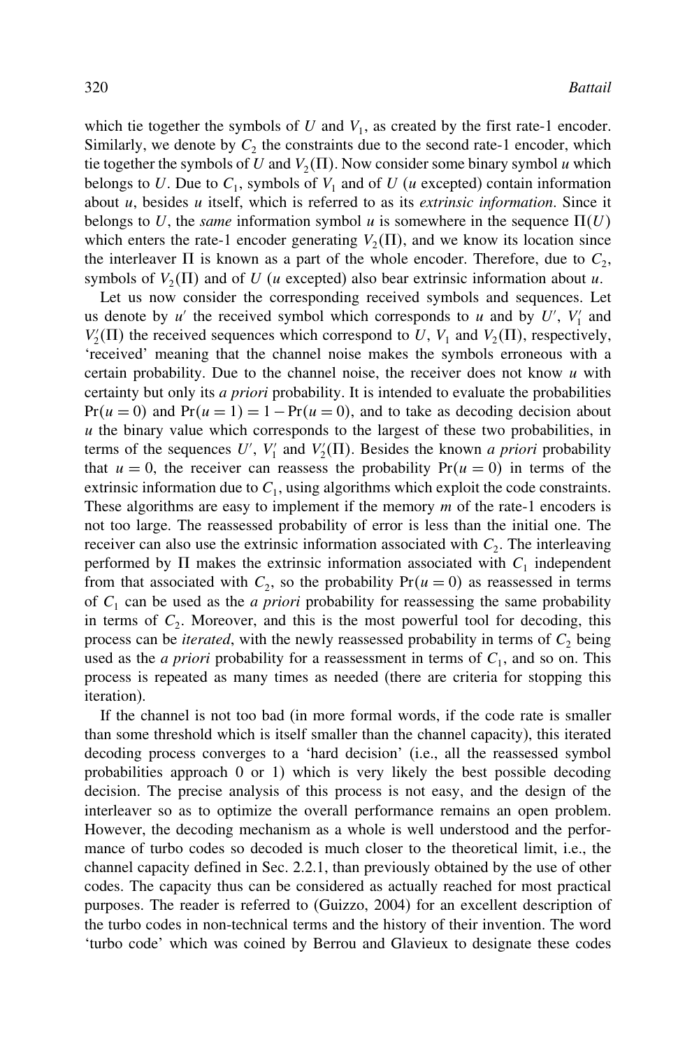which tie together the symbols of  $U$  and  $V_1$ , as created by the first rate-1 encoder. Similarly, we denote by  $C_2$  the constraints due to the second rate-1 encoder, which tie together the symbols of U and  $V_2(\Pi)$ . Now consider some binary symbol u which belongs to U. Due to  $C_1$ , symbols of  $V_1$  and of U (u excepted) contain information about u, besides u itself, which is referred to as its *extrinsic information*. Since it belongs to U, the *same* information symbol  $u$  is somewhere in the sequence  $\Pi(U)$ which enters the rate-1 encoder generating  $V_2(\Pi)$ , and we know its location since the interleaver  $\Pi$  is known as a part of the whole encoder. Therefore, due to  $C_2$ , symbols of  $V_2(\Pi)$  and of U (u excepted) also bear extrinsic information about u.

Let us now consider the corresponding received symbols and sequences. Let us denote by  $u'$  the received symbol which corresponds to  $u$  and by  $U'$ ,  $V'_{1}$  and  $V_2(\Pi)$  the received sequences which correspond to U,  $V_1$  and  $V_2(\Pi)$ , respectively, 'received' meaning that the channel noise makes the symbols erroneous with a certain probability. Due to the channel noise, the receiver does not know  $u$  with certainty but only its *a priori* probability. It is intended to evaluate the probabilities  $Pr(u = 0)$  and  $Pr(u = 1) = 1 - Pr(u = 0)$ , and to take as decoding decision about  $u$  the binary value which corresponds to the largest of these two probabilities, in terms of the sequences  $U'$ ,  $V'_1$  and  $V'_2(\Pi)$ . Besides the known *a priori* probability that  $u = 0$ , the receiver can reassess the probability  $Pr(u = 0)$  in terms of the extrinsic information due to  $C_1$ , using algorithms which exploit the code constraints. These algorithms are easy to implement if the memory  $m$  of the rate-1 encoders is not too large. The reassessed probability of error is less than the initial one. The receiver can also use the extrinsic information associated with  $C_2$ . The interleaving performed by  $\Pi$  makes the extrinsic information associated with  $C_1$  independent from that associated with  $C_2$ , so the probability  $Pr(u = 0)$  as reassessed in terms of  $C_1$  can be used as the *a priori* probability for reassessing the same probability in terms of  $C_2$ . Moreover, and this is the most powerful tool for decoding, this process can be *iterated*, with the newly reassessed probability in terms of  $C<sub>2</sub>$  being used as the *a priori* probability for a reassessment in terms of  $C<sub>1</sub>$ , and so on. This process is repeated as many times as needed (there are criteria for stopping this iteration).

If the channel is not too bad (in more formal words, if the code rate is smaller than some threshold which is itself smaller than the channel capacity), this iterated decoding process converges to a 'hard decision' (i.e., all the reassessed symbol probabilities approach 0 or 1) which is very likely the best possible decoding decision. The precise analysis of this process is not easy, and the design of the interleaver so as to optimize the overall performance remains an open problem. However, the decoding mechanism as a whole is well understood and the performance of turbo codes so decoded is much closer to the theoretical limit, i.e., the channel capacity defined in Sec. 2.2.1, than previously obtained by the use of other codes. The capacity thus can be considered as actually reached for most practical purposes. The reader is referred to (Guizzo, 2004) for an excellent description of the turbo codes in non-technical terms and the history of their invention. The word 'turbo code' which was coined by Berrou and Glavieux to designate these codes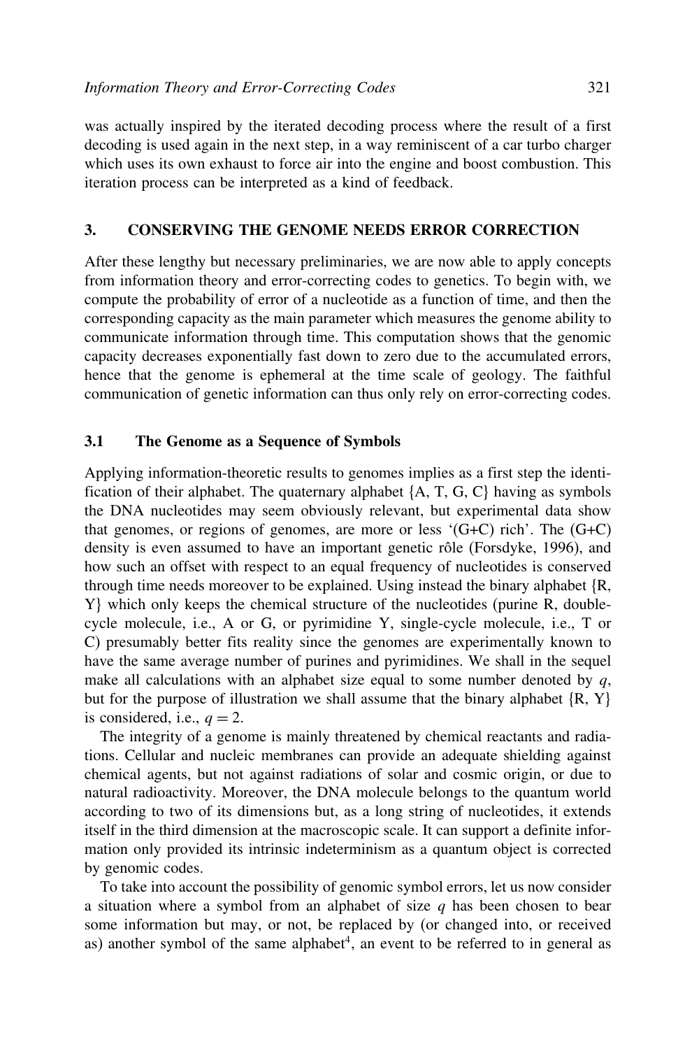was actually inspired by the iterated decoding process where the result of a first decoding is used again in the next step, in a way reminiscent of a car turbo charger which uses its own exhaust to force air into the engine and boost combustion. This iteration process can be interpreted as a kind of feedback.

### **3. CONSERVING THE GENOME NEEDS ERROR CORRECTION**

After these lengthy but necessary preliminaries, we are now able to apply concepts from information theory and error-correcting codes to genetics. To begin with, we compute the probability of error of a nucleotide as a function of time, and then the corresponding capacity as the main parameter which measures the genome ability to communicate information through time. This computation shows that the genomic capacity decreases exponentially fast down to zero due to the accumulated errors, hence that the genome is ephemeral at the time scale of geology. The faithful communication of genetic information can thus only rely on error-correcting codes.

### **3.1 The Genome as a Sequence of Symbols**

Applying information-theoretic results to genomes implies as a first step the identification of their alphabet. The quaternary alphabet  ${A, T, G, C}$  having as symbols the DNA nucleotides may seem obviously relevant, but experimental data show that genomes, or regions of genomes, are more or less  $(G+C)$  rich'. The  $(G+C)$ density is even assumed to have an important genetic rôle (Forsdyke, 1996), and how such an offset with respect to an equal frequency of nucleotides is conserved through time needs moreover to be explained. Using instead the binary alphabet {R, Y} which only keeps the chemical structure of the nucleotides (purine R, doublecycle molecule, i.e., A or G, or pyrimidine Y, single-cycle molecule, i.e., T or C) presumably better fits reality since the genomes are experimentally known to have the same average number of purines and pyrimidines. We shall in the sequel make all calculations with an alphabet size equal to some number denoted by  $q$ , but for the purpose of illustration we shall assume that the binary alphabet  ${R, Y}$ is considered, i.e.,  $q = 2$ .

The integrity of a genome is mainly threatened by chemical reactants and radiations. Cellular and nucleic membranes can provide an adequate shielding against chemical agents, but not against radiations of solar and cosmic origin, or due to natural radioactivity. Moreover, the DNA molecule belongs to the quantum world according to two of its dimensions but, as a long string of nucleotides, it extends itself in the third dimension at the macroscopic scale. It can support a definite information only provided its intrinsic indeterminism as a quantum object is corrected by genomic codes.

To take into account the possibility of genomic symbol errors, let us now consider a situation where a symbol from an alphabet of size  $q$  has been chosen to bear some information but may, or not, be replaced by (or changed into, or received as) another symbol of the same alphabet<sup>4</sup>, an event to be referred to in general as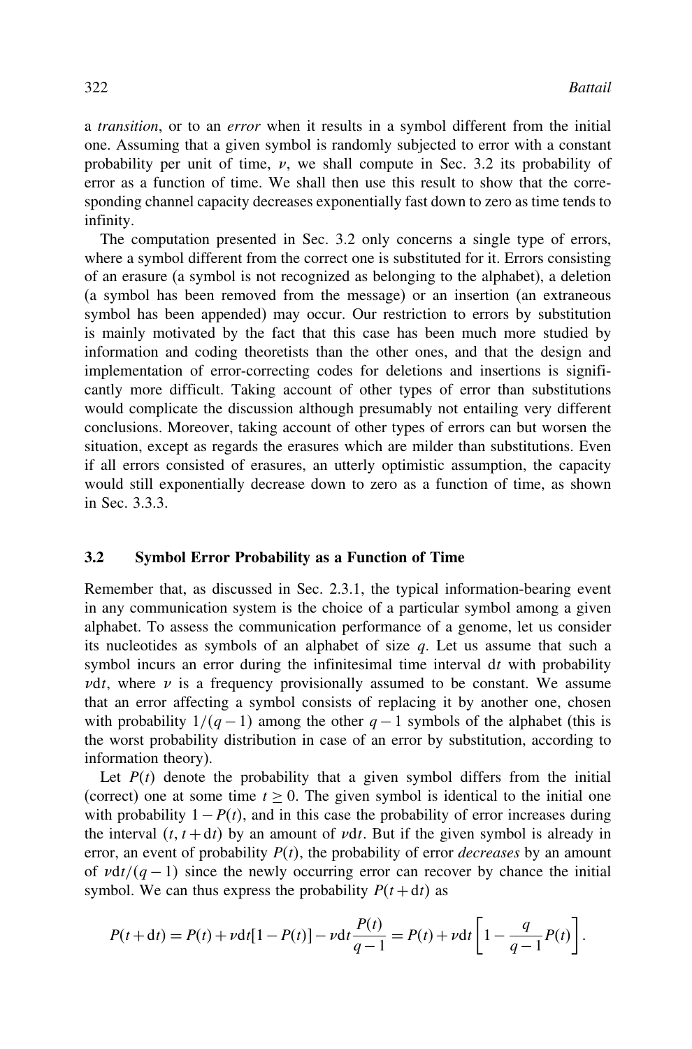a *transition*, or to an *error* when it results in a symbol different from the initial one. Assuming that a given symbol is randomly subjected to error with a constant probability per unit of time,  $\nu$ , we shall compute in Sec. 3.2 its probability of error as a function of time. We shall then use this result to show that the corresponding channel capacity decreases exponentially fast down to zero as time tends to infinity.

The computation presented in Sec. 3.2 only concerns a single type of errors, where a symbol different from the correct one is substituted for it. Errors consisting of an erasure (a symbol is not recognized as belonging to the alphabet), a deletion (a symbol has been removed from the message) or an insertion (an extraneous symbol has been appended) may occur. Our restriction to errors by substitution is mainly motivated by the fact that this case has been much more studied by information and coding theoretists than the other ones, and that the design and implementation of error-correcting codes for deletions and insertions is significantly more difficult. Taking account of other types of error than substitutions would complicate the discussion although presumably not entailing very different conclusions. Moreover, taking account of other types of errors can but worsen the situation, except as regards the erasures which are milder than substitutions. Even if all errors consisted of erasures, an utterly optimistic assumption, the capacity would still exponentially decrease down to zero as a function of time, as shown in Sec. 3.3.3.

## **3.2 Symbol Error Probability as a Function of Time**

Remember that, as discussed in Sec. 2.3.1, the typical information-bearing event in any communication system is the choice of a particular symbol among a given alphabet. To assess the communication performance of a genome, let us consider its nucleotides as symbols of an alphabet of size  $q$ . Let us assume that such a symbol incurs an error during the infinitesimal time interval  $dt$  with probability  $\nu dt$ , where  $\nu$  is a frequency provisionally assumed to be constant. We assume that an error affecting a symbol consists of replacing it by another one, chosen with probability  $1/(q-1)$  among the other  $q-1$  symbols of the alphabet (this is the worst probability distribution in case of an error by substitution, according to information theory).

Let  $P(t)$  denote the probability that a given symbol differs from the initial (correct) one at some time  $t > 0$ . The given symbol is identical to the initial one with probability  $1 - P(t)$ , and in this case the probability of error increases during the interval  $(t, t + dt)$  by an amount of  $\nu dt$ . But if the given symbol is already in error, an event of probability  $P(t)$ , the probability of error *decreases* by an amount of  $\nu dt/(q-1)$  since the newly occurring error can recover by chance the initial symbol. We can thus express the probability  $P(t + dt)$  as

$$
P(t + dt) = P(t) + \nu dt [1 - P(t)] - \nu dt \frac{P(t)}{q - 1} = P(t) + \nu dt \left[ 1 - \frac{q}{q - 1} P(t) \right].
$$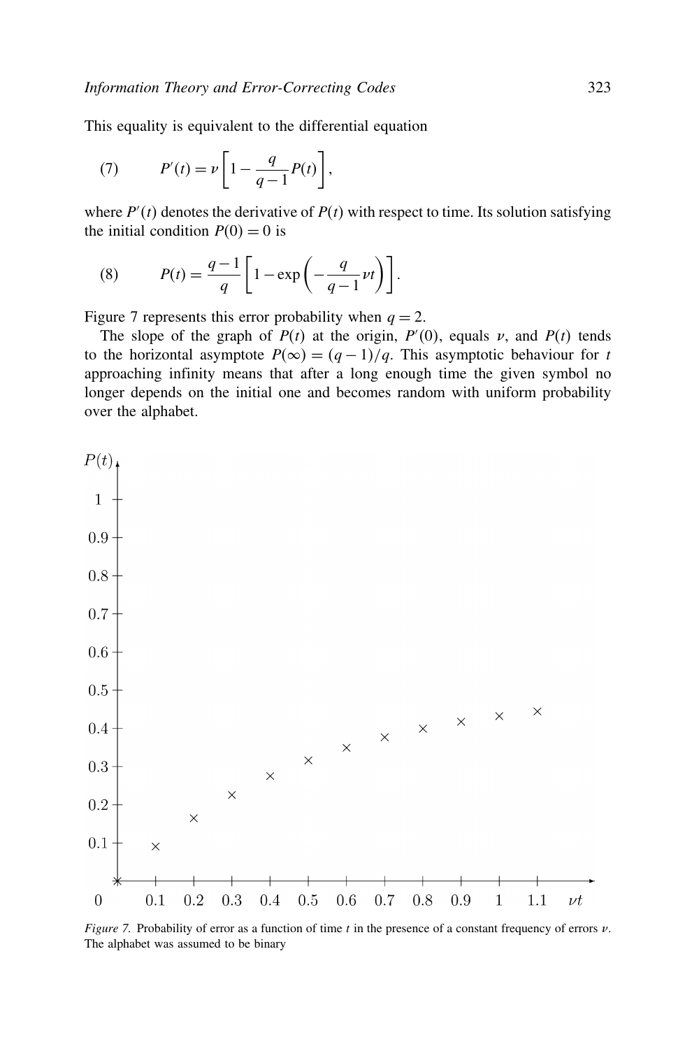This equality is equivalent to the differential equation

$$
(7) \tP'(t) = \nu \left[ 1 - \frac{q}{q-1} P(t) \right],
$$

where  $P'(t)$  denotes the derivative of  $P(t)$  with respect to time. Its solution satisfying the initial condition  $P(0) = 0$  is

(8) 
$$
P(t) = \frac{q-1}{q} \left[ 1 - \exp\left(-\frac{q}{q-1}\nu t\right) \right].
$$

Figure 7 represents this error probability when  $q = 2$ .

The slope of the graph of  $P(t)$  at the origin,  $P'(0)$ , equals v, and  $P(t)$  tends to the horizontal asymptote  $P(\infty) = (q-1)/q$ . This asymptotic behaviour for t approaching infinity means that after a long enough time the given symbol no longer depends on the initial one and becomes random with uniform probability over the alphabet.



*Figure 7.* Probability of error as a function of time  $t$  in the presence of a constant frequency of errors  $v$ . The alphabet was assumed to be binary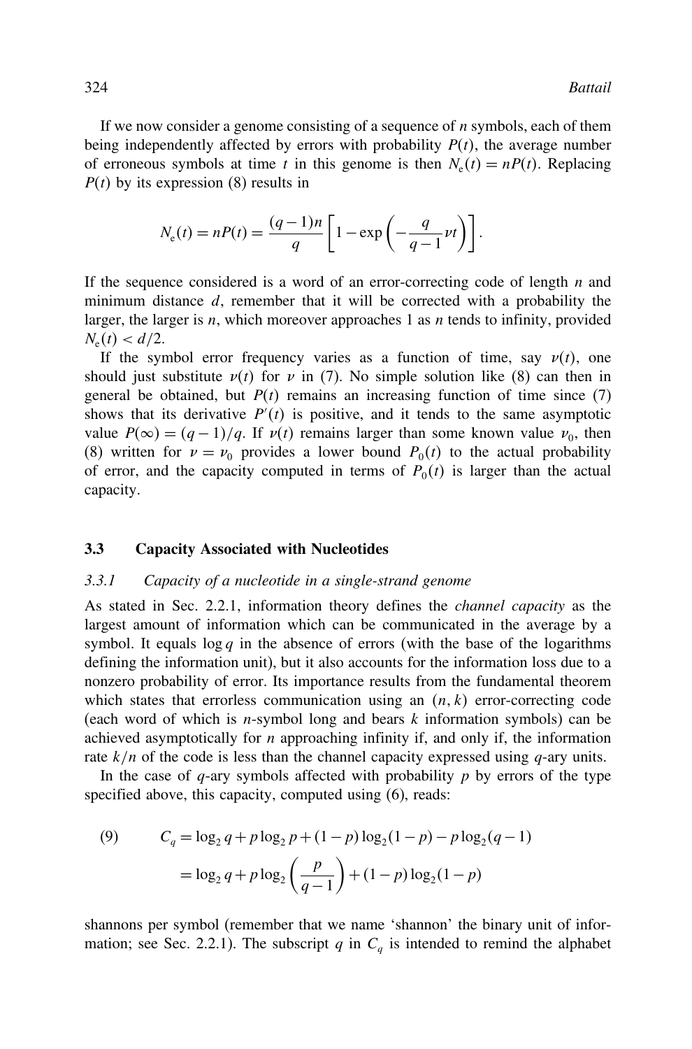If we now consider a genome consisting of a sequence of  $n$  symbols, each of them being independently affected by errors with probability  $P(t)$ , the average number of erroneous symbols at time t in this genome is then  $N_e(t) = nP(t)$ . Replacing  $P(t)$  by its expression (8) results in

$$
N_{e}(t) = nP(t) = \frac{(q-1)n}{q} \left[ 1 - \exp\left(-\frac{q}{q-1}\nu t\right) \right].
$$

If the sequence considered is a word of an error-correcting code of length  $n$  and minimum distance  $d$ , remember that it will be corrected with a probability the larger, the larger is  $n$ , which moreover approaches 1 as  $n$  tends to infinity, provided  $N_e(t) < d/2.$ 

If the symbol error frequency varies as a function of time, say  $\nu(t)$ , one should just substitute  $\nu(t)$  for  $\nu$  in (7). No simple solution like (8) can then in general be obtained, but  $P(t)$  remains an increasing function of time since (7) shows that its derivative  $P'(t)$  is positive, and it tends to the same asymptotic value  $P(\infty) = (q-1)/q$ . If  $\nu(t)$  remains larger than some known value  $\nu_0$ , then (8) written for  $v = v_0$  provides a lower bound  $P_0(t)$  to the actual probability of error, and the capacity computed in terms of  $P_0(t)$  is larger than the actual capacity.

### **3.3 Capacity Associated with Nucleotides**

### *3.3.1 Capacity of a nucleotide in a single-strand genome*

As stated in Sec. 2.2.1, information theory defines the *channel capacity* as the largest amount of information which can be communicated in the average by a symbol. It equals  $\log q$  in the absence of errors (with the base of the logarithms defining the information unit), but it also accounts for the information loss due to a nonzero probability of error. Its importance results from the fundamental theorem which states that errorless communication using an  $(n, k)$  error-correcting code (each word of which is *n*-symbol long and bears k information symbols) can be achieved asymptotically for  $n$  approaching infinity if, and only if, the information rate  $k/n$  of the code is less than the channel capacity expressed using  $q$ -ary units.

In the case of  $q$ -ary symbols affected with probability  $p$  by errors of the type specified above, this capacity, computed using  $(6)$ , reads:

(9) 
$$
C_q = \log_2 q + p \log_2 p + (1 - p) \log_2 (1 - p) - p \log_2 (q - 1)
$$

$$
= \log_2 q + p \log_2 \left(\frac{p}{q - 1}\right) + (1 - p) \log_2 (1 - p)
$$

shannons per symbol (remember that we name 'shannon' the binary unit of information; see Sec. 2.2.1). The subscript q in  $C_q$  is intended to remind the alphabet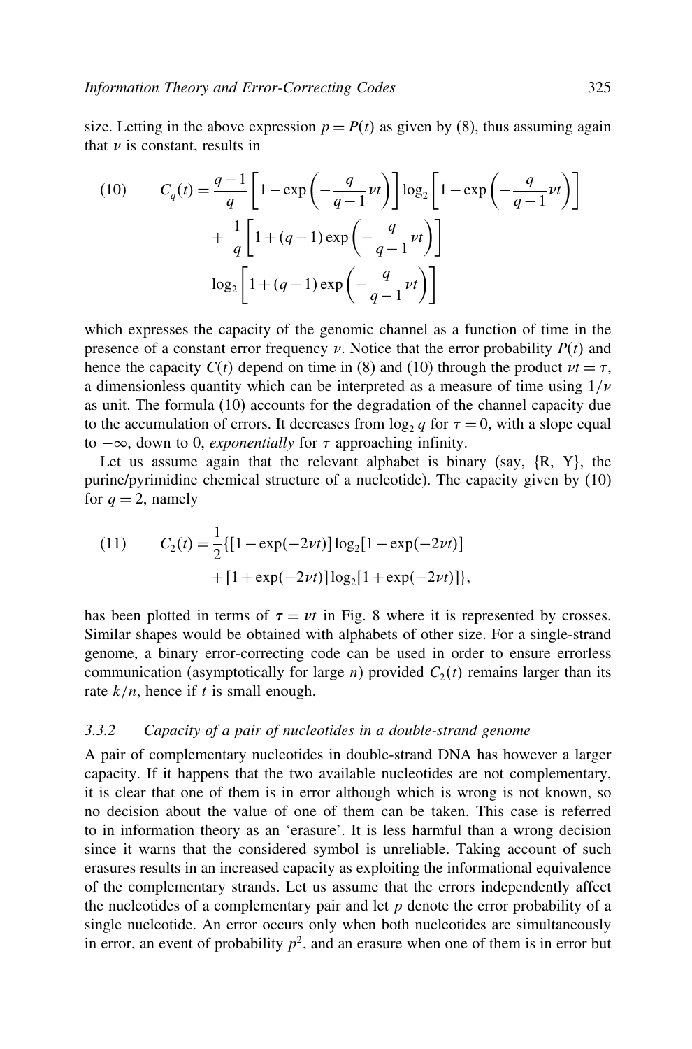size. Letting in the above expression  $p = P(t)$  as given by (8), thus assuming again that  $\nu$  is constant, results in

(10) 
$$
C_q(t) = \frac{q-1}{q} \left[ 1 - \exp\left(-\frac{q}{q-1}vt\right) \right] \log_2 \left[ 1 - \exp\left(-\frac{q}{q-1}vt\right) \right]
$$

$$
+ \frac{1}{q} \left[ 1 + (q-1)\exp\left(-\frac{q}{q-1}vt\right) \right]
$$

$$
\log_2 \left[ 1 + (q-1)\exp\left(-\frac{q}{q-1}vt\right) \right]
$$

which expresses the capacity of the genomic channel as a function of time in the presence of a constant error frequency  $\nu$ . Notice that the error probability  $P(t)$  and hence the capacity  $C(t)$  depend on time in (8) and (10) through the product  $\nu t = \tau$ , a dimensionless quantity which can be interpreted as a measure of time using  $1/\nu$ as unit. The formula (10) accounts for the degradation of the channel capacity due to the accumulation of errors. It decreases from  $\log_2 q$  for  $\tau = 0$ , with a slope equal to  $-\infty$ , down to 0, *exponentially* for  $\tau$  approaching infinity.

Let us assume again that the relevant alphabet is binary (say,  $\{R, Y\}$ , the purine/pyrimidine chemical structure of a nucleotide). The capacity given by (10) for  $q = 2$ , namely

(11) 
$$
C_2(t) = \frac{1}{2} \{ [1 - \exp(-2\nu t)] \log_2 [1 - \exp(-2\nu t)] + [1 + \exp(-2\nu t)] \log_2 [1 + \exp(-2\nu t)] \},
$$

has been plotted in terms of  $\tau = vt$  in Fig. 8 where it is represented by crosses. Similar shapes would be obtained with alphabets of other size. For a single-strand genome, a binary error-correcting code can be used in order to ensure errorless communication (asymptotically for large *n*) provided  $C_2(t)$  remains larger than its rate  $k/n$ , hence if t is small enough.

#### *3.3.2 Capacity of a pair of nucleotides in a double-strand genome*

A pair of complementary nucleotides in double-strand DNA has however a larger capacity. If it happens that the two available nucleotides are not complementary, it is clear that one of them is in error although which is wrong is not known, so no decision about the value of one of them can be taken. This case is referred to in information theory as an 'erasure'. It is less harmful than a wrong decision since it warns that the considered symbol is unreliable. Taking account of such erasures results in an increased capacity as exploiting the informational equivalence of the complementary strands. Let us assume that the errors independently affect the nucleotides of a complementary pair and let  $p$  denote the error probability of a single nucleotide. An error occurs only when both nucleotides are simultaneously in error, an event of probability  $p^2$ , and an erasure when one of them is in error but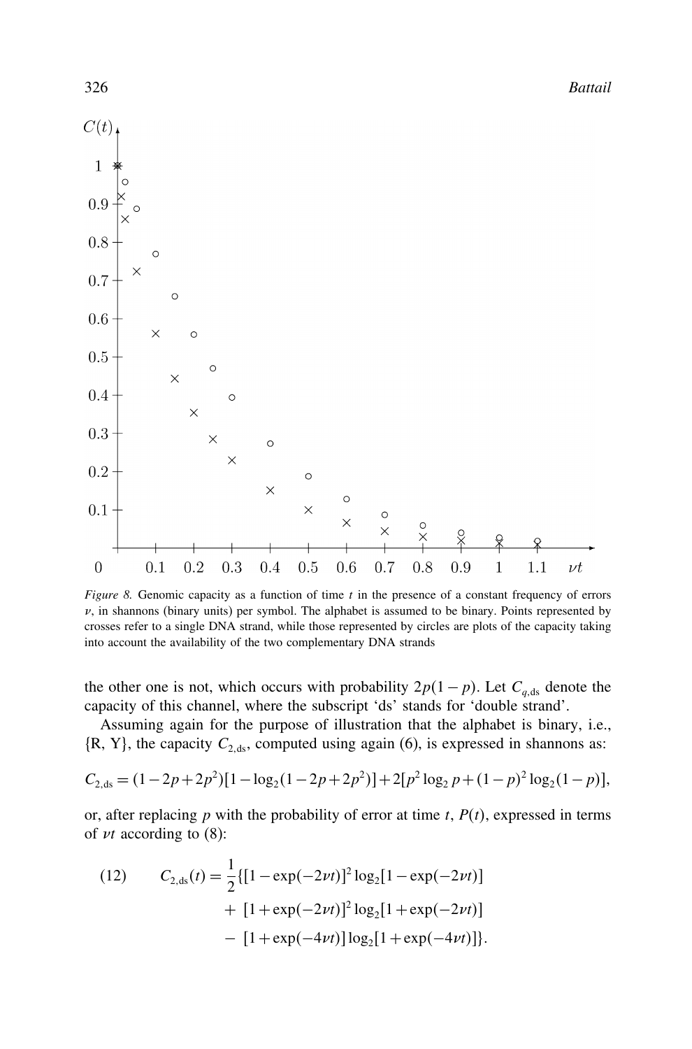



*Figure 8.* Genomic capacity as a function of time t in the presence of a constant frequency of errors  $\nu$ , in shannons (binary units) per symbol. The alphabet is assumed to be binary. Points represented by crosses refer to a single DNA strand, while those represented by circles are plots of the capacity taking into account the availability of the two complementary DNA strands

the other one is not, which occurs with probability  $2p(1-p)$ . Let  $C_{q,ds}$  denote the capacity of this channel, where the subscript 'ds' stands for 'double strand'.

Assuming again for the purpose of illustration that the alphabet is binary, i.e.,  ${R, Y}$ , the capacity  $C_{2,ds}$ , computed using again (6), is expressed in shannons as:

$$
C_{2,ds} = (1 - 2p + 2p^{2})[1 - \log_2(1 - 2p + 2p^{2})] + 2[p^{2}\log_2 p + (1 - p)^{2}\log_2(1 - p)],
$$

or, after replacing p with the probability of error at time t,  $P(t)$ , expressed in terms of  $\nu t$  according to (8):

(12) 
$$
C_{2,ds}(t) = \frac{1}{2} \{ [1 - \exp(-2\nu t)]^2 \log_2 [1 - \exp(-2\nu t)] + [1 + \exp(-2\nu t)]^2 \log_2 [1 + \exp(-2\nu t)] - [1 + \exp(-4\nu t)] \log_2 [1 + \exp(-4\nu t)] \}.
$$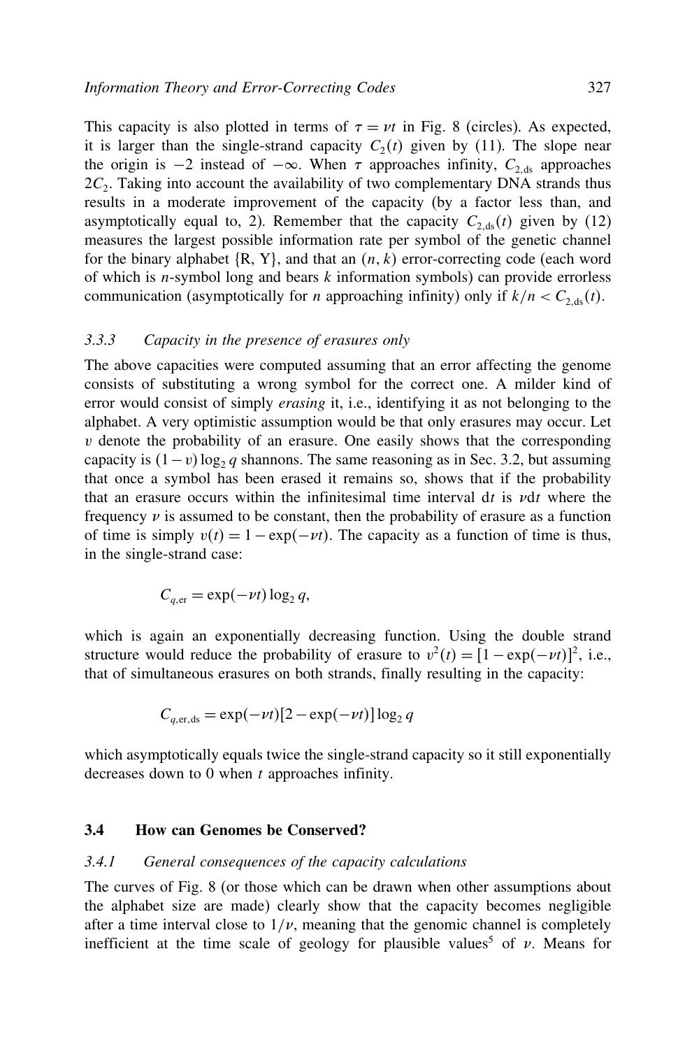This capacity is also plotted in terms of  $\tau = vt$  in Fig. 8 (circles). As expected, it is larger than the single-strand capacity  $C_2(t)$  given by (11). The slope near the origin is  $-2$  instead of  $-\infty$ . When  $\tau$  approaches infinity,  $C_{2,ds}$  approaches  $2C<sub>2</sub>$ . Taking into account the availability of two complementary DNA strands thus results in a moderate improvement of the capacity (by a factor less than, and asymptotically equal to, 2). Remember that the capacity  $C_{2,ds}(t)$  given by (12) measures the largest possible information rate per symbol of the genetic channel for the binary alphabet  $\{R, Y\}$ , and that an  $(n, k)$  error-correcting code (each word of which is *n*-symbol long and bears  $k$  information symbols) can provide errorless communication (asymptotically for *n* approaching infinity) only if  $k/n < C_{2,ds}(t)$ .

### *3.3.3 Capacity in the presence of erasures only*

The above capacities were computed assuming that an error affecting the genome consists of substituting a wrong symbol for the correct one. A milder kind of error would consist of simply *erasing* it, i.e., identifying it as not belonging to the alphabet. A very optimistic assumption would be that only erasures may occur. Let  $v$  denote the probability of an erasure. One easily shows that the corresponding capacity is  $(1-v)\log_2 q$  shannons. The same reasoning as in Sec. 3.2, but assuming that once a symbol has been erased it remains so, shows that if the probability that an erasure occurs within the infinitesimal time interval  $dt$  is  $\nu dt$  where the frequency  $\nu$  is assumed to be constant, then the probability of erasure as a function of time is simply  $v(t) = 1 - \exp(-\nu t)$ . The capacity as a function of time is thus, in the single-strand case:

$$
C_{q, \text{er}} = \exp(-\nu t) \log_2 q,
$$

which is again an exponentially decreasing function. Using the double strand structure would reduce the probability of erasure to  $v^2(t) = [1 - \exp(-\nu t)]^2$ , i.e., that of simultaneous erasures on both strands, finally resulting in the capacity:

$$
C_{q, \text{er}, \text{ds}} = \exp(-\nu t)[2 - \exp(-\nu t)] \log_2 q
$$

which asymptotically equals twice the single-strand capacity so it still exponentially decreases down to 0 when t approaches infinity.

## **3.4 How can Genomes be Conserved?**

#### *3.4.1 General consequences of the capacity calculations*

The curves of Fig. 8 (or those which can be drawn when other assumptions about the alphabet size are made) clearly show that the capacity becomes negligible after a time interval close to  $1/\nu$ , meaning that the genomic channel is completely inefficient at the time scale of geology for plausible values<sup>5</sup> of  $\nu$ . Means for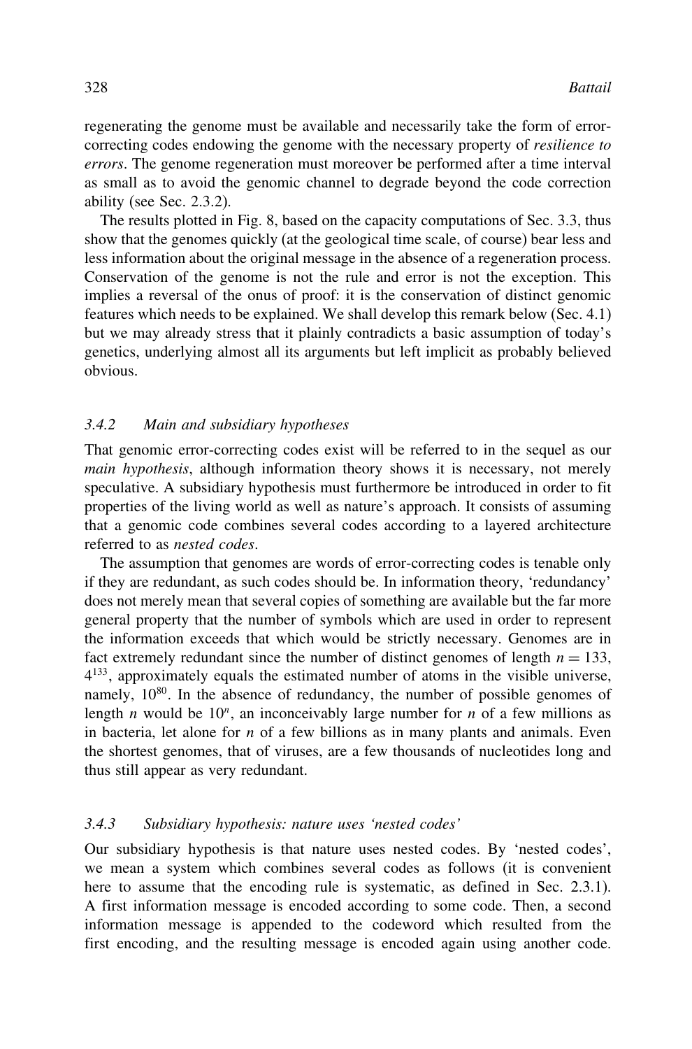regenerating the genome must be available and necessarily take the form of errorcorrecting codes endowing the genome with the necessary property of *resilience to errors*. The genome regeneration must moreover be performed after a time interval as small as to avoid the genomic channel to degrade beyond the code correction ability (see Sec. 2.3.2).

The results plotted in Fig. 8, based on the capacity computations of Sec. 3.3, thus show that the genomes quickly (at the geological time scale, of course) bear less and less information about the original message in the absence of a regeneration process. Conservation of the genome is not the rule and error is not the exception. This implies a reversal of the onus of proof: it is the conservation of distinct genomic features which needs to be explained. We shall develop this remark below (Sec. 4.1) but we may already stress that it plainly contradicts a basic assumption of today's genetics, underlying almost all its arguments but left implicit as probably believed obvious.

### *3.4.2 Main and subsidiary hypotheses*

That genomic error-correcting codes exist will be referred to in the sequel as our *main hypothesis*, although information theory shows it is necessary, not merely speculative. A subsidiary hypothesis must furthermore be introduced in order to fit properties of the living world as well as nature's approach. It consists of assuming that a genomic code combines several codes according to a layered architecture referred to as *nested codes*.

The assumption that genomes are words of error-correcting codes is tenable only if they are redundant, as such codes should be. In information theory, 'redundancy' does not merely mean that several copies of something are available but the far more general property that the number of symbols which are used in order to represent the information exceeds that which would be strictly necessary. Genomes are in fact extremely redundant since the number of distinct genomes of length  $n = 133$ , 4133, approximately equals the estimated number of atoms in the visible universe, namely,  $10^{80}$ . In the absence of redundancy, the number of possible genomes of length *n* would be  $10^n$ , an inconceivably large number for *n* of a few millions as in bacteria, let alone for  $n$  of a few billions as in many plants and animals. Even the shortest genomes, that of viruses, are a few thousands of nucleotides long and thus still appear as very redundant.

#### *3.4.3 Subsidiary hypothesis: nature uses 'nested codes'*

Our subsidiary hypothesis is that nature uses nested codes. By 'nested codes', we mean a system which combines several codes as follows (it is convenient here to assume that the encoding rule is systematic, as defined in Sec. 2.3.1). A first information message is encoded according to some code. Then, a second information message is appended to the codeword which resulted from the first encoding, and the resulting message is encoded again using another code.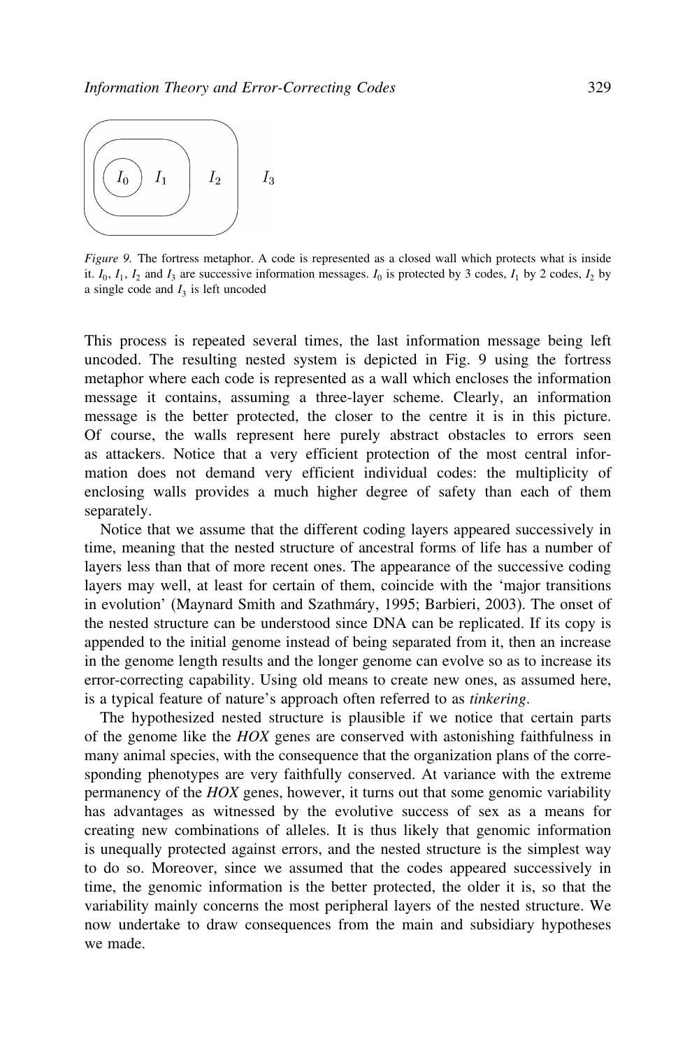

*Figure 9.* The fortress metaphor. A code is represented as a closed wall which protects what is inside it.  $I_0$ ,  $I_1$ ,  $I_2$  and  $I_3$  are successive information messages.  $I_0$  is protected by 3 codes,  $I_1$  by 2 codes,  $I_2$  by a single code and  $I_3$  is left uncoded

This process is repeated several times, the last information message being left uncoded. The resulting nested system is depicted in Fig. 9 using the fortress metaphor where each code is represented as a wall which encloses the information message it contains, assuming a three-layer scheme. Clearly, an information message is the better protected, the closer to the centre it is in this picture. Of course, the walls represent here purely abstract obstacles to errors seen as attackers. Notice that a very efficient protection of the most central information does not demand very efficient individual codes: the multiplicity of enclosing walls provides a much higher degree of safety than each of them separately.

Notice that we assume that the different coding layers appeared successively in time, meaning that the nested structure of ancestral forms of life has a number of layers less than that of more recent ones. The appearance of the successive coding layers may well, at least for certain of them, coincide with the 'major transitions in evolution' (Maynard Smith and Szathmáry, 1995; Barbieri, 2003). The onset of the nested structure can be understood since DNA can be replicated. If its copy is appended to the initial genome instead of being separated from it, then an increase in the genome length results and the longer genome can evolve so as to increase its error-correcting capability. Using old means to create new ones, as assumed here, is a typical feature of nature's approach often referred to as *tinkering*.

The hypothesized nested structure is plausible if we notice that certain parts of the genome like the *HOX* genes are conserved with astonishing faithfulness in many animal species, with the consequence that the organization plans of the corresponding phenotypes are very faithfully conserved. At variance with the extreme permanency of the *HOX* genes, however, it turns out that some genomic variability has advantages as witnessed by the evolutive success of sex as a means for creating new combinations of alleles. It is thus likely that genomic information is unequally protected against errors, and the nested structure is the simplest way to do so. Moreover, since we assumed that the codes appeared successively in time, the genomic information is the better protected, the older it is, so that the variability mainly concerns the most peripheral layers of the nested structure. We now undertake to draw consequences from the main and subsidiary hypotheses we made.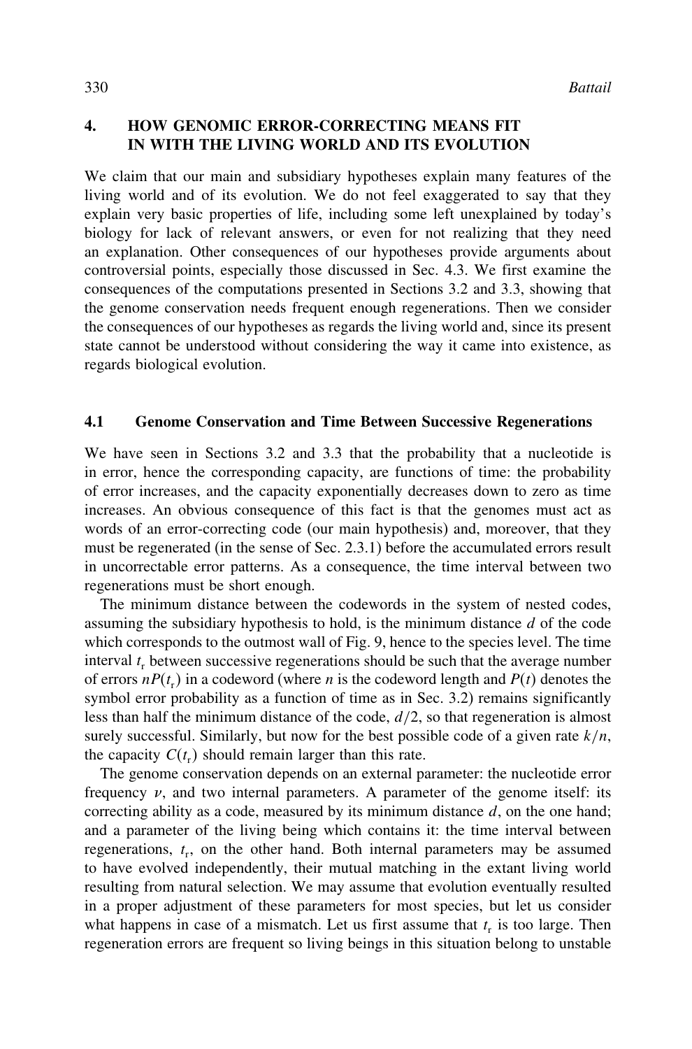## **4. HOW GENOMIC ERROR-CORRECTING MEANS FIT IN WITH THE LIVING WORLD AND ITS EVOLUTION**

We claim that our main and subsidiary hypotheses explain many features of the living world and of its evolution. We do not feel exaggerated to say that they explain very basic properties of life, including some left unexplained by today's biology for lack of relevant answers, or even for not realizing that they need an explanation. Other consequences of our hypotheses provide arguments about controversial points, especially those discussed in Sec. 4.3. We first examine the consequences of the computations presented in Sections 3.2 and 3.3, showing that the genome conservation needs frequent enough regenerations. Then we consider the consequences of our hypotheses as regards the living world and, since its present state cannot be understood without considering the way it came into existence, as regards biological evolution.

## **4.1 Genome Conservation and Time Between Successive Regenerations**

We have seen in Sections 3.2 and 3.3 that the probability that a nucleotide is in error, hence the corresponding capacity, are functions of time: the probability of error increases, and the capacity exponentially decreases down to zero as time increases. An obvious consequence of this fact is that the genomes must act as words of an error-correcting code (our main hypothesis) and, moreover, that they must be regenerated (in the sense of Sec. 2.3.1) before the accumulated errors result in uncorrectable error patterns. As a consequence, the time interval between two regenerations must be short enough.

The minimum distance between the codewords in the system of nested codes, assuming the subsidiary hypothesis to hold, is the minimum distance  $d$  of the code which corresponds to the outmost wall of Fig. 9, hence to the species level. The time interval  $t<sub>r</sub>$  between successive regenerations should be such that the average number of errors  $nP(t_r)$  in a codeword (where *n* is the codeword length and  $P(t)$  denotes the symbol error probability as a function of time as in Sec. 3.2) remains significantly less than half the minimum distance of the code,  $d/2$ , so that regeneration is almost surely successful. Similarly, but now for the best possible code of a given rate  $k/n$ , the capacity  $C(t_r)$  should remain larger than this rate.

The genome conservation depends on an external parameter: the nucleotide error frequency  $\nu$ , and two internal parameters. A parameter of the genome itself: its correcting ability as a code, measured by its minimum distance  $d$ , on the one hand; and a parameter of the living being which contains it: the time interval between regenerations,  $t_r$ , on the other hand. Both internal parameters may be assumed to have evolved independently, their mutual matching in the extant living world resulting from natural selection. We may assume that evolution eventually resulted in a proper adjustment of these parameters for most species, but let us consider what happens in case of a mismatch. Let us first assume that  $t<sub>r</sub>$  is too large. Then regeneration errors are frequent so living beings in this situation belong to unstable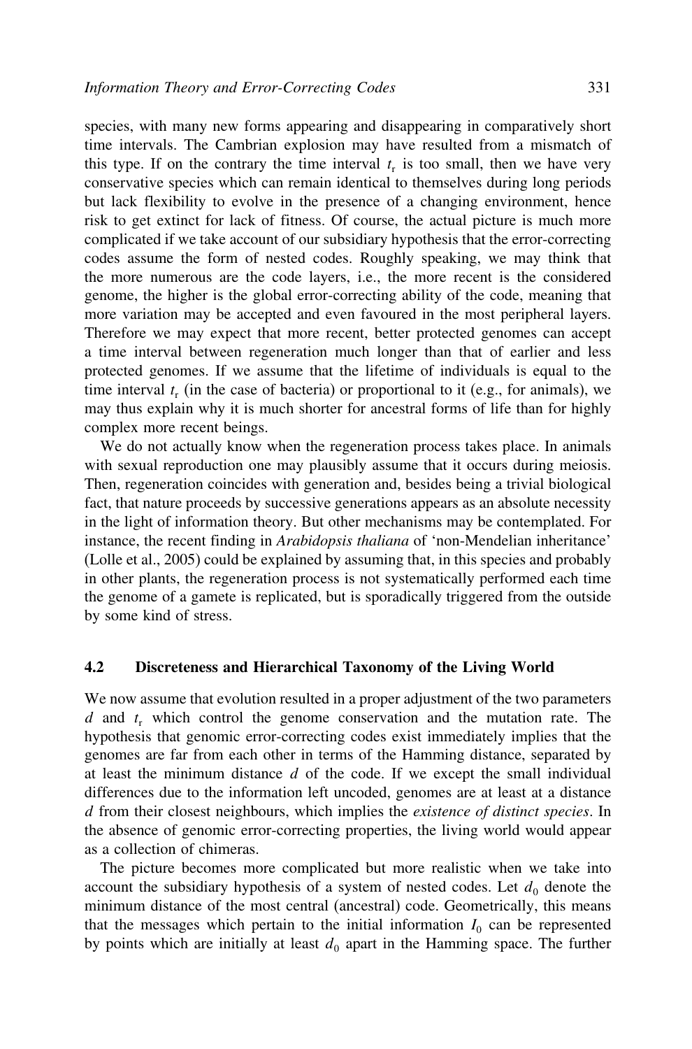species, with many new forms appearing and disappearing in comparatively short time intervals. The Cambrian explosion may have resulted from a mismatch of this type. If on the contrary the time interval  $t_r$  is too small, then we have very conservative species which can remain identical to themselves during long periods but lack flexibility to evolve in the presence of a changing environment, hence risk to get extinct for lack of fitness. Of course, the actual picture is much more complicated if we take account of our subsidiary hypothesis that the error-correcting codes assume the form of nested codes. Roughly speaking, we may think that the more numerous are the code layers, i.e., the more recent is the considered genome, the higher is the global error-correcting ability of the code, meaning that more variation may be accepted and even favoured in the most peripheral layers. Therefore we may expect that more recent, better protected genomes can accept a time interval between regeneration much longer than that of earlier and less protected genomes. If we assume that the lifetime of individuals is equal to the time interval  $t_r$  (in the case of bacteria) or proportional to it (e.g., for animals), we may thus explain why it is much shorter for ancestral forms of life than for highly complex more recent beings.

We do not actually know when the regeneration process takes place. In animals with sexual reproduction one may plausibly assume that it occurs during meiosis. Then, regeneration coincides with generation and, besides being a trivial biological fact, that nature proceeds by successive generations appears as an absolute necessity in the light of information theory. But other mechanisms may be contemplated. For instance, the recent finding in *Arabidopsis thaliana* of 'non-Mendelian inheritance' (Lolle et al., 2005) could be explained by assuming that, in this species and probably in other plants, the regeneration process is not systematically performed each time the genome of a gamete is replicated, but is sporadically triggered from the outside by some kind of stress.

### **4.2 Discreteness and Hierarchical Taxonomy of the Living World**

We now assume that evolution resulted in a proper adjustment of the two parameters  $d$  and  $t<sub>r</sub>$  which control the genome conservation and the mutation rate. The hypothesis that genomic error-correcting codes exist immediately implies that the genomes are far from each other in terms of the Hamming distance, separated by at least the minimum distance  $d$  of the code. If we except the small individual differences due to the information left uncoded, genomes are at least at a distance d from their closest neighbours, which implies the *existence of distinct species*. In the absence of genomic error-correcting properties, the living world would appear as a collection of chimeras.

The picture becomes more complicated but more realistic when we take into account the subsidiary hypothesis of a system of nested codes. Let  $d_0$  denote the minimum distance of the most central (ancestral) code. Geometrically, this means that the messages which pertain to the initial information  $I_0$  can be represented by points which are initially at least  $d_0$  apart in the Hamming space. The further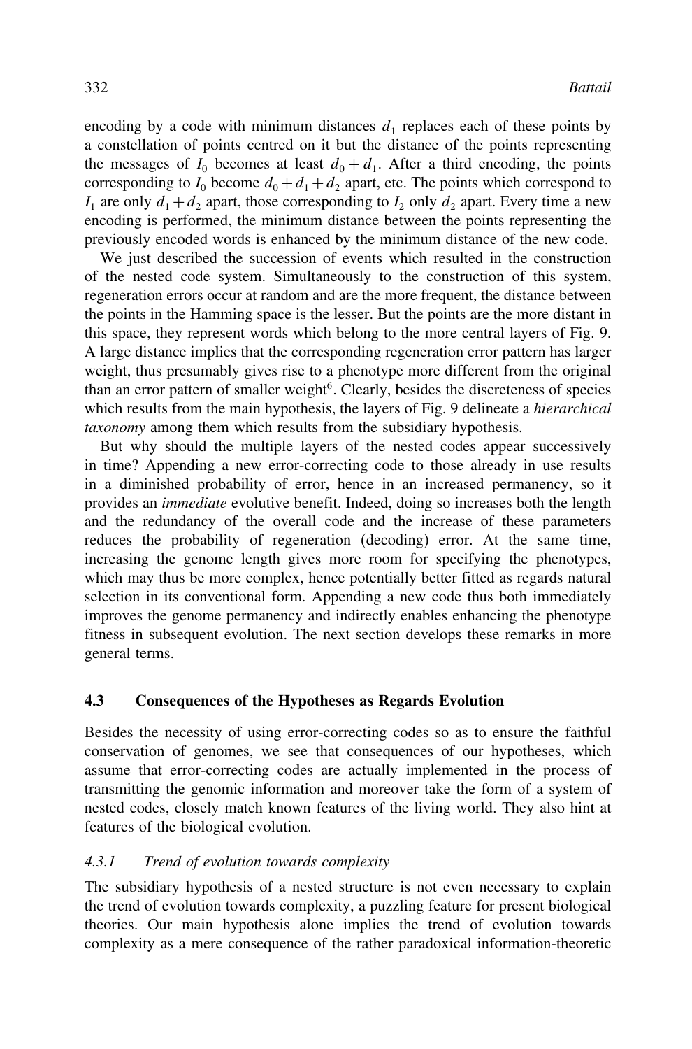encoding by a code with minimum distances  $d_1$  replaces each of these points by a constellation of points centred on it but the distance of the points representing the messages of  $I_0$  becomes at least  $d_0 + d_1$ . After a third encoding, the points corresponding to  $I_0$  become  $d_0 + d_1 + d_2$  apart, etc. The points which correspond to  $I_1$  are only  $d_1 + d_2$  apart, those corresponding to  $I_2$  only  $d_2$  apart. Every time a new encoding is performed, the minimum distance between the points representing the previously encoded words is enhanced by the minimum distance of the new code.

We just described the succession of events which resulted in the construction of the nested code system. Simultaneously to the construction of this system, regeneration errors occur at random and are the more frequent, the distance between the points in the Hamming space is the lesser. But the points are the more distant in this space, they represent words which belong to the more central layers of Fig. 9. A large distance implies that the corresponding regeneration error pattern has larger weight, thus presumably gives rise to a phenotype more different from the original than an error pattern of smaller weight<sup>6</sup>. Clearly, besides the discreteness of species which results from the main hypothesis, the layers of Fig. 9 delineate a *hierarchical taxonomy* among them which results from the subsidiary hypothesis.

But why should the multiple layers of the nested codes appear successively in time? Appending a new error-correcting code to those already in use results in a diminished probability of error, hence in an increased permanency, so it provides an *immediate* evolutive benefit. Indeed, doing so increases both the length and the redundancy of the overall code and the increase of these parameters reduces the probability of regeneration (decoding) error. At the same time, increasing the genome length gives more room for specifying the phenotypes, which may thus be more complex, hence potentially better fitted as regards natural selection in its conventional form. Appending a new code thus both immediately improves the genome permanency and indirectly enables enhancing the phenotype fitness in subsequent evolution. The next section develops these remarks in more general terms.

## **4.3 Consequences of the Hypotheses as Regards Evolution**

Besides the necessity of using error-correcting codes so as to ensure the faithful conservation of genomes, we see that consequences of our hypotheses, which assume that error-correcting codes are actually implemented in the process of transmitting the genomic information and moreover take the form of a system of nested codes, closely match known features of the living world. They also hint at features of the biological evolution.

## *4.3.1 Trend of evolution towards complexity*

The subsidiary hypothesis of a nested structure is not even necessary to explain the trend of evolution towards complexity, a puzzling feature for present biological theories. Our main hypothesis alone implies the trend of evolution towards complexity as a mere consequence of the rather paradoxical information-theoretic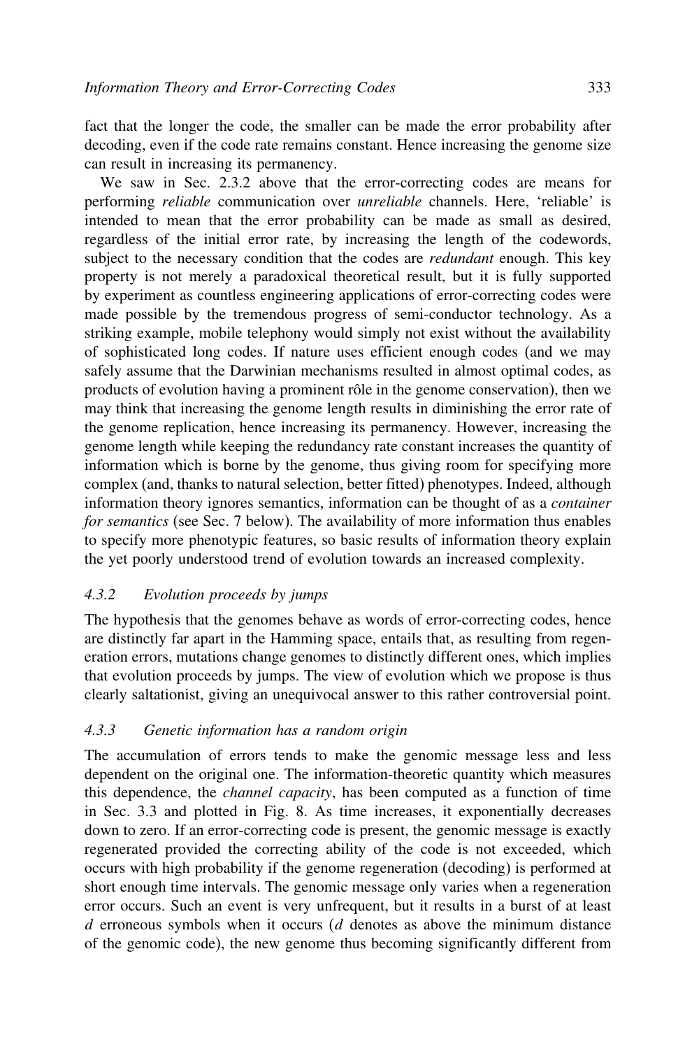fact that the longer the code, the smaller can be made the error probability after decoding, even if the code rate remains constant. Hence increasing the genome size can result in increasing its permanency.

We saw in Sec. 2.3.2 above that the error-correcting codes are means for performing *reliable* communication over *unreliable* channels. Here, 'reliable' is intended to mean that the error probability can be made as small as desired, regardless of the initial error rate, by increasing the length of the codewords, subject to the necessary condition that the codes are *redundant* enough. This key property is not merely a paradoxical theoretical result, but it is fully supported by experiment as countless engineering applications of error-correcting codes were made possible by the tremendous progress of semi-conductor technology. As a striking example, mobile telephony would simply not exist without the availability of sophisticated long codes. If nature uses efficient enough codes (and we may safely assume that the Darwinian mechanisms resulted in almost optimal codes, as products of evolution having a prominent rôle in the genome conservation), then we may think that increasing the genome length results in diminishing the error rate of the genome replication, hence increasing its permanency. However, increasing the genome length while keeping the redundancy rate constant increases the quantity of information which is borne by the genome, thus giving room for specifying more complex (and, thanks to natural selection, better fitted) phenotypes. Indeed, although information theory ignores semantics, information can be thought of as a *container for semantics* (see Sec. 7 below). The availability of more information thus enables to specify more phenotypic features, so basic results of information theory explain the yet poorly understood trend of evolution towards an increased complexity.

## *4.3.2 Evolution proceeds by jumps*

The hypothesis that the genomes behave as words of error-correcting codes, hence are distinctly far apart in the Hamming space, entails that, as resulting from regeneration errors, mutations change genomes to distinctly different ones, which implies that evolution proceeds by jumps. The view of evolution which we propose is thus clearly saltationist, giving an unequivocal answer to this rather controversial point.

## *4.3.3 Genetic information has a random origin*

The accumulation of errors tends to make the genomic message less and less dependent on the original one. The information-theoretic quantity which measures this dependence, the *channel capacity*, has been computed as a function of time in Sec. 3.3 and plotted in Fig. 8. As time increases, it exponentially decreases down to zero. If an error-correcting code is present, the genomic message is exactly regenerated provided the correcting ability of the code is not exceeded, which occurs with high probability if the genome regeneration (decoding) is performed at short enough time intervals. The genomic message only varies when a regeneration error occurs. Such an event is very unfrequent, but it results in a burst of at least d erroneous symbols when it occurs (d denotes as above the minimum distance of the genomic code), the new genome thus becoming significantly different from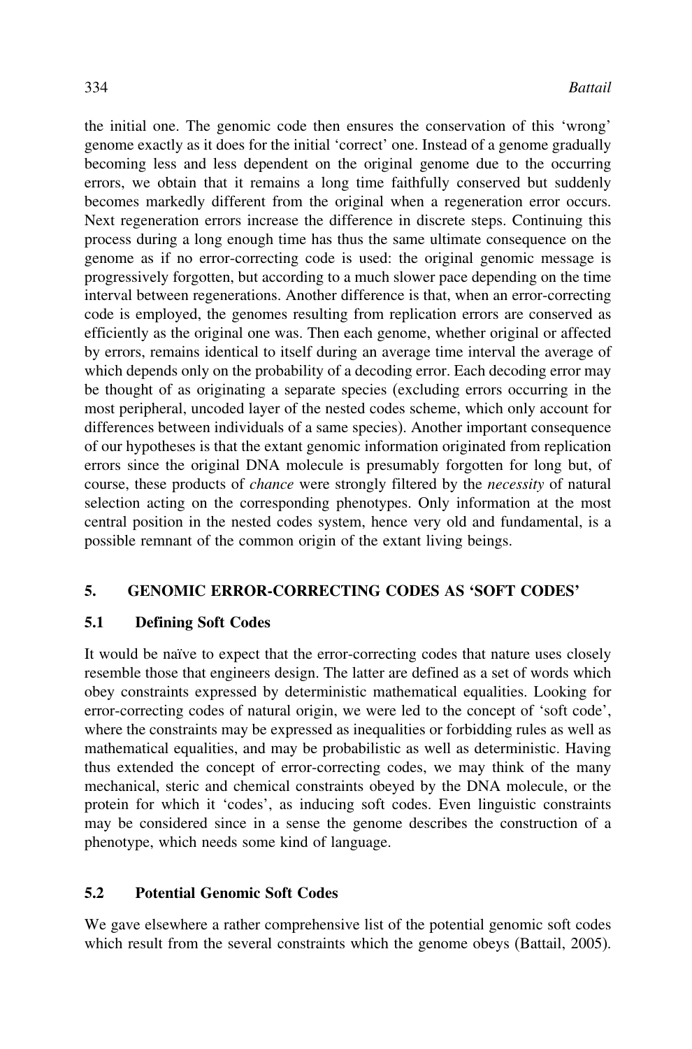the initial one. The genomic code then ensures the conservation of this 'wrong' genome exactly as it does for the initial 'correct' one. Instead of a genome gradually becoming less and less dependent on the original genome due to the occurring errors, we obtain that it remains a long time faithfully conserved but suddenly becomes markedly different from the original when a regeneration error occurs. Next regeneration errors increase the difference in discrete steps. Continuing this process during a long enough time has thus the same ultimate consequence on the genome as if no error-correcting code is used: the original genomic message is progressively forgotten, but according to a much slower pace depending on the time interval between regenerations. Another difference is that, when an error-correcting code is employed, the genomes resulting from replication errors are conserved as efficiently as the original one was. Then each genome, whether original or affected by errors, remains identical to itself during an average time interval the average of which depends only on the probability of a decoding error. Each decoding error may be thought of as originating a separate species (excluding errors occurring in the most peripheral, uncoded layer of the nested codes scheme, which only account for differences between individuals of a same species). Another important consequence of our hypotheses is that the extant genomic information originated from replication errors since the original DNA molecule is presumably forgotten for long but, of course, these products of *chance* were strongly filtered by the *necessity* of natural selection acting on the corresponding phenotypes. Only information at the most central position in the nested codes system, hence very old and fundamental, is a possible remnant of the common origin of the extant living beings.

## **5. GENOMIC ERROR-CORRECTING CODES AS 'SOFT CODES'**

## **5.1 Defining Soft Codes**

It would be naïve to expect that the error-correcting codes that nature uses closely resemble those that engineers design. The latter are defined as a set of words which obey constraints expressed by deterministic mathematical equalities. Looking for error-correcting codes of natural origin, we were led to the concept of 'soft code', where the constraints may be expressed as inequalities or forbidding rules as well as mathematical equalities, and may be probabilistic as well as deterministic. Having thus extended the concept of error-correcting codes, we may think of the many mechanical, steric and chemical constraints obeyed by the DNA molecule, or the protein for which it 'codes', as inducing soft codes. Even linguistic constraints may be considered since in a sense the genome describes the construction of a phenotype, which needs some kind of language.

## **5.2 Potential Genomic Soft Codes**

We gave elsewhere a rather comprehensive list of the potential genomic soft codes which result from the several constraints which the genome obeys (Battail, 2005).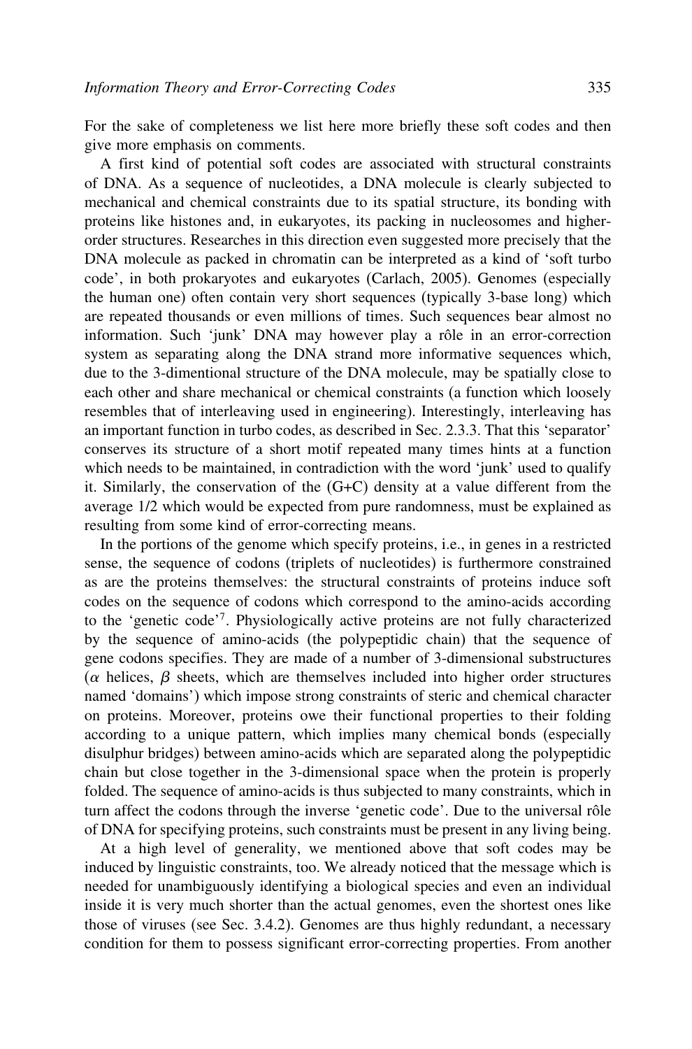For the sake of completeness we list here more briefly these soft codes and then give more emphasis on comments.

A first kind of potential soft codes are associated with structural constraints of DNA. As a sequence of nucleotides, a DNA molecule is clearly subjected to mechanical and chemical constraints due to its spatial structure, its bonding with proteins like histones and, in eukaryotes, its packing in nucleosomes and higherorder structures. Researches in this direction even suggested more precisely that the DNA molecule as packed in chromatin can be interpreted as a kind of 'soft turbo code', in both prokaryotes and eukaryotes (Carlach, 2005). Genomes (especially the human one) often contain very short sequences (typically 3-base long) which are repeated thousands or even millions of times. Such sequences bear almost no information. Such 'junk' DNA may however play a rôle in an error-correction system as separating along the DNA strand more informative sequences which, due to the 3-dimentional structure of the DNA molecule, may be spatially close to each other and share mechanical or chemical constraints (a function which loosely resembles that of interleaving used in engineering). Interestingly, interleaving has an important function in turbo codes, as described in Sec. 2.3.3. That this 'separator' conserves its structure of a short motif repeated many times hints at a function which needs to be maintained, in contradiction with the word 'junk' used to qualify it. Similarly, the conservation of the (G+C) density at a value different from the average 1/2 which would be expected from pure randomness, must be explained as resulting from some kind of error-correcting means.

In the portions of the genome which specify proteins, i.e., in genes in a restricted sense, the sequence of codons (triplets of nucleotides) is furthermore constrained as are the proteins themselves: the structural constraints of proteins induce soft codes on the sequence of codons which correspond to the amino-acids according to the 'genetic code'7. Physiologically active proteins are not fully characterized by the sequence of amino-acids (the polypeptidic chain) that the sequence of gene codons specifies. They are made of a number of 3-dimensional substructures ( $\alpha$  helices,  $\beta$  sheets, which are themselves included into higher order structures named 'domains') which impose strong constraints of steric and chemical character on proteins. Moreover, proteins owe their functional properties to their folding according to a unique pattern, which implies many chemical bonds (especially disulphur bridges) between amino-acids which are separated along the polypeptidic chain but close together in the 3-dimensional space when the protein is properly folded. The sequence of amino-acids is thus subjected to many constraints, which in turn affect the codons through the inverse 'genetic code'. Due to the universal rôle of DNA for specifying proteins, such constraints must be present in any living being.

At a high level of generality, we mentioned above that soft codes may be induced by linguistic constraints, too. We already noticed that the message which is needed for unambiguously identifying a biological species and even an individual inside it is very much shorter than the actual genomes, even the shortest ones like those of viruses (see Sec. 3.4.2). Genomes are thus highly redundant, a necessary condition for them to possess significant error-correcting properties. From another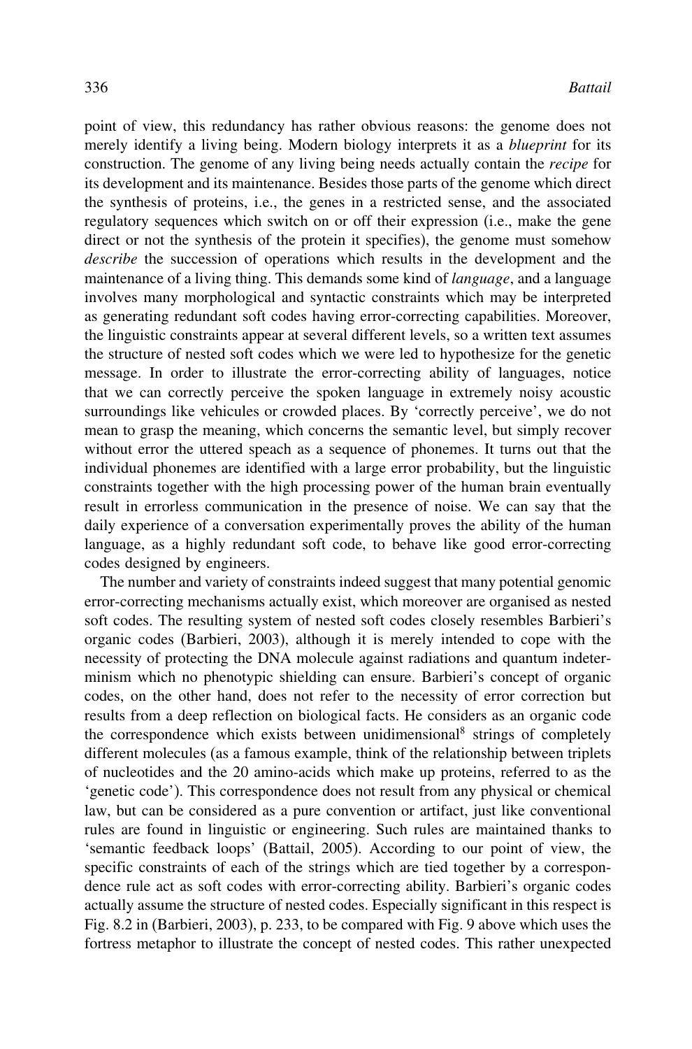point of view, this redundancy has rather obvious reasons: the genome does not merely identify a living being. Modern biology interprets it as a *blueprint* for its construction. The genome of any living being needs actually contain the *recipe* for its development and its maintenance. Besides those parts of the genome which direct the synthesis of proteins, i.e., the genes in a restricted sense, and the associated regulatory sequences which switch on or off their expression (i.e., make the gene direct or not the synthesis of the protein it specifies), the genome must somehow *describe* the succession of operations which results in the development and the maintenance of a living thing. This demands some kind of *language*, and a language involves many morphological and syntactic constraints which may be interpreted as generating redundant soft codes having error-correcting capabilities. Moreover, the linguistic constraints appear at several different levels, so a written text assumes the structure of nested soft codes which we were led to hypothesize for the genetic message. In order to illustrate the error-correcting ability of languages, notice that we can correctly perceive the spoken language in extremely noisy acoustic surroundings like vehicules or crowded places. By 'correctly perceive', we do not mean to grasp the meaning, which concerns the semantic level, but simply recover without error the uttered speach as a sequence of phonemes. It turns out that the individual phonemes are identified with a large error probability, but the linguistic constraints together with the high processing power of the human brain eventually result in errorless communication in the presence of noise. We can say that the daily experience of a conversation experimentally proves the ability of the human language, as a highly redundant soft code, to behave like good error-correcting codes designed by engineers.

The number and variety of constraints indeed suggest that many potential genomic error-correcting mechanisms actually exist, which moreover are organised as nested soft codes. The resulting system of nested soft codes closely resembles Barbieri's organic codes (Barbieri, 2003), although it is merely intended to cope with the necessity of protecting the DNA molecule against radiations and quantum indeterminism which no phenotypic shielding can ensure. Barbieri's concept of organic codes, on the other hand, does not refer to the necessity of error correction but results from a deep reflection on biological facts. He considers as an organic code the correspondence which exists between unidimensional<sup>8</sup> strings of completely different molecules (as a famous example, think of the relationship between triplets of nucleotides and the 20 amino-acids which make up proteins, referred to as the 'genetic code'). This correspondence does not result from any physical or chemical law, but can be considered as a pure convention or artifact, just like conventional rules are found in linguistic or engineering. Such rules are maintained thanks to 'semantic feedback loops' (Battail, 2005). According to our point of view, the specific constraints of each of the strings which are tied together by a correspondence rule act as soft codes with error-correcting ability. Barbieri's organic codes actually assume the structure of nested codes. Especially significant in this respect is Fig. 8.2 in (Barbieri, 2003), p. 233, to be compared with Fig. 9 above which uses the fortress metaphor to illustrate the concept of nested codes. This rather unexpected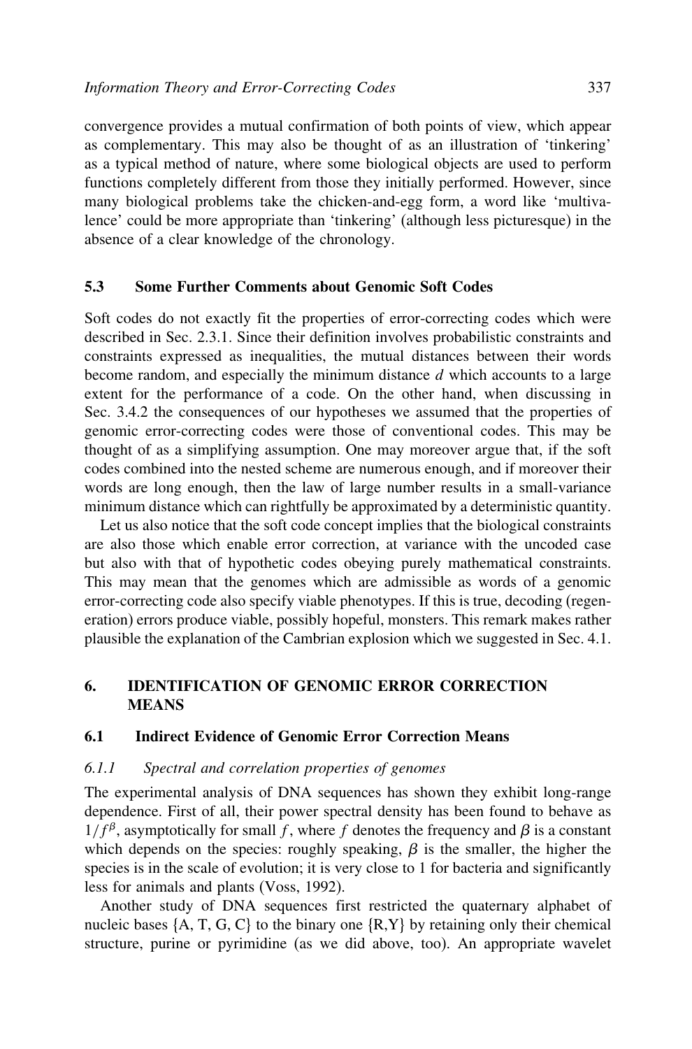convergence provides a mutual confirmation of both points of view, which appear as complementary. This may also be thought of as an illustration of 'tinkering' as a typical method of nature, where some biological objects are used to perform functions completely different from those they initially performed. However, since many biological problems take the chicken-and-egg form, a word like 'multivalence' could be more appropriate than 'tinkering' (although less picturesque) in the absence of a clear knowledge of the chronology.

## **5.3 Some Further Comments about Genomic Soft Codes**

Soft codes do not exactly fit the properties of error-correcting codes which were described in Sec. 2.3.1. Since their definition involves probabilistic constraints and constraints expressed as inequalities, the mutual distances between their words become random, and especially the minimum distance d which accounts to a large extent for the performance of a code. On the other hand, when discussing in Sec. 3.4.2 the consequences of our hypotheses we assumed that the properties of genomic error-correcting codes were those of conventional codes. This may be thought of as a simplifying assumption. One may moreover argue that, if the soft codes combined into the nested scheme are numerous enough, and if moreover their words are long enough, then the law of large number results in a small-variance minimum distance which can rightfully be approximated by a deterministic quantity.

Let us also notice that the soft code concept implies that the biological constraints are also those which enable error correction, at variance with the uncoded case but also with that of hypothetic codes obeying purely mathematical constraints. This may mean that the genomes which are admissible as words of a genomic error-correcting code also specify viable phenotypes. If this is true, decoding (regeneration) errors produce viable, possibly hopeful, monsters. This remark makes rather plausible the explanation of the Cambrian explosion which we suggested in Sec. 4.1.

## **6. IDENTIFICATION OF GENOMIC ERROR CORRECTION MEANS**

## **6.1 Indirect Evidence of Genomic Error Correction Means**

### *6.1.1 Spectral and correlation properties of genomes*

The experimental analysis of DNA sequences has shown they exhibit long-range dependence. First of all, their power spectral density has been found to behave as  $1/f^{\beta}$ , asymptotically for small f, where f denotes the frequency and  $\beta$  is a constant which depends on the species: roughly speaking,  $\beta$  is the smaller, the higher the species is in the scale of evolution; it is very close to 1 for bacteria and significantly less for animals and plants (Voss, 1992).

Another study of DNA sequences first restricted the quaternary alphabet of nucleic bases  $\{A, T, G, C\}$  to the binary one  $\{R, Y\}$  by retaining only their chemical structure, purine or pyrimidine (as we did above, too). An appropriate wavelet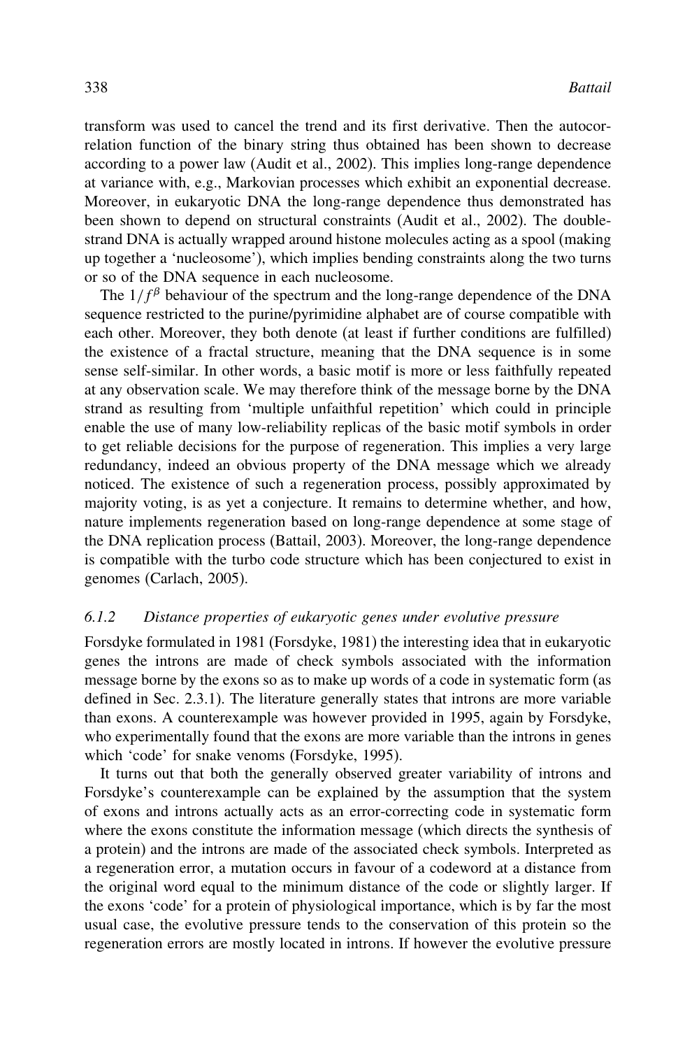transform was used to cancel the trend and its first derivative. Then the autocorrelation function of the binary string thus obtained has been shown to decrease according to a power law (Audit et al., 2002). This implies long-range dependence at variance with, e.g., Markovian processes which exhibit an exponential decrease. Moreover, in eukaryotic DNA the long-range dependence thus demonstrated has been shown to depend on structural constraints (Audit et al., 2002). The doublestrand DNA is actually wrapped around histone molecules acting as a spool (making up together a 'nucleosome'), which implies bending constraints along the two turns or so of the DNA sequence in each nucleosome.

The  $1/f^{\beta}$  behaviour of the spectrum and the long-range dependence of the DNA sequence restricted to the purine/pyrimidine alphabet are of course compatible with each other. Moreover, they both denote (at least if further conditions are fulfilled) the existence of a fractal structure, meaning that the DNA sequence is in some sense self-similar. In other words, a basic motif is more or less faithfully repeated at any observation scale. We may therefore think of the message borne by the DNA strand as resulting from 'multiple unfaithful repetition' which could in principle enable the use of many low-reliability replicas of the basic motif symbols in order to get reliable decisions for the purpose of regeneration. This implies a very large redundancy, indeed an obvious property of the DNA message which we already noticed. The existence of such a regeneration process, possibly approximated by majority voting, is as yet a conjecture. It remains to determine whether, and how, nature implements regeneration based on long-range dependence at some stage of the DNA replication process (Battail, 2003). Moreover, the long-range dependence is compatible with the turbo code structure which has been conjectured to exist in genomes (Carlach, 2005).

## *6.1.2 Distance properties of eukaryotic genes under evolutive pressure*

Forsdyke formulated in 1981 (Forsdyke, 1981) the interesting idea that in eukaryotic genes the introns are made of check symbols associated with the information message borne by the exons so as to make up words of a code in systematic form (as defined in Sec. 2.3.1). The literature generally states that introns are more variable than exons. A counterexample was however provided in 1995, again by Forsdyke, who experimentally found that the exons are more variable than the introns in genes which 'code' for snake venoms (Forsdyke, 1995).

It turns out that both the generally observed greater variability of introns and Forsdyke's counterexample can be explained by the assumption that the system of exons and introns actually acts as an error-correcting code in systematic form where the exons constitute the information message (which directs the synthesis of a protein) and the introns are made of the associated check symbols. Interpreted as a regeneration error, a mutation occurs in favour of a codeword at a distance from the original word equal to the minimum distance of the code or slightly larger. If the exons 'code' for a protein of physiological importance, which is by far the most usual case, the evolutive pressure tends to the conservation of this protein so the regeneration errors are mostly located in introns. If however the evolutive pressure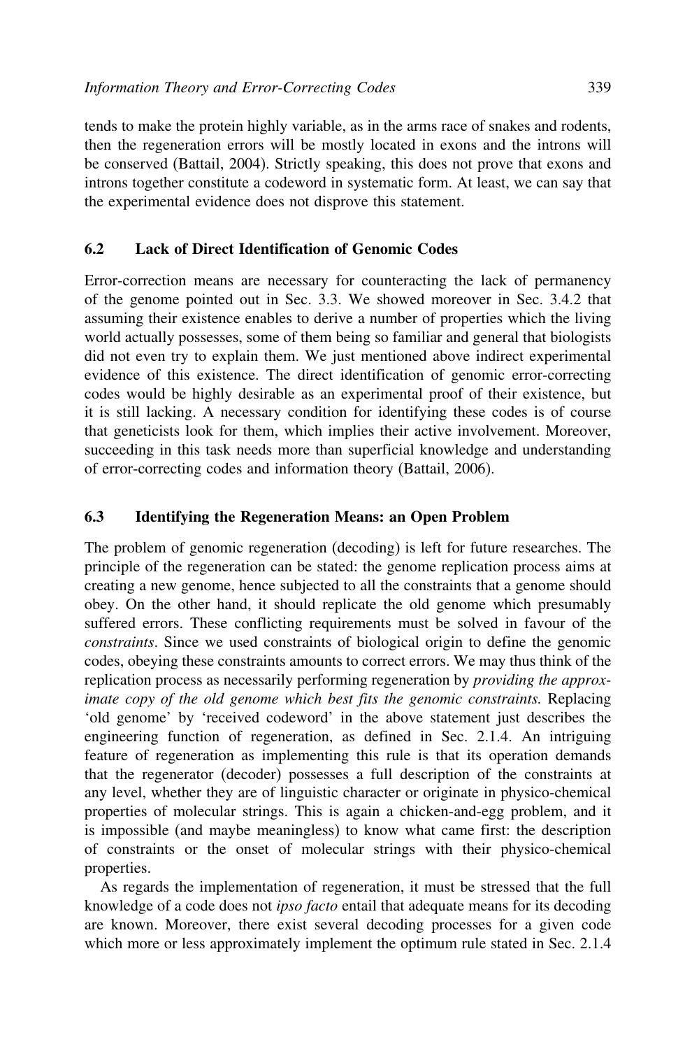tends to make the protein highly variable, as in the arms race of snakes and rodents, then the regeneration errors will be mostly located in exons and the introns will be conserved (Battail, 2004). Strictly speaking, this does not prove that exons and introns together constitute a codeword in systematic form. At least, we can say that the experimental evidence does not disprove this statement.

## **6.2 Lack of Direct Identification of Genomic Codes**

Error-correction means are necessary for counteracting the lack of permanency of the genome pointed out in Sec. 3.3. We showed moreover in Sec. 3.4.2 that assuming their existence enables to derive a number of properties which the living world actually possesses, some of them being so familiar and general that biologists did not even try to explain them. We just mentioned above indirect experimental evidence of this existence. The direct identification of genomic error-correcting codes would be highly desirable as an experimental proof of their existence, but it is still lacking. A necessary condition for identifying these codes is of course that geneticists look for them, which implies their active involvement. Moreover, succeeding in this task needs more than superficial knowledge and understanding of error-correcting codes and information theory (Battail, 2006).

## **6.3 Identifying the Regeneration Means: an Open Problem**

The problem of genomic regeneration (decoding) is left for future researches. The principle of the regeneration can be stated: the genome replication process aims at creating a new genome, hence subjected to all the constraints that a genome should obey. On the other hand, it should replicate the old genome which presumably suffered errors. These conflicting requirements must be solved in favour of the *constraints*. Since we used constraints of biological origin to define the genomic codes, obeying these constraints amounts to correct errors. We may thus think of the replication process as necessarily performing regeneration by *providing the approximate copy of the old genome which best fits the genomic constraints.* Replacing 'old genome' by 'received codeword' in the above statement just describes the engineering function of regeneration, as defined in Sec. 2.1.4. An intriguing feature of regeneration as implementing this rule is that its operation demands that the regenerator (decoder) possesses a full description of the constraints at any level, whether they are of linguistic character or originate in physico-chemical properties of molecular strings. This is again a chicken-and-egg problem, and it is impossible (and maybe meaningless) to know what came first: the description of constraints or the onset of molecular strings with their physico-chemical properties.

As regards the implementation of regeneration, it must be stressed that the full knowledge of a code does not *ipso facto* entail that adequate means for its decoding are known. Moreover, there exist several decoding processes for a given code which more or less approximately implement the optimum rule stated in Sec. 2.1.4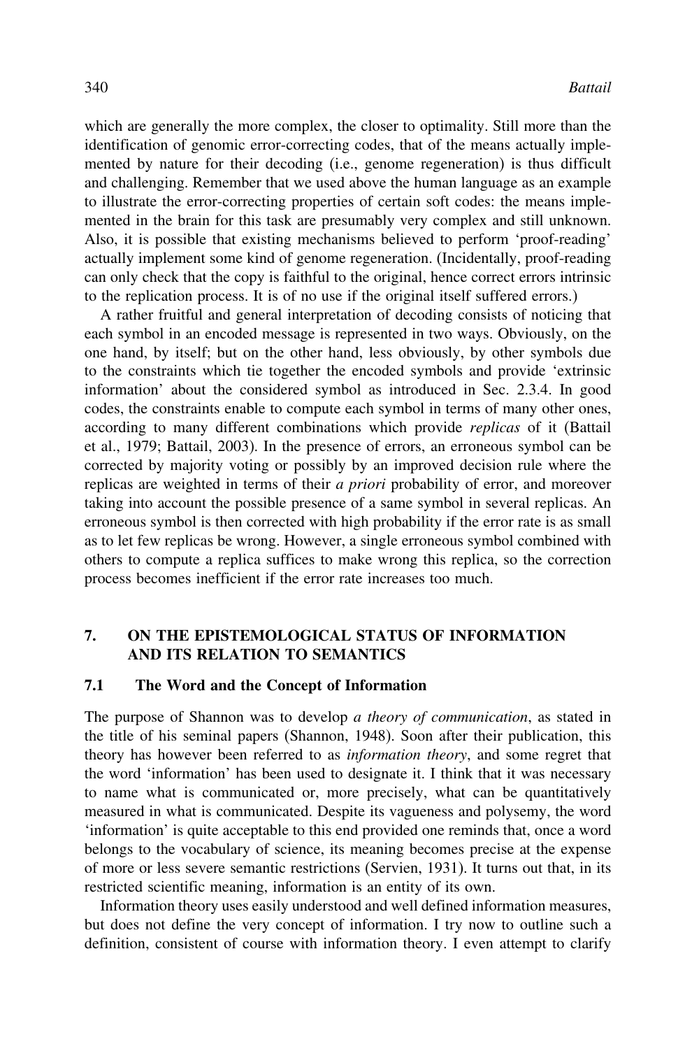which are generally the more complex, the closer to optimality. Still more than the identification of genomic error-correcting codes, that of the means actually implemented by nature for their decoding (i.e., genome regeneration) is thus difficult and challenging. Remember that we used above the human language as an example to illustrate the error-correcting properties of certain soft codes: the means implemented in the brain for this task are presumably very complex and still unknown. Also, it is possible that existing mechanisms believed to perform 'proof-reading' actually implement some kind of genome regeneration. (Incidentally, proof-reading can only check that the copy is faithful to the original, hence correct errors intrinsic to the replication process. It is of no use if the original itself suffered errors.)

A rather fruitful and general interpretation of decoding consists of noticing that each symbol in an encoded message is represented in two ways. Obviously, on the one hand, by itself; but on the other hand, less obviously, by other symbols due to the constraints which tie together the encoded symbols and provide 'extrinsic information' about the considered symbol as introduced in Sec. 2.3.4. In good codes, the constraints enable to compute each symbol in terms of many other ones, according to many different combinations which provide *replicas* of it (Battail et al., 1979; Battail, 2003). In the presence of errors, an erroneous symbol can be corrected by majority voting or possibly by an improved decision rule where the replicas are weighted in terms of their *a priori* probability of error, and moreover taking into account the possible presence of a same symbol in several replicas. An erroneous symbol is then corrected with high probability if the error rate is as small as to let few replicas be wrong. However, a single erroneous symbol combined with others to compute a replica suffices to make wrong this replica, so the correction process becomes inefficient if the error rate increases too much.

## **7. ON THE EPISTEMOLOGICAL STATUS OF INFORMATION AND ITS RELATION TO SEMANTICS**

## **7.1 The Word and the Concept of Information**

The purpose of Shannon was to develop *a theory of communication*, as stated in the title of his seminal papers (Shannon, 1948). Soon after their publication, this theory has however been referred to as *information theory*, and some regret that the word 'information' has been used to designate it. I think that it was necessary to name what is communicated or, more precisely, what can be quantitatively measured in what is communicated. Despite its vagueness and polysemy, the word 'information' is quite acceptable to this end provided one reminds that, once a word belongs to the vocabulary of science, its meaning becomes precise at the expense of more or less severe semantic restrictions (Servien, 1931). It turns out that, in its restricted scientific meaning, information is an entity of its own.

Information theory uses easily understood and well defined information measures, but does not define the very concept of information. I try now to outline such a definition, consistent of course with information theory. I even attempt to clarify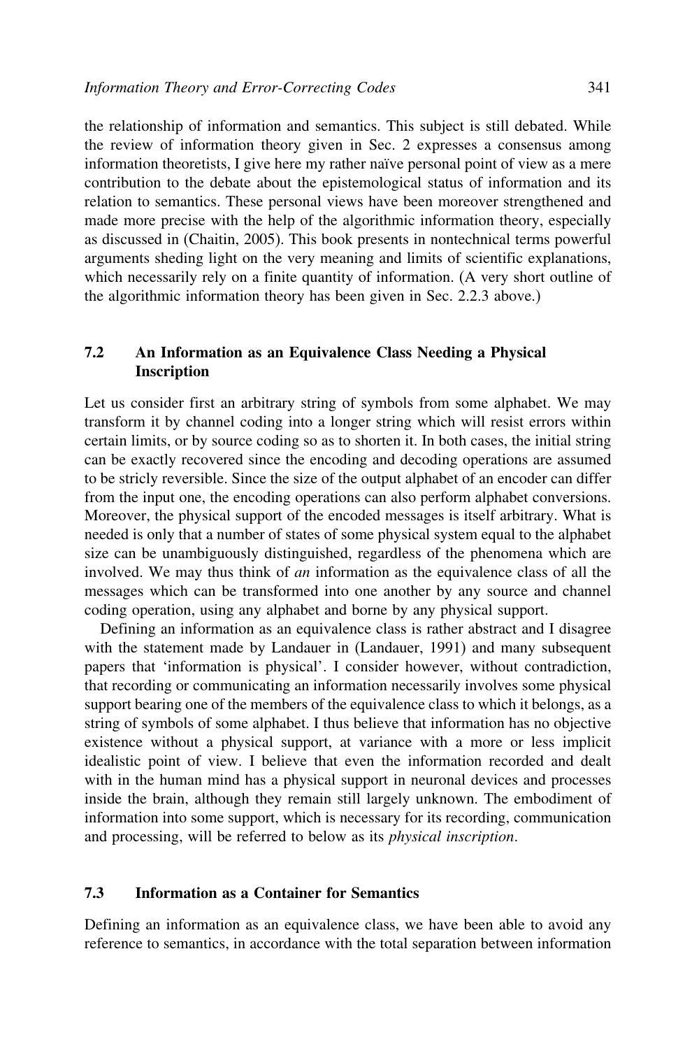the relationship of information and semantics. This subject is still debated. While the review of information theory given in Sec. 2 expresses a consensus among information theoretists, I give here my rather naïve personal point of view as a mere contribution to the debate about the epistemological status of information and its relation to semantics. These personal views have been moreover strengthened and made more precise with the help of the algorithmic information theory, especially as discussed in (Chaitin, 2005). This book presents in nontechnical terms powerful arguments sheding light on the very meaning and limits of scientific explanations, which necessarily rely on a finite quantity of information. (A very short outline of the algorithmic information theory has been given in Sec. 2.2.3 above.)

## **7.2 An Information as an Equivalence Class Needing a Physical Inscription**

Let us consider first an arbitrary string of symbols from some alphabet. We may transform it by channel coding into a longer string which will resist errors within certain limits, or by source coding so as to shorten it. In both cases, the initial string can be exactly recovered since the encoding and decoding operations are assumed to be stricly reversible. Since the size of the output alphabet of an encoder can differ from the input one, the encoding operations can also perform alphabet conversions. Moreover, the physical support of the encoded messages is itself arbitrary. What is needed is only that a number of states of some physical system equal to the alphabet size can be unambiguously distinguished, regardless of the phenomena which are involved. We may thus think of *an* information as the equivalence class of all the messages which can be transformed into one another by any source and channel coding operation, using any alphabet and borne by any physical support.

Defining an information as an equivalence class is rather abstract and I disagree with the statement made by Landauer in (Landauer, 1991) and many subsequent papers that 'information is physical'. I consider however, without contradiction, that recording or communicating an information necessarily involves some physical support bearing one of the members of the equivalence class to which it belongs, as a string of symbols of some alphabet. I thus believe that information has no objective existence without a physical support, at variance with a more or less implicit idealistic point of view. I believe that even the information recorded and dealt with in the human mind has a physical support in neuronal devices and processes inside the brain, although they remain still largely unknown. The embodiment of information into some support, which is necessary for its recording, communication and processing, will be referred to below as its *physical inscription*.

## **7.3 Information as a Container for Semantics**

Defining an information as an equivalence class, we have been able to avoid any reference to semantics, in accordance with the total separation between information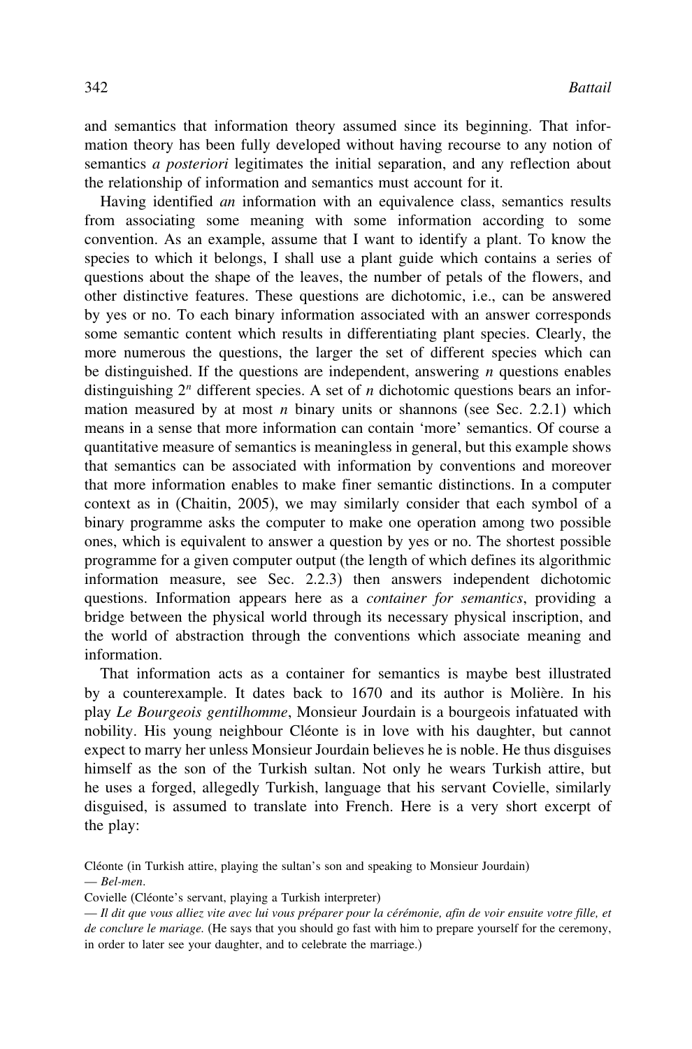and semantics that information theory assumed since its beginning. That information theory has been fully developed without having recourse to any notion of semantics *a posteriori* legitimates the initial separation, and any reflection about the relationship of information and semantics must account for it.

Having identified *an* information with an equivalence class, semantics results from associating some meaning with some information according to some convention. As an example, assume that I want to identify a plant. To know the species to which it belongs, I shall use a plant guide which contains a series of questions about the shape of the leaves, the number of petals of the flowers, and other distinctive features. These questions are dichotomic, i.e., can be answered by yes or no. To each binary information associated with an answer corresponds some semantic content which results in differentiating plant species. Clearly, the more numerous the questions, the larger the set of different species which can be distinguished. If the questions are independent, answering  $n$  questions enables distinguishing  $2<sup>n</sup>$  different species. A set of *n* dichotomic questions bears an information measured by at most *n* binary units or shannons (see Sec. 2.2.1) which means in a sense that more information can contain 'more' semantics. Of course a quantitative measure of semantics is meaningless in general, but this example shows that semantics can be associated with information by conventions and moreover that more information enables to make finer semantic distinctions. In a computer context as in (Chaitin, 2005), we may similarly consider that each symbol of a binary programme asks the computer to make one operation among two possible ones, which is equivalent to answer a question by yes or no. The shortest possible programme for a given computer output (the length of which defines its algorithmic information measure, see Sec. 2.2.3) then answers independent dichotomic questions. Information appears here as a *container for semantics*, providing a bridge between the physical world through its necessary physical inscription, and the world of abstraction through the conventions which associate meaning and information.

That information acts as a container for semantics is maybe best illustrated by a counterexample. It dates back to 1670 and its author is Molière. In his play *Le Bourgeois gentilhomme*, Monsieur Jourdain is a bourgeois infatuated with nobility. His young neighbour Cléonte is in love with his daughter, but cannot expect to marry her unless Monsieur Jourdain believes he is noble. He thus disguises himself as the son of the Turkish sultan. Not only he wears Turkish attire, but he uses a forged, allegedly Turkish, language that his servant Covielle, similarly disguised, is assumed to translate into French. Here is a very short excerpt of the play:

Cléonte (in Turkish attire, playing the sultan's son and speaking to Monsieur Jourdain)

<sup>—</sup> *Bel-men*.

Covielle (Cléonte's servant, playing a Turkish interpreter)

<sup>—</sup> *Il dit que vous alliez vite avec lui vous préparer pour la cérémonie, afin de voir ensuite votre fille, et de conclure le mariage.* (He says that you should go fast with him to prepare yourself for the ceremony, in order to later see your daughter, and to celebrate the marriage.)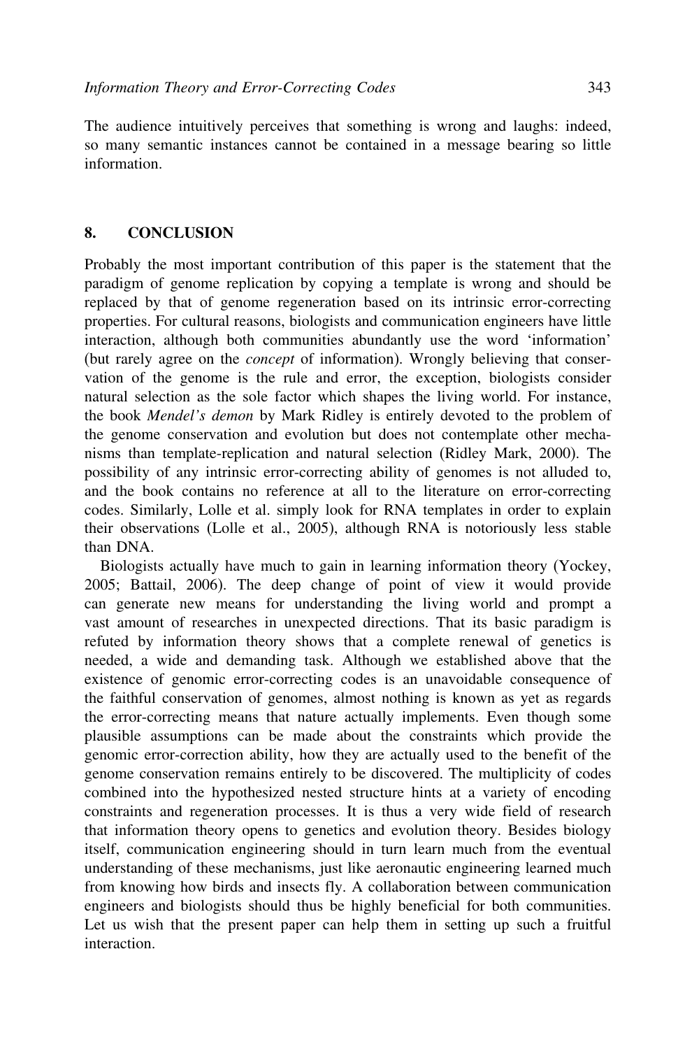The audience intuitively perceives that something is wrong and laughs: indeed, so many semantic instances cannot be contained in a message bearing so little information.

## **8. CONCLUSION**

Probably the most important contribution of this paper is the statement that the paradigm of genome replication by copying a template is wrong and should be replaced by that of genome regeneration based on its intrinsic error-correcting properties. For cultural reasons, biologists and communication engineers have little interaction, although both communities abundantly use the word 'information' (but rarely agree on the *concept* of information). Wrongly believing that conservation of the genome is the rule and error, the exception, biologists consider natural selection as the sole factor which shapes the living world. For instance, the book *Mendel's demon* by Mark Ridley is entirely devoted to the problem of the genome conservation and evolution but does not contemplate other mechanisms than template-replication and natural selection (Ridley Mark, 2000). The possibility of any intrinsic error-correcting ability of genomes is not alluded to, and the book contains no reference at all to the literature on error-correcting codes. Similarly, Lolle et al. simply look for RNA templates in order to explain their observations (Lolle et al., 2005), although RNA is notoriously less stable than DNA.

Biologists actually have much to gain in learning information theory (Yockey, 2005; Battail, 2006). The deep change of point of view it would provide can generate new means for understanding the living world and prompt a vast amount of researches in unexpected directions. That its basic paradigm is refuted by information theory shows that a complete renewal of genetics is needed, a wide and demanding task. Although we established above that the existence of genomic error-correcting codes is an unavoidable consequence of the faithful conservation of genomes, almost nothing is known as yet as regards the error-correcting means that nature actually implements. Even though some plausible assumptions can be made about the constraints which provide the genomic error-correction ability, how they are actually used to the benefit of the genome conservation remains entirely to be discovered. The multiplicity of codes combined into the hypothesized nested structure hints at a variety of encoding constraints and regeneration processes. It is thus a very wide field of research that information theory opens to genetics and evolution theory. Besides biology itself, communication engineering should in turn learn much from the eventual understanding of these mechanisms, just like aeronautic engineering learned much from knowing how birds and insects fly. A collaboration between communication engineers and biologists should thus be highly beneficial for both communities. Let us wish that the present paper can help them in setting up such a fruitful interaction.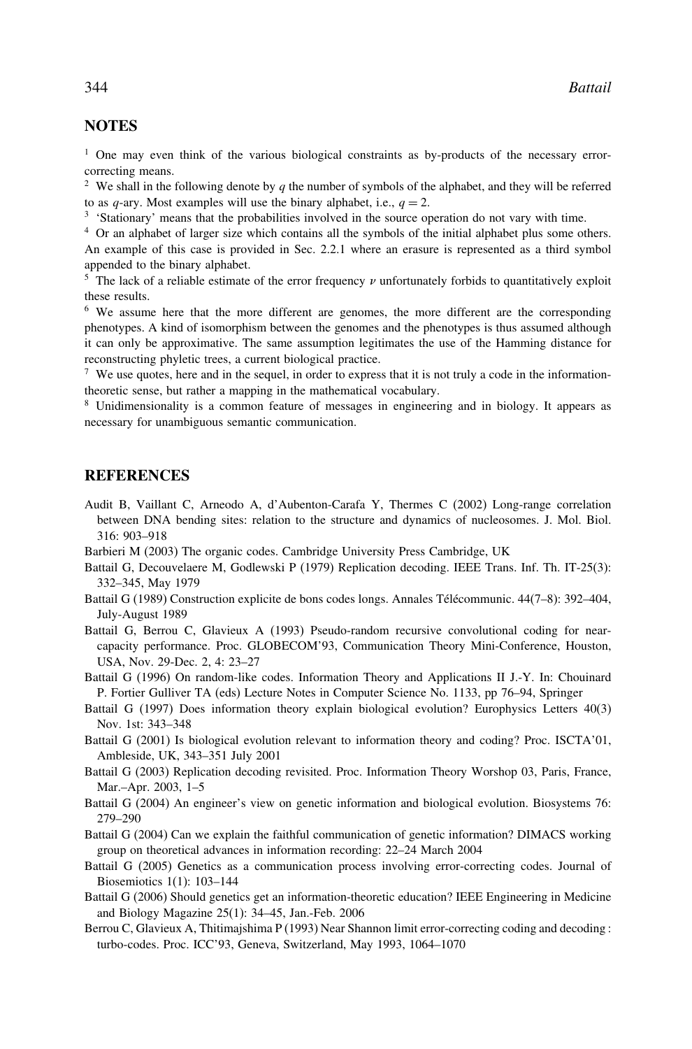## **NOTES**

<sup>1</sup> One may even think of the various biological constraints as by-products of the necessary errorcorrecting means.

<sup>2</sup> We shall in the following denote by q the number of symbols of the alphabet, and they will be referred to as q-ary. Most examples will use the binary alphabet, i.e.,  $q = 2$ .<br><sup>3</sup> 'Stationary' means that the probabilities involved in the source operation do not vary with time.

<sup>4</sup> Or an alphabet of larger size which contains all the symbols of the initial alphabet plus some others. An example of this case is provided in Sec. 2.2.1 where an erasure is represented as a third symbol appended to the binary alphabet.

<sup>5</sup> The lack of a reliable estimate of the error frequency  $\nu$  unfortunately forbids to quantitatively exploit these results.

<sup>6</sup> We assume here that the more different are genomes, the more different are the corresponding phenotypes. A kind of isomorphism between the genomes and the phenotypes is thus assumed although it can only be approximative. The same assumption legitimates the use of the Hamming distance for reconstructing phyletic trees, a current biological practice.

 $7\,$  We use quotes, here and in the sequel, in order to express that it is not truly a code in the informationtheoretic sense, but rather a mapping in the mathematical vocabulary.

<sup>8</sup> Unidimensionality is a common feature of messages in engineering and in biology. It appears as necessary for unambiguous semantic communication.

### **REFERENCES**

- Audit B, Vaillant C, Arneodo A, d'Aubenton-Carafa Y, Thermes C (2002) Long-range correlation between DNA bending sites: relation to the structure and dynamics of nucleosomes. J. Mol. Biol. 316: 903–918
- Barbieri M (2003) The organic codes. Cambridge University Press Cambridge, UK
- Battail G, Decouvelaere M, Godlewski P (1979) Replication decoding. IEEE Trans. Inf. Th. IT-25(3): 332–345, May 1979
- Battail G (1989) Construction explicite de bons codes longs. Annales Télécommunic. 44(7–8): 392–404, July-August 1989
- Battail G, Berrou C, Glavieux A (1993) Pseudo-random recursive convolutional coding for nearcapacity performance. Proc. GLOBECOM'93, Communication Theory Mini-Conference, Houston, USA, Nov. 29-Dec. 2, 4: 23–27
- Battail G (1996) On random-like codes. Information Theory and Applications II J.-Y. In: Chouinard P. Fortier Gulliver TA (eds) Lecture Notes in Computer Science No. 1133, pp 76–94, Springer
- Battail G (1997) Does information theory explain biological evolution? Europhysics Letters 40(3) Nov. 1st: 343–348
- Battail G (2001) Is biological evolution relevant to information theory and coding? Proc. ISCTA'01, Ambleside, UK, 343–351 July 2001
- Battail G (2003) Replication decoding revisited. Proc. Information Theory Worshop 03, Paris, France, Mar.–Apr. 2003, 1–5
- Battail G (2004) An engineer's view on genetic information and biological evolution. Biosystems 76: 279–290
- Battail G (2004) Can we explain the faithful communication of genetic information? DIMACS working group on theoretical advances in information recording: 22–24 March 2004
- Battail G (2005) Genetics as a communication process involving error-correcting codes. Journal of Biosemiotics 1(1): 103–144
- Battail G (2006) Should genetics get an information-theoretic education? IEEE Engineering in Medicine and Biology Magazine 25(1): 34–45, Jan.-Feb. 2006
- Berrou C, Glavieux A, Thitimajshima P (1993) Near Shannon limit error-correcting coding and decoding : turbo-codes. Proc. ICC'93, Geneva, Switzerland, May 1993, 1064–1070